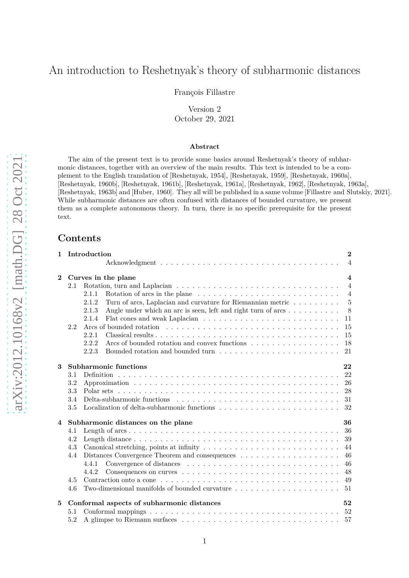# An introduction to Reshetnyak's theory of subharmonic distances

François Fillastre

Version 2 October 29, 2021

# **Abstract**

The aim of the present text is to provide some basics around Reshetnyak's theory of subharmonic distances, together with an overview of the main results. This text is intended to be a complement to the English translation of [Reshetnyak, 1954], [Reshetnyak, 1959], [Reshetnyak, 1960a], [Reshetnyak, 1960b], [Reshetnyak, 1961b], [Reshetnyak, 1961a], [Reshetnyak, 1962], [Reshetnyak, 1963a], [Reshetnyak, 1963b] and [Huber, 1960]. They all will be published in a same volume [Fillastre and Slutskiy, 2021]. While subharmonic distances are often confused with distances of bounded curvature, we present them as a complete autonomous theory. In turn, there is no specific prerequisite for the present text.

# **Contents**

| 1              |     | Introduction                                                                                               | $\bf{2}$                |
|----------------|-----|------------------------------------------------------------------------------------------------------------|-------------------------|
|                |     |                                                                                                            | $\overline{4}$          |
| $\mathbf{2}$   |     | Curves in the plane                                                                                        | $\overline{\mathbf{4}}$ |
|                | 2.1 |                                                                                                            | $\overline{4}$          |
|                |     | Rotation of arcs in the plane $\dots \dots \dots \dots \dots \dots \dots \dots \dots \dots \dots$<br>2.1.1 | $\overline{4}$          |
|                |     | Turn of arcs, Laplacian and curvature for Riemannian metric $\dots \dots \dots$<br>2.1.2                   | 5                       |
|                |     | Angle under which an arc is seen, left and right turn of arcs<br>2.1.3                                     | 8                       |
|                |     | 2.1.4                                                                                                      | 11                      |
|                | 2.2 |                                                                                                            | 15                      |
|                |     | 2.2.1                                                                                                      | 15                      |
|                |     | 18<br>2.2.2<br>Arcs of bounded rotation and convex functions                                               |                         |
|                |     | 2.2.3                                                                                                      | 21                      |
| 3              |     | Subharmonic functions<br>22                                                                                |                         |
|                | 3.1 | 22                                                                                                         |                         |
|                | 3.2 |                                                                                                            | 26                      |
|                | 3.3 | 28                                                                                                         |                         |
|                | 3.4 | 31                                                                                                         |                         |
|                | 3.5 |                                                                                                            | 32                      |
| $\overline{4}$ |     | Subharmonic distances on the plane<br>36                                                                   |                         |
|                | 4.1 | 36                                                                                                         |                         |
|                | 4.2 | 39                                                                                                         |                         |
|                | 4.3 |                                                                                                            | 44                      |
|                | 4.4 | 46                                                                                                         |                         |
|                |     | 4.4.1                                                                                                      | 46                      |
|                |     | 48<br>4.4.2                                                                                                |                         |
|                | 4.5 | 49                                                                                                         |                         |
|                | 4.6 | Two-dimensional manifolds of bounded curvature<br>51                                                       |                         |
| 5              |     | Conformal aspects of subharmonic distances<br>52                                                           |                         |
|                |     |                                                                                                            |                         |
|                | 5.1 | 52                                                                                                         |                         |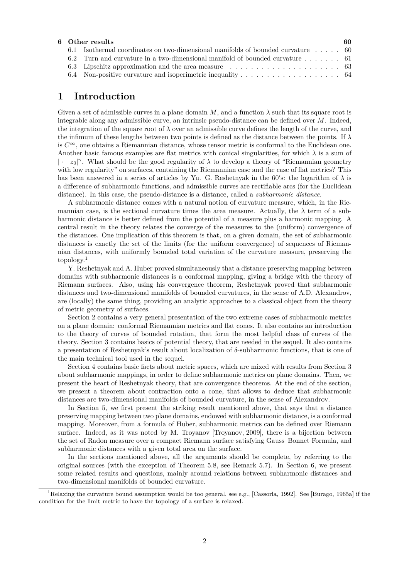|  | 6 Other results                                                                  | -60 |
|--|----------------------------------------------------------------------------------|-----|
|  | 6.1 Isothermal coordinates on two-dimensional manifolds of bounded curvature  60 |     |
|  | 6.2 Turn and curvature in a two-dimensional manifold of bounded curvature 61     |     |
|  |                                                                                  |     |
|  |                                                                                  |     |

# **1 Introduction**

Given a set of admissible curves in a plane domain  $M$ , and a function  $\lambda$  such that its square root is integrable along any admissible curve, an intrinsic pseudo-distance can be defined over *M*. Indeed, the integration of the square root of  $\lambda$  over an admissible curve defines the length of the curve, and the infimum of these lengths between two points is defined as the distance between the points. If *λ* is  $C^{\infty}$ , one obtains a Riemannian distance, whose tensor metric is conformal to the Euclidean one. Another basic famous examples are flat metrics with conical singularities, for which *λ* is a sum of | · −*z*0| *γ* . What should be the good regularity of *λ* to develop a theory of "Riemannian geometry with low regularity" on surfaces, containing the Riemannian case and the case of flat metrics? This has been answered in a series of articles by Yu. G. Reshetnyak in the 60′ s: the logarithm of *λ* is a difference of subharmonic functions, and admissible curves are rectifiable arcs (for the Euclidean distance). In this case, the pseudo-distance is a distance, called a *subharmonic distance*.

A subharmonic distance comes with a natural notion of curvature measure, which, in the Riemannian case, is the sectional curvature times the area measure. Actually, the  $\lambda$  term of a subharmonic distance is better defined from the potential of a measure plus a harmonic mapping. A central result in the theory relates the converge of the measures to the (uniform) convergence of the distances. One implication of this theorem is that, on a given domain, the set of subharmonic distances is exactly the set of the limits (for the uniform convergence) of sequences of Riemannian distances, with uniformly bounded total variation of the curvature measure, preserving the topology.<sup>1</sup>

Y. Reshetnyak and A. Huber proved simultaneously that a distance preserving mapping between domains with subharmonic distances is a conformal mapping, giving a bridge with the theory of Riemann surfaces. Also, using his convergence theorem, Reshetnyak proved that subharmonic distances and two-dimensional manifolds of bounded curvatures, in the sense of A.D. Alexandrov, are (locally) the same thing, providing an analytic approaches to a classical object from the theory of metric geometry of surfaces.

Section 2 contains a very general presentation of the two extreme cases of subharmonic metrics on a plane domain: conformal Riemannian metrics and flat cones. It also contains an introduction to the theory of curves of bounded rotation, that form the most helpful class of curves of the theory. Section 3 contains basics of potential theory, that are needed in the sequel. It also contains a presentation of Reshetnyak's result about localization of *δ*-subharmonic functions, that is one of the main technical tool used in the sequel.

Section 4 contains basic facts about metric spaces, which are mixed with results from Section 3 about subharmonic mappings, in order to define subharmonic metrics on plane domains. Then, we present the heart of Reshetnyak theory, that are convergence theorems. At the end of the section, we present a theorem about contraction onto a cone, that allows to deduce that subharmonic distances are two-dimensional manifolds of bounded curvature, in the sense of Alexandrov.

In Section 5, we first present the striking result mentioned above, that says that a distance preserving mapping between two plane domains, endowed with subharmonic distance, is a conformal mapping. Moreover, from a formula of Huber, subharmonic metrics can be defined over Riemann surface. Indeed, as it was noted by M. Troyanov [Troyanov, 2009], there is a bijection between the set of Radon measure over a compact Riemann surface satisfying Gauss–Bonnet Formula, and subharmonic distances with a given total area on the surface.

In the sections mentioned above, all the arguments should be complete, by referring to the original sources (with the exception of Theorem 5.8, see Remark 5.7). In Section 6, we present some related results and questions, mainly around relations between subharmonic distances and two-dimensional manifolds of bounded curvature.

<sup>1</sup>Relaxing the curvature bound assumption would be too general, see e.g., [Cassorla, 1992]. See [Burago, 1965a] if the condition for the limit metric to have the topology of a surface is relaxed.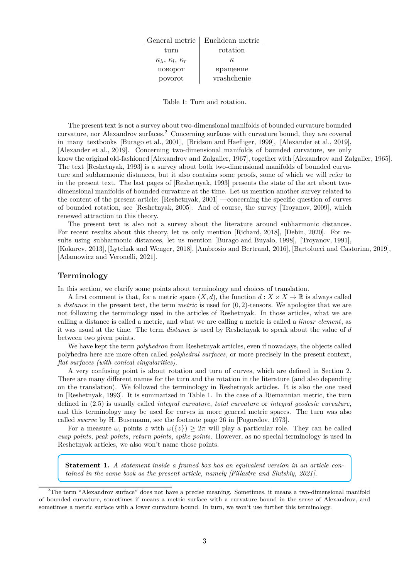| General metric                             | Euclidean metric |
|--------------------------------------------|------------------|
| turn                                       | rotation         |
| $\kappa_{\lambda}, \kappa_{l}, \kappa_{r}$ | $\kappa$         |
| поворот                                    | вращение         |
| povorot                                    | vrashchenie      |

Table 1: Turn and rotation.

The present text is not a survey about two-dimensional manifolds of bounded curvature bounded curvature, nor Alexandrov surfaces.<sup>2</sup> Concerning surfaces with curvature bound, they are covered in many textbooks [Burago et al., 2001], [Bridson and Haefliger, 1999], [Alexander et al., 2019], [Alexander et al., 2019]. Concerning two-dimensional manifolds of bounded curvature, we only know the original old-fashioned [Alexandrov and Zalgaller, 1967], together with [Alexandrov and Zalgaller, 1965]. The text [Reshetnyak, 1993] is a survey about both two-dimensional manifolds of bounded curvature and subharmonic distances, but it also contains some proofs, some of which we will refer to in the present text. The last pages of [Reshetnyak, 1993] presents the state of the art about twodimensional manifolds of bounded curvature at the time. Let us mention another survey related to the content of the present article: [Reshetnyak, 2001] —concerning the specific question of curves of bounded rotation, see [Reshetnyak, 2005]. And of course, the survey [Troyanov, 2009], which renewed attraction to this theory.

The present text is also not a survey about the literature around subharmonic distances. For recent results about this theory, let us only mention [Richard, 2018], [Debin, 2020]. For results using subharmonic distances, let us mention [Burago and Buyalo, 1998], [Troyanov, 1991], [Kokarev, 2013], [Lytchak and Wenger, 2018], [Ambrosio and Bertrand, 2016], [Bartolucci and Castorina, 2019], [Adamowicz and Veronelli, 2021].

### **Terminology**

In this section, we clarify some points about terminology and choices of translation.

A first comment is that, for a metric space  $(X, d)$ , the function  $d : X \times X \to \mathbb{R}$  is always called a *distance* in the present text, the term *metric* is used for (0*,* 2)-tensors. We apologize that we are not following the terminology used in the articles of Reshetnyak. In those articles, what we are calling a distance is called a metric, and what we are calling a metric is called a *linear element*, as it was usual at the time. The term *distance* is used by Reshetnyak to speak about the value of *d* between two given points.

We have kept the term *polyhedron* from Reshetnyak articles, even if nowadays, the objects called polyhedra here are more often called *polyhedral surfaces*, or more precisely in the present context, *flat surfaces (with conical singularities)*.

A very confusing point is about rotation and turn of curves, which are defined in Section 2. There are many different names for the turn and the rotation in the literature (and also depending on the translation). We followed the terminology in Reshetnyak articles. It is also the one used in [Reshetnyak, 1993]. It is summarized in Table 1. In the case of a Riemannian metric, the turn defined in (2.5) is usually called *integral curvature*, *total curvature* or *integral geodesic curvature*, and this terminology may be used for curves in more general metric spaces. The turn was also called *swerve* by H. Busemann, see the footnote page 26 in [Pogorelov, 1973].

For a measure  $\omega$ , points *z* with  $\omega({z}) \geq 2\pi$  will play a particular role. They can be called *cusp points*, *peak points*, *return points*, *spike points*. However, as no special terminology is used in Reshetnyak articles, we also won't name those points.

**Statement 1.** *A statement inside a framed box has an equivalent version in an article contained in the same book as the present article, namely [Fillastre and Slutskiy, 2021].*

<sup>2</sup>The term "Alexandrov surface" does not have a precise meaning. Sometimes, it means a two-dimensional manifold of bounded curvature, sometimes if means a metric surface with a curvature bound in the sense of Alexandrov, and sometimes a metric surface with a lower curvature bound. In turn, we won't use further this terminology.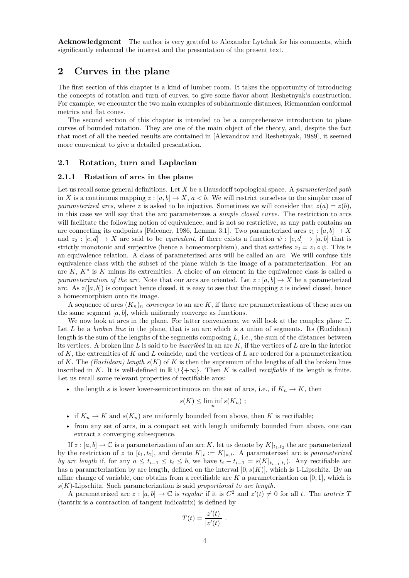**Acknowledgment** The author is very grateful to Alexander Lytchak for his comments, which significantly enhanced the interest and the presentation of the present text.

# **2 Curves in the plane**

The first section of this chapter is a kind of lumber room. It takes the opportunity of introducing the concepts of rotation and turn of curves, to give some flavor about Reshetnyak's construction. For example, we encounter the two main examples of subharmonic distances, Riemannian conformal metrics and flat cones.

The second section of this chapter is intended to be a comprehensive introduction to plane curves of bounded rotation. They are one of the main object of the theory, and, despite the fact that most of all the needed results are contained in [Alexandrov and Reshetnyak, 1989], it seemed more convenient to give a detailed presentation.

#### **2.1 Rotation, turn and Laplacian**

### **2.1.1 Rotation of arcs in the plane**

Let us recall some general definitions. Let *X* be a Hausdorff topological space. A *parameterized path* in *X* is a continuous mapping  $z : [a, b] \to X$ ,  $a < b$ . We will restrict ourselves to the simpler case of *parameterized arcs*, where *z* is asked to be injective. Sometimes we will consider that  $z(a) = z(b)$ , in this case we will say that the arc parameterizes a *simple closed curve*. The restriction to arcs will facilitate the following notion of equivalence, and is not so restrictive, as any path contains an arc connecting its endpoints [Falconer, 1986, Lemma 3.1]. Two parameterized arcs  $z_1 : [a, b] \to X$ and  $z_2 : [c, d] \to X$  are said to be *equivalent*, if there exists a function  $\psi : [c, d] \to [a, b]$  that is strictly monotonic and surjective (hence a homeomorphism), and that satisfies  $z_2 = z_1 \circ \psi$ . This is an equivalence relation. A class of parameterized arcs will be called an *arc*. We will confuse this equivalence class with the subset of the plane which is the image of a parameterization. For an arc *K*, *K*◦ is *K* minus its extremities. A choice of an element in the equivalence class is called a *parameterization of the arc.* Note that our arcs are oriented. Let  $z : [a, b] \rightarrow X$  be a parameterized arc. As  $z([a, b])$  is compact hence closed, it is easy to see that the mapping z is indeed closed, hence a homeomorphism onto its image.

A sequence of arcs  $(K_n)_n$  *converges* to an arc K, if there are parameterizations of these arcs on the same segment  $[a, b]$ , which uniformly converge as functions.

We now look at arcs in the plane. For latter convenience, we will look at the complex plane  $\mathbb{C}$ . Let *L* be a *broken line* in the plane, that is an arc which is a union of segments. Its (Euclidean) length is the sum of the lengths of the segments composing *L*, i.e., the sum of the distances between its vertices. A broken line *L* is said to be *inscribed* in an arc *K*, if the vertices of *L* are in the interior of *K*, the extremities of *K* and *L* coincide, and the vertices of *L* are ordered for a parameterization of *K*. The *(Euclidean)* length  $s(K)$  of *K* is then the supremum of the lengths of all the broken lines inscribed in *K*. It is well-defined in  $\mathbb{R} \cup \{+\infty\}$ . Then *K* is called *rectifiable* if its length is finite. Let us recall some relevant properties of rectifiable arcs:

• the length *s* is lower lower-semicontinuous on the set of arcs, i.e., if  $K_n \to K$ , then

$$
s(K) \le \liminf_{n} s(K_n) ;
$$

- if  $K_n \to K$  and  $s(K_n)$  are uniformly bounded from above, then K is rectifiable;
- from any set of arcs, in a compact set with length uniformly bounded from above, one can extract a converging subsequence.

If  $z : [a, b] \to \mathbb{C}$  is a parameterization of an arc *K*, let us denote by  $K|_{t_1, t_2}$  the arc parameterized by the restriction of *z* to  $[t_1, t_2]$ , and denote  $K|_t := K|_{a,t}$ . A parameterized arc is *parameterized by arc length* if, for any  $a \le t_{i-1} \le t_i \le b$ , we have  $t_i - t_{i-1} = s(K|t_{i-1}, t_i)$ . Any rectifiable arc has a parameterization by arc length, defined on the interval  $[0, s(K)]$ , which is 1-Lipschitz. By an affine change of variable, one obtains from a rectifiable arc *K* a parameterization on [0*,* 1], which is *s*(*K*)-Lipschitz. Such parameterization is said *proportional to arc length*.

A parameterized arc  $z : [a, b] \to \mathbb{C}$  is *regular* if it is  $C^2$  and  $z'(t) \neq 0$  for all *t*. The *tantrix T* (tantrix is a contraction of tangent indicatrix) is defined by

$$
T(t) = \frac{z'(t)}{|z'(t)|} \; .
$$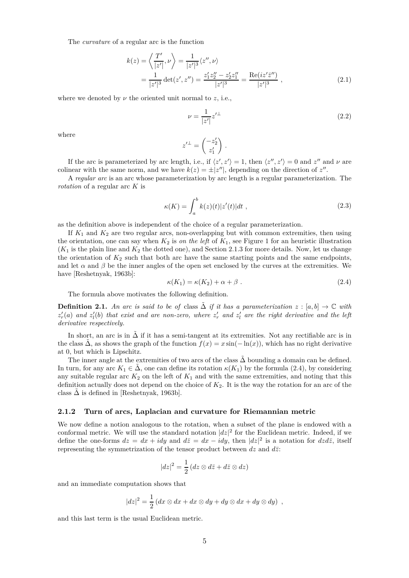The *curvature* of a regular arc is the function

$$
k(z) = \left\langle \frac{T'}{|z'|}, \nu \right\rangle = \frac{1}{|z'|^3} \langle z'', \nu \rangle
$$
  
= 
$$
\frac{1}{|z'|^3} \det(z', z'') = \frac{z'_1 z''_2 - z'_2 z''_1}{|z'|^3} = \frac{\text{Re}(iz' \bar{z}'')}{|z'|^3},
$$
 (2.1)

where we denoted by  $\nu$  the oriented unit normal to  $z$ , i.e.,

$$
\nu = \frac{1}{|z'|} z'^{\perp} \tag{2.2}
$$

where

$$
z^{\prime \perp} = \begin{pmatrix} -z_2^{\prime} \\ z_1^{\prime} \end{pmatrix} .
$$

If the arc is parameterized by arc length, i.e., if  $\langle z', z' \rangle = 1$ , then  $\langle z'', z' \rangle = 0$  and  $z''$  and  $\nu$  are colinear with the same norm, and we have  $k(z) = \pm |z''|$ , depending on the direction of  $z''$ .

A *regular arc* is an arc whose parameterization by arc length is a regular parameterization. The *rotation* of a regular arc *K* is

$$
\kappa(K) = \int_{a}^{b} k(z)(t)|z'(t)|dt , \qquad (2.3)
$$

as the definition above is independent of the choice of a regular parameterization.

If  $K_1$  and  $K_2$  are two regular arcs, non-overlapping but with common extremities, then using the orientation, one can say when  $K_2$  is *on the left* of  $K_1$ , see Figure 1 for an heuristic illustration  $(K_1$  is the plain line and  $K_2$  the dotted one), and Section 2.1.3 for more details. Now, let us change the orientation of  $K_2$  such that both arc have the same starting points and the same endpoints, and let  $\alpha$  and  $\beta$  be the inner angles of the open set enclosed by the curves at the extremities. We have [Reshetnyak, 1963b]:

$$
\kappa(K_1) = \kappa(K_2) + \alpha + \beta \tag{2.4}
$$

The formula above motivates the following definition.

**Definition 2.1.** An arc is said to be of class  $\tilde{\Delta}$  if it has a parameterization  $z : [a, b] \rightarrow \mathbb{C}$  with  $z'_r(a)$  and  $z'_l(b)$  that exist and are non-zero, where  $z'_r$  and  $z'_l$  are the right derivative and the left *derivative respectively.*

In short, an arc is in  $\tilde{\Delta}$  if it has a semi-tangent at its extremities. Not any rectifiable arc is in the class  $\hat{\Delta}$ , as shows the graph of the function  $f(x) = x \sin(-\ln(x))$ , which has no right derivative at 0, but which is Lipschitz.

The inner angle at the extremities of two arcs of the class  $\Delta$  bounding a domain can be defined. In turn, for any arc  $K_1 \in \Delta$ , one can define its rotation  $\kappa(K_1)$  by the formula (2.4), by considering any suitable regular arc  $K_2$  on the left of  $K_1$  and with the same extremities, and noting that this definition actually does not depend on the choice of *K*2. It is the way the rotation for an arc of the class  $\Delta$  is defined in [Reshetnyak, 1963b].

#### **2.1.2 Turn of arcs, Laplacian and curvature for Riemannian metric**

We now define a notion analogous to the rotation, when a subset of the plane is endowed with a conformal metric. We will use the standard notation  $|dz|^2$  for the Euclidean metric. Indeed, if we define the one-forms  $dz = dx + idy$  and  $d\overline{z} = dx - idy$ , then  $|dz|^2$  is a notation for  $dzd\overline{z}$ , itself representing the symmetrization of the tensor product between  $dz$  and  $d\overline{z}$ :

$$
|dz|^2 = \frac{1}{2} (dz \otimes d\bar{z} + d\bar{z} \otimes dz)
$$

and an immediate computation shows that

$$
|dz|^2 = \frac{1}{2} (dx \otimes dx + dx \otimes dy + dy \otimes dx + dy \otimes dy) ,
$$

and this last term is the usual Euclidean metric.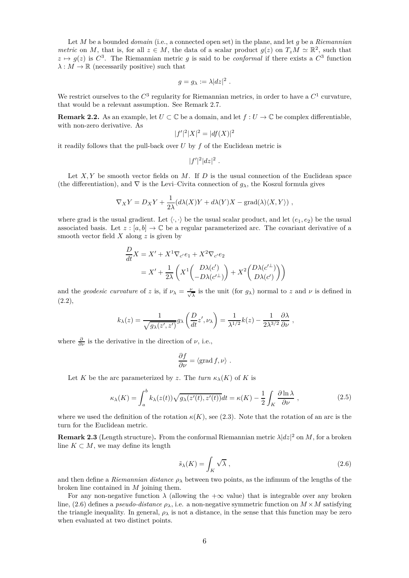Let *M* be a bounded *domain* (i.e., a connected open set) in the plane, and let *g* be a *Riemannian metric* on *M*, that is, for all  $z \in M$ , the data of a scalar product  $g(z)$  on  $T_zM \simeq \mathbb{R}^2$ , such that  $z \mapsto g(z)$  is  $C^3$ . The Riemannian metric *g* is said to be *conformal* if there exists a  $C^3$  function  $\lambda : M \to \mathbb{R}$  (necessarily positive) such that

$$
g = g_{\lambda} := \lambda |dz|^2.
$$

We restrict ourselves to the  $C^3$  regularity for Riemannian metrics, in order to have a  $C^1$  curvature, that would be a relevant assumption. See Remark 2.7.

**Remark 2.2.** As an example, let  $U \subset \mathbb{C}$  be a domain, and let  $f: U \to \mathbb{C}$  be complex differentiable, with non-zero derivative. As

$$
|f'|^2|X|^2 = |df(X)|^2
$$

it readily follows that the pull-back over *U* by *f* of the Euclidean metric is

$$
|f'|^2|dz|^2.
$$

Let X, Y be smooth vector fields on M. If D is the usual connection of the Euclidean space (the differentiation), and  $\nabla$  is the Levi–Civita connection of  $q_\lambda$ , the Koszul formula gives

$$
\nabla_X Y = D_X Y + \frac{1}{2\lambda} (d\lambda(X)Y + d\lambda(Y)X - \text{grad}(\lambda)\langle X, Y \rangle) ,
$$

where grad is the usual gradient. Let  $\langle \cdot, \cdot \rangle$  be the usual scalar product, and let  $(e_1, e_2)$  be the usual associated basis. Let  $z : [a, b] \to \mathbb{C}$  be a regular parameterized arc. The covariant derivative of a smooth vector field *X* along *z* is given by

$$
\frac{D}{dt}X = X' + X^{1}\nabla_{c'}e_{1} + X^{2}\nabla_{c'}e_{2}
$$
\n
$$
= X' + \frac{1}{2\lambda} \left( X^{1} \begin{pmatrix} D\lambda(c') \\ -D\lambda(c'^{\perp}) \end{pmatrix} + X^{2} \begin{pmatrix} D\lambda(c'^{\perp}) \\ D\lambda(c') \end{pmatrix} \right)
$$

and the *geodesic curvature* of *z* is, if  $\nu_{\lambda} = \frac{\nu}{\sqrt{\lambda}}$  is the unit (for  $g_{\lambda}$ ) normal to *z* and *v* is defined in  $(2.2),$ 

$$
k_{\lambda}(z) = \frac{1}{\sqrt{g_{\lambda}(z',z')}} g_{\lambda}\left(\frac{D}{dt}z',\nu_{\lambda}\right) = \frac{1}{\lambda^{1/2}}k(z) - \frac{1}{2\lambda^{3/2}}\frac{\partial\lambda}{\partial\nu},
$$

where  $\frac{\partial}{\partial \nu}$  is the derivative in the direction of  $\nu$ , i.e.,

$$
\frac{\partial f}{\partial \nu} = \langle \text{grad } f, \nu \rangle \ .
$$

Let *K* be the arc parameterized by *z*. The *turn*  $\kappa_{\lambda}(K)$  of *K* is

$$
\kappa_{\lambda}(K) = \int_{a}^{b} k_{\lambda}(z(t)) \sqrt{g_{\lambda}(z'(t), z'(t))} dt = \kappa(K) - \frac{1}{2} \int_{K} \frac{\partial \ln \lambda}{\partial \nu}, \qquad (2.5)
$$

where we used the definition of the rotation  $\kappa(K)$ , see (2.3). Note that the rotation of an arc is the turn for the Euclidean metric.

**Remark 2.3** (Length structure). From the conformal Riemannian metric  $\lambda |dz|^2$  on *M*, for a broken line  $K \subset M$ , we may define its length

$$
\tilde{s}_{\lambda}(K) = \int_{K} \sqrt{\lambda}, \qquad (2.6)
$$

and then define a *Riemannian distance*  $\rho_{\lambda}$  between two points, as the infimum of the lengths of the broken line contained in *M* joining them.

For any non-negative function  $\lambda$  (allowing the  $+\infty$  value) that is integrable over any broken line, (2.6) defines a *pseudo-distance*  $\rho_{\lambda}$ , i.e. a non-negative symmetric function on  $M \times M$  satisfying the triangle inequality. In general,  $\rho_{\lambda}$  is not a distance, in the sense that this function may be zero when evaluated at two distinct points.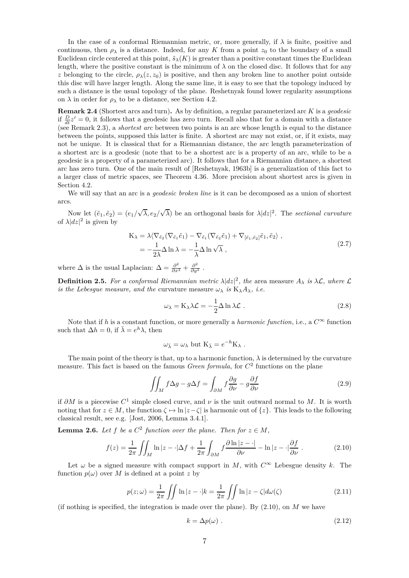In the case of a conformal Riemannian metric, or, more generally, if  $\lambda$  is finite, positive and continuous, then  $\rho_{\lambda}$  is a distance. Indeed, for any *K* from a point  $z_0$  to the boundary of a small Euclidean circle centered at this point,  $\tilde{s}_{\lambda}(K)$  is greater than a positive constant times the Euclidean length, where the positive constant is the minimum of  $\lambda$  on the closed disc. It follows that for any *z* belonging to the circle,  $\rho_{\lambda}(z, z_0)$  is positive, and then any broken line to another point outside this disc will have larger length. Along the same line, it is easy to see that the topology induced by such a distance is the usual topology of the plane. Reshetnyak found lower regularity assumptions on  $\lambda$  in order for  $\rho_{\lambda}$  to be a distance, see Section 4.2.

**Remark 2.4** (Shortest arcs and turn)**.** As by definition, a regular parameterized arc *K* is a *geodesic* if  $\frac{D}{dt}z' = 0$ , it follows that a geodesic has zero turn. Recall also that for a domain with a distance (see Remark 2.3), a *shortest arc* between two points is an arc whose length is equal to the distance between the points, supposed this latter is finite. A shortest arc may not exist, or, if it exists, may not be unique. It is classical that for a Riemannian distance, the arc length parameterization of a shortest arc is a geodesic (note that to be a shortest arc is a property of an arc, while to be a geodesic is a property of a parameterized arc). It follows that for a Riemannian distance, a shortest arc has zero turn. One of the main result of [Reshetnyak, 1963b] is a generalization of this fact to a larger class of metric spaces, see Theorem 4.36. More precision about shortest arcs is given in Section 4.2.

We will say that an arc is a *geodesic broken line* is it can be decomposed as a union of shortest arcs.

Now let  $(\tilde{e}_1, \tilde{e}_2) = (e_1/\sqrt{\lambda}, e_2/\sqrt{\lambda})$  be an orthogonal basis for  $\lambda |dz|^2$ . The *sectional curvature* of  $\lambda |dz|^2$  is given by

$$
K_{\lambda} = \lambda \langle \nabla_{\tilde{e}_2} (\nabla_{\tilde{e}_1} \tilde{e}_1) - \nabla_{\tilde{e}_1} (\nabla_{\tilde{e}_2} \tilde{e}_1) + \nabla_{[\tilde{e}_1, \tilde{e}_2]} \tilde{e}_1, \tilde{e}_2 \rangle ,
$$
  
= 
$$
-\frac{1}{2\lambda} \Delta \ln \lambda = -\frac{1}{\lambda} \Delta \ln \sqrt{\lambda} ,
$$
 (2.7)

where  $\Delta$  is the usual Laplacian:  $\Delta = \frac{\partial^2}{\partial x^2} + \frac{\partial^2}{\partial y^2}$ .

**Definition 2.5.** For a conformal Riemannian metric  $\lambda |dz|^2$ , the area measure  $A_{\lambda}$  is  $\lambda \mathcal{L}$ , where  $\mathcal{L}$ *is the Lebesgue measure, and the curvature measure*  $\omega_{\lambda}$  *is*  $K_{\lambda}A_{\lambda}$ *, i.e.* 

$$
\omega_{\lambda} = \mathcal{K}_{\lambda} \lambda \mathcal{L} = -\frac{1}{2} \Delta \ln \lambda \mathcal{L} . \qquad (2.8)
$$

Note that if *h* is a constant function, or more generally a *harmonic function*, i.e., a  $C^{\infty}$  function such that  $\Delta h = 0$ , if  $\bar{\lambda} = e^h \lambda$ , then

$$
\omega_{\bar{\lambda}} = \omega_{\lambda}
$$
 but  $K_{\bar{\lambda}} = e^{-h}K_{\lambda}$ .

The main point of the theory is that, up to a harmonic function,  $\lambda$  is determined by the curvature measure. This fact is based on the famous *Green formula*, for *C* 2 functions on the plane

$$
\iint_{M} f \Delta g - g \Delta f = \int_{\partial M} f \frac{\partial g}{\partial \nu} - g \frac{\partial f}{\partial \nu}
$$
\n(2.9)

if  $\partial M$  is a piecewise  $C^1$  simple closed curve, and  $\nu$  is the unit outward normal to  $M$ . It is worth noting that for  $z \in M$ , the function  $\zeta \mapsto \ln |z-\zeta|$  is harmonic out of  $\{z\}$ . This leads to the following classical result, see e.g. [Jost, 2006, Lemma 3.4.1].

**Lemma 2.6.** *Let*  $f$  *be a*  $C^2$  *function over the plane. Then for*  $z \in M$ *,* 

$$
f(z) = \frac{1}{2\pi} \iint_M \ln|z - \cdot|\Delta f| + \frac{1}{2\pi} \int_{\partial M} f \frac{\partial \ln|z - \cdot|}{\partial \nu} - \ln|z - \cdot|\frac{\partial f}{\partial \nu}.
$$
 (2.10)

Let  $\omega$  be a signed measure with compact support in *M*, with  $C^{\infty}$  Lebesgue density *k*. The function  $p(\omega)$  over M is defined at a point z by

$$
p(z; \omega) = \frac{1}{2\pi} \iint \ln|z - \cdot|k = \frac{1}{2\pi} \iint \ln|z - \zeta| d\omega(\zeta)
$$
 (2.11)

(if nothing is specified, the integration is made over the plane). By (2.10), on *M* we have

$$
k = \Delta p(\omega) \tag{2.12}
$$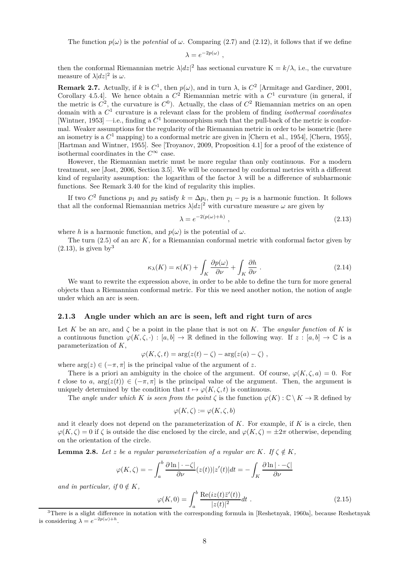The function  $p(\omega)$  is the *potential* of  $\omega$ . Comparing (2.7) and (2.12), it follows that if we define

$$
\lambda = e^{-2p(\omega)} ,
$$

then the conformal Riemannian metric  $\lambda |dz|^2$  has sectional curvature  $K = k/\lambda$ , i.e., the curvature measure of  $\lambda |dz|^2$  is  $\omega$ .

**Remark 2.7.** Actually, if *k* is  $C^1$ , then  $p(\omega)$ , and in turn  $\lambda$ , is  $C^2$  [Armitage and Gardiner, 2001, Corollary 4.5.4]. We hence obtain a  $C^2$  Riemannian metric with a  $C^1$  curvature (in general, if the metric is  $C^2$ , the curvature is  $C^0$ ). Actually, the class of  $C^2$  Riemannian metrics on an open domain with a *C* 1 curvature is a relevant class for the problem of finding *isothermal coordinates* [Wintner, 1953] —i.e., finding a *C* <sup>1</sup> homeomorphism such that the pull-back of the metric is conformal. Weaker assumptions for the regularity of the Riemannian metric in order to be isometric (here an isometry is a  $C^1$  mapping) to a conformal metric are given in [Chern et al., 1954], [Chern, 1955], [Hartman and Wintner, 1955]. See [Troyanov, 2009, Proposition 4.1] for a proof of the existence of isothermal coordinates in the  $C^{\infty}$  case.

However, the Riemannian metric must be more regular than only continuous. For a modern treatment, see [Jost, 2006, Section 3.5]. We will be concerned by conformal metrics with a different kind of regularity assumption: the logarithm of the factor  $\lambda$  will be a difference of subharmonic functions. See Remark 3.40 for the kind of regularity this implies.

If two  $C^2$  functions  $p_1$  and  $p_2$  satisfy  $k = \Delta p_i$ , then  $p_1 - p_2$  is a harmonic function. It follows that all the conformal Riemannian metrics  $\lambda |dz|^2$  with curvature measure  $\omega$  are given by

$$
\lambda = e^{-2(p(\omega) + h)},\tag{2.13}
$$

where *h* is a harmonic function, and  $p(\omega)$  is the potential of  $\omega$ .

The turn (2.5) of an arc *K*, for a Riemannian conformal metric with conformal factor given by  $(2.13)$ , is given by<sup>3</sup>

$$
\kappa_{\lambda}(K) = \kappa(K) + \int_{K} \frac{\partial p(\omega)}{\partial \nu} + \int_{K} \frac{\partial h}{\partial \nu} .
$$
\n(2.14)

We want to rewrite the expression above, in order to be able to define the turn for more general objects than a Riemannian conformal metric. For this we need another notion, the notion of angle under which an arc is seen.

#### **2.1.3 Angle under which an arc is seen, left and right turn of arcs**

Let *K* be an arc, and *ζ* be a point in the plane that is not on *K*. The *angular function* of *K* is a continuous function  $\varphi(K,\zeta,\cdot): [a,b] \to \mathbb{R}$  defined in the following way. If  $z : [a,b] \to \mathbb{C}$  is a parameterization of *K*,

$$
\varphi(K,\zeta,t) = \arg(z(t)-\zeta) - \arg(z(a)-\zeta) ,
$$

where  $\arg(z) \in (-\pi, \pi]$  is the principal value of the argument of z.

There is a priori an ambiguity in the choice of the argument. Of course,  $\varphi(K,\zeta,a) = 0$ . For *t* close to *a*,  $\arg(z(t)) \in (-\pi, \pi]$  is the principal value of the argument. Then, the argument is uniquely determined by the condition that  $t \mapsto \varphi(K,\zeta,t)$  is continuous.

The *angle under which K is seen from the point*  $\zeta$  is the function  $\varphi(K): \mathbb{C} \setminus K \to \mathbb{R}$  defined by

$$
\varphi(K,\zeta):=\varphi(K,\zeta,b)
$$

and it clearly does not depend on the parameterization of *K*. For example, if *K* is a circle, then  $\varphi(K,\zeta) = 0$  if  $\zeta$  is outside the disc enclosed by the circle, and  $\varphi(K,\zeta) = \pm 2\pi$  otherwise, depending on the orientation of the circle.

**Lemma 2.8.** *Let z be a regular parameterization of a regular arc K. If*  $\zeta \notin K$ *,* 

$$
\varphi(K,\zeta) = -\int_a^b \frac{\partial \ln|\cdot-\zeta|}{\partial \nu}(z(t))|z'(t)|dt = -\int_K \frac{\partial \ln|\cdot-\zeta|}{\partial \nu}
$$

*and in particular, if*  $0 \notin K$ *,* 

$$
\varphi(K,0) = \int_a^b \frac{\text{Re}(iz(t)\bar{z}'(t))}{|z(t)|^2} dt
$$
\n(2.15)

<sup>&</sup>lt;sup>3</sup>There is a slight difference in notation with the corresponding formula in [Reshetnyak, 1960a], because Reshetnyak is considering  $\lambda = e^{-2p(\omega)+h}$ .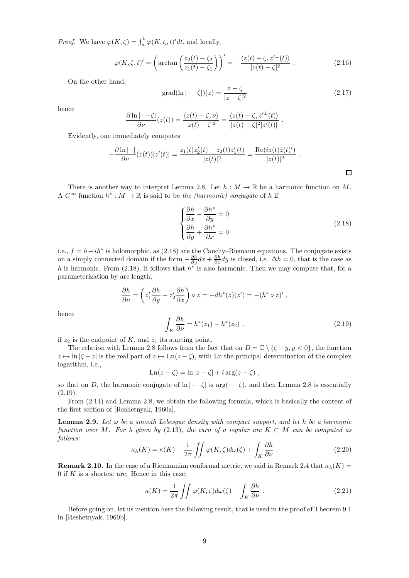*Proof.* We have  $\varphi(K,\zeta) = \int_a^b \varphi(K,\zeta,t)'dt$ , and locally,

$$
\varphi(K,\zeta,t)' = \left(\arctan\left(\frac{z_2(t) - \zeta_2}{z_1(t) - \zeta_1}\right)\right)' = -\frac{\langle z(t) - \zeta, z'^{\perp}(t) \rangle}{|z(t) - \zeta|^2} \ . \tag{2.16}
$$

On the other hand,

$$
\text{grad}(\ln|\cdot-\zeta|)(z) = \frac{z-\zeta}{|z-\zeta|^2} \tag{2.17}
$$

*.*

 $\Box$ 

hence

$$
\frac{\partial \ln|\cdot-\zeta|}{\partial \nu}(z(t)) = \frac{\langle z(t) - \zeta, \nu \rangle}{|z(t) - \zeta|^2} = \frac{\langle z(t) - \zeta, z'^{\perp}(t) \rangle}{|z(t) - \zeta|^2 |z'(t)|}
$$

Evidently, one immediately computes

$$
-\frac{\partial \ln|\cdot|}{\partial \nu}(z(t))|z'(t)| = \frac{z_1(t)z_2'(t) - z_2(t)z_1'(t)}{|z(t)|^2} = \frac{\text{Re}(iz(t)\bar{z}(t)')}{|z(t)|^2}.
$$

There is another way to interpret Lemma 2.8. Let  $h : M \to \mathbb{R}$  be a harmonic function on M. A  $C^{\infty}$  function  $h^*: M \to \mathbb{R}$  is said to be *the (harmonic) conjugate* of *h* if

$$
\begin{cases}\n\frac{\partial h}{\partial x} - \frac{\partial h^*}{\partial y} = 0\\ \n\frac{\partial h}{\partial y} + \frac{\partial h^*}{\partial x} = 0\n\end{cases}
$$
\n(2.18)

i.e.,  $f = h + i h^*$  is holomorphic, as  $(2.18)$  are the Cauchy–Riemann equations. The conjugate exists on a simply connected domain if the form  $-\frac{\partial h}{\partial y}dx + \frac{\partial h}{\partial x}dy$  is closed, i.e.  $\Delta h = 0$ , that is the case as *h* is harmonic. From (2.18), it follows that *h*<sup>∗</sup> is also harmonic. Then we may compute that, for a parameterization by arc length,

$$
\frac{\partial h}{\partial \nu} = \left( z_1' \frac{\partial h}{\partial y} - z_2' \frac{\partial h}{\partial x} \right) \circ z = -dh^*(z)(z') = -(h^* \circ z)'
$$

hence

$$
\int_{K} \frac{\partial h}{\partial \nu} = h^*(z_1) - h^*(z_2) , \qquad (2.19)
$$

if  $z_2$  is the endpoint of  $K$ , and  $z_1$  its starting point.

The relation with Lemma 2.8 follows from the fact that on  $D = \mathbb{C} \setminus \{ \zeta + y, y < 0 \}$ , the function  $z \mapsto \ln |\zeta - z|$  is the real part of  $z \mapsto \text{Ln}(z - \zeta)$ , with Ln the principal determination of the complex logarithm, i.e.,

$$
Ln(z - \zeta) = ln |z - \zeta| + i arg(z - \zeta) ,
$$

so that on *D*, the harmonic conjugate of  $\ln |\cdot - \zeta|$  is  $\arg(\cdot - \zeta)$ , and then Lemma 2.8 is essentially  $(2.19).$ 

From (2.14) and Lemma 2.8, we obtain the following formula, which is basically the content of the first section of [Reshetnyak, 1960a].

**Lemma 2.9.** Let  $\omega$  be a smooth Lebesgue density with compact support, and let h be a harmonic *function over M. For*  $\lambda$  *given by* (2.13)*, the turn of a regular arc*  $K \subset M$  *can be computed as follows:*

$$
\kappa_{\lambda}(K) = \kappa(K) - \frac{1}{2\pi} \iint \varphi(K,\zeta) d\omega(\zeta) + \int_{K} \frac{\partial h}{\partial \nu}.
$$
 (2.20)

**Remark 2.10.** In the case of a Riemannian conformal metric, we said in Remark 2.4 that  $\kappa_{\lambda}(K)$  = 0 if *K* is a shortest arc. Hence in this case:

$$
\kappa(K) = \frac{1}{2\pi} \iint \varphi(K,\zeta) d\omega(\zeta) - \int_K \frac{\partial h}{\partial \nu} . \tag{2.21}
$$

Before going on, let us mention here the following result, that is used in the proof of Theorem 9.1 in [Reshetnyak, 1960b].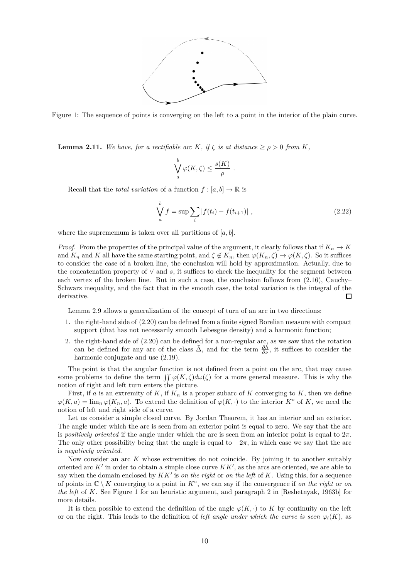

Figure 1: The sequence of points is converging on the left to a point in the interior of the plain curve.

**Lemma 2.11.** *We have, for a rectifiable arc K, if*  $\zeta$  *is at distance*  $\geq \rho > 0$  *from K,* 

$$
\bigvee_a^b \varphi(K,\zeta) \le \frac{s(K)}{\rho} .
$$

Recall that the *total variation* of a function  $f : [a, b] \to \mathbb{R}$  is

$$
\bigvee_{a}^{b} f = \sup \sum_{i} |f(t_i) - f(t_{i+1})|,
$$
\n(2.22)

where the suprememum is taken over all partitions of  $[a, b]$ .

*Proof.* From the properties of the principal value of the argument, it clearly follows that if  $K_n \to K$ and  $K_n$  and  $K$  all have the same starting point, and  $\zeta \notin K_n$ , then  $\varphi(K_n, \zeta) \to \varphi(K, \zeta)$ . So it suffices to consider the case of a broken line, the conclusion will hold by approximation. Actually, due to the concatenation property of ∨ and *s*, it suffices to check the inequality for the segment between each vertex of the broken line. But in such a case, the conclusion follows from (2.16), Cauchy– Schwarz inequality, and the fact that in the smooth case, the total variation is the integral of the derivative.  $\Box$ 

Lemma 2.9 allows a generalization of the concept of turn of an arc in two directions:

- 1. the right-hand side of (2.20) can be defined from a finite signed Borelian measure with compact support (that has not necessarily smooth Lebesgue density) and a harmonic function;
- 2. the right-hand side of (2.20) can be defined for a non-regular arc, as we saw that the rotation can be defined for any arc of the class  $\tilde{\Delta}$ , and for the term  $\frac{\partial \tilde{h}}{\partial \nu}$ , it suffices to consider the harmonic conjugate and use (2.19).

The point is that the angular function is not defined from a point on the arc, that may cause some problems to define the term  $\iint \varphi(K,\zeta) d\omega(\zeta)$  for a more general measure. This is why the notion of right and left turn enters the picture.

First, if *a* is an extremity of  $K$ , if  $K_n$  is a proper subarc of  $K$  converging to  $K$ , then we define  $\varphi(K, a) = \lim_{n \to \infty} \varphi(K_n, a)$ . To extend the definition of  $\varphi(K, \cdot)$  to the interior  $K^{\circ}$  of K, we need the notion of left and right side of a curve.

Let us consider a simple closed curve. By Jordan Theorem, it has an interior and an exterior. The angle under which the arc is seen from an exterior point is equal to zero. We say that the arc is *positively oriented* if the angle under which the arc is seen from an interior point is equal to 2*π*. The only other possibility being that the angle is equal to  $-2\pi$ , in which case we say that the arc is *negatively oriented*.

Now consider an arc *K* whose extremities do not coincide. By joining it to another suitably oriented arc  $K'$  in order to obtain a simple close curve  $KK'$ , as the arcs are oriented, we are able to say when the domain enclosed by *KK*′ is *on the right* or *on the left* of *K*. Using this, for a sequence of points in  $\mathbb{C} \setminus K$  converging to a point in  $K^{\circ}$ , we can say if the convergence if *on the right* or *on the left* of *K*. See Figure 1 for an heuristic argument, and paragraph 2 in [Reshetnyak, 1963b] for more details.

It is then possible to extend the definition of the angle  $\varphi(K, \cdot)$  to K by continuity on the left or on the right. This leads to the definition of *left angle under which the curve is seen*  $\varphi_l(K)$ , as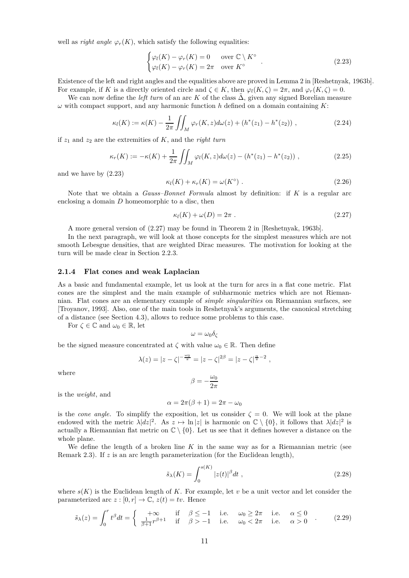well as *right angle*  $\varphi_r(K)$ , which satisfy the following equalities:

$$
\begin{cases}\n\varphi_l(K) - \varphi_r(K) = 0 & \text{over } C \setminus K^{\circ} \\
\varphi_l(K) - \varphi_r(K) = 2\pi & \text{over } K^{\circ}\n\end{cases}.
$$
\n(2.23)

Existence of the left and right angles and the equalities above are proved in Lemma 2 in [Reshetnyak, 1963b]. For example, if *K* is a directly oriented circle and  $\zeta \in K$ , then  $\varphi_l(K, \zeta) = 2\pi$ , and  $\varphi_r(K, \zeta) = 0$ .

We can now define the *left turn* of an arc K of the class  $\Delta$ , given any signed Borelian measure *ω* with compact support, and any harmonic function *h* defined on a domain containing *K*:

$$
\kappa_l(K) := \kappa(K) - \frac{1}{2\pi} \iint_M \varphi_r(K, z) d\omega(z) + (h^*(z_1) - h^*(z_2)), \qquad (2.24)
$$

if *z*<sup>1</sup> and *z*<sup>2</sup> are the extremities of *K*, and the *right turn*

$$
\kappa_r(K) := -\kappa(K) + \frac{1}{2\pi} \iint_M \varphi_l(K, z) d\omega(z) - (h^*(z_1) - h^*(z_2)), \qquad (2.25)
$$

and we have by (2.23)

$$
\kappa_l(K) + \kappa_r(K) = \omega(K^{\circ}) \tag{2.26}
$$

Note that we obtain a *Gauss–Bonnet Formula* almost by definition: if *K* is a regular arc enclosing a domain *D* homeomorphic to a disc, then

$$
\kappa_l(K) + \omega(D) = 2\pi . \tag{2.27}
$$

A more general version of (2.27) may be found in Theorem 2 in [Reshetnyak, 1963b].

In the next paragraph, we will look at those concepts for the simplest measures which are not smooth Lebesgue densities, that are weighted Dirac measures. The motivation for looking at the turn will be made clear in Section 2.2.3.

#### **2.1.4 Flat cones and weak Laplacian**

As a basic and fundamental example, let us look at the turn for arcs in a flat cone metric. Flat cones are the simplest and the main example of subharmonic metrics which are not Riemannian. Flat cones are an elementary example of *simple singularities* on Riemannian surfaces, see [Troyanov, 1993]. Also, one of the main tools in Reshetnyak's arguments, the canonical stretching of a distance (see Section 4.3), allows to reduce some problems to this case.

For  $\zeta \in \mathbb{C}$  and  $\omega_0 \in \mathbb{R}$ , let

$$
\omega = \omega_0 \delta_\zeta
$$

be the signed measure concentrated at  $\zeta$  with value  $\omega_0 \in \mathbb{R}$ . Then define

$$
\lambda(z) = |z - \zeta|^{-\frac{\omega_0}{\pi}} = |z - \zeta|^{2\beta} = |z - \zeta|^{\frac{\alpha}{\pi} - 2},
$$

where

$$
\beta=-\frac{\omega_0}{2\pi}
$$

is the *weight*, and

$$
\alpha = 2\pi(\beta + 1) = 2\pi - \omega_0
$$

is the *cone angle*. To simplify the exposition, let us consider  $\zeta = 0$ . We will look at the plane endowed with the metric  $\lambda |dz|^2$ . As  $z \mapsto \ln |z|$  is harmonic on  $\mathbb{C} \setminus \{0\}$ , it follows that  $\lambda |dz|^2$  is actually a Riemannian flat metric on  $\mathbb{C} \setminus \{0\}$ . Let us see that it defines however a distance on the whole plane.

We define the length of a broken line *K* in the same way as for a Riemannian metric (see Remark 2.3). If *z* is an arc length parameterization (for the Euclidean length),

$$
\tilde{s}_{\lambda}(K) = \int_0^{s(K)} |z(t)|^{\beta} dt , \qquad (2.28)
$$

where  $s(K)$  is the Euclidean length of K. For example, let v be a unit vector and let consider the parameterized arc  $z : [0, r] \to \mathbb{C}, z(t) = tv$ . Hence

$$
\tilde{s}_{\lambda}(z) = \int_0^r t^{\beta} dt = \begin{cases}\n+\infty & \text{if } \beta \le -1 \text{ i.e.} \quad \omega_0 \ge 2\pi \text{ i.e.} \quad \alpha \le 0 \\
\frac{1}{\beta + 1} r^{\beta + 1} & \text{if } \beta > -1 \text{ i.e.} \quad \omega_0 < 2\pi \text{ i.e.} \quad \alpha > 0\n\end{cases} (2.29)
$$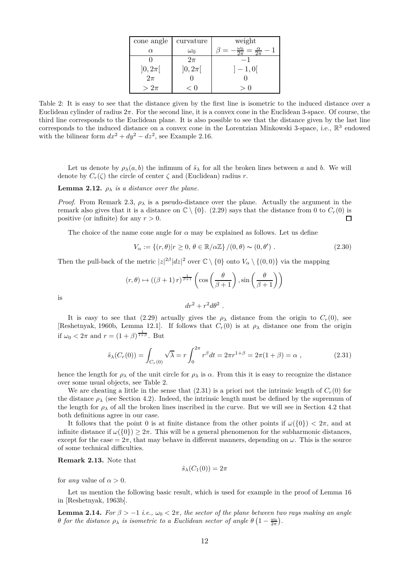| cone angle           | curvature  | weight             |
|----------------------|------------|--------------------|
| $\alpha$             | $\omega_0$ | $\frac{\alpha}{2}$ |
|                      | $2\pi$     |                    |
| $]0,2\pi[$<br>$2\pi$ | $]0,2\pi[$ | $-1,0$             |
|                      |            |                    |
| $>2\pi$              | ั ∪        |                    |

Table 2: It is easy to see that the distance given by the first line is isometric to the induced distance over a Euclidean cylinder of radius 2*π*. For the second line, it is a convex cone in the Euclidean 3-space. Of course, the third line corresponds to the Euclidean plane. It is also possible to see that the distance given by the last line corresponds to the induced distance on a convex cone in the Lorentzian Minkowski 3-space, i.e.,  $\mathbb{R}^3$  endowed with the bilinear form  $dx^2 + dy^2 - dz^2$ , see Example 2.16.

Let us denote by  $\rho_{\lambda}(a, b)$  the infimum of  $\tilde{s}_{\lambda}$  for all the broken lines between *a* and *b*. We will denote by  $C_r(\zeta)$  the circle of center  $\zeta$  and (Euclidean) radius *r*.

**Lemma 2.12.**  $\rho_{\lambda}$  *is a distance over the plane.* 

*Proof.* From Remark 2.3,  $\rho_{\lambda}$  is a pseudo-distance over the plane. Actually the argument in the remark also gives that it is a distance on  $\mathbb{C} \setminus \{0\}$ . (2.29) says that the distance from 0 to  $C_r(0)$  is positive (or infinite) for any  $r > 0$ positive (or infinite) for any *r >* 0.

The choice of the name cone angle for  $\alpha$  may be explained as follows. Let us define

$$
V_{\alpha} := \{(r,\theta)|r \ge 0, \theta \in \mathbb{R}/\alpha\mathbb{Z}\} / (0,\theta) \sim (0,\theta') . \tag{2.30}
$$

Then the pull-back of the metric  $|z|^{2\beta} |dz|^2$  over  $\mathbb{C} \setminus \{0\}$  onto  $V_\alpha \setminus \{(0,0)\}$  via the mapping

$$
(r, \theta) \mapsto ((\beta + 1) r)^{\frac{1}{\beta + 1}} \left( \cos \left( \frac{\theta}{\beta + 1} \right), \sin \left( \frac{\theta}{\beta + 1} \right) \right)
$$

is

It is easy to see that (2.29) actually gives the  $\rho_{\lambda}$  distance from the origin to  $C_r(0)$ , see [Reshetnyak, 1960b, Lemma 12.1]. If follows that  $C_r(0)$  is at  $\rho_{\lambda}$  distance one from the origin if  $\omega_0 < 2\pi$  and  $r = (1 + \beta)^{\frac{1}{1+\beta}}$ . But

 $dr^2 + r^2 d\theta^2$ .

$$
\tilde{s}_{\lambda}(C_r(0)) = \int_{C_r(0)} \sqrt{\lambda} = r \int_0^{2\pi} r^{\beta} dt = 2\pi r^{1+\beta} = 2\pi (1+\beta) = \alpha , \qquad (2.31)
$$

hence the length for  $\rho_{\lambda}$  of the unit circle for  $\rho_{\lambda}$  is  $\alpha$ . From this it is easy to recognize the distance over some usual objects, see Table 2.

We are cheating a little in the sense that  $(2.31)$  is a priori not the intrinsic length of  $C_r(0)$  for the distance  $\rho_{\lambda}$  (see Section 4.2). Indeed, the intrinsic length must be defined by the supremum of the length for  $\rho_{\lambda}$  of all the broken lines inscribed in the curve. But we will see in Section 4.2 that both definitions agree in our case.

It follows that the point 0 is at finite distance from the other points if  $\omega({0}) < 2\pi$ , and at infinite distance if  $\omega({0}) \geq 2\pi$ . This will be a general phenomenon for the subharmonic distances, except for the case  $= 2\pi$ , that may behave in different manners, depending on  $\omega$ . This is the source of some technical difficulties.

**Remark 2.13.** Note that

$$
\tilde{s}_{\lambda}(C_1(0))=2\pi
$$

for *any* value of  $\alpha > 0$ .

Let us mention the following basic result, which is used for example in the proof of Lemma 16 in [Reshetnyak, 1963b].

**Lemma 2.14.** *For*  $\beta > -1$  *i.e.,*  $\omega_0 < 2\pi$ *, the sector of the plane between two rays making an angle θ* for the distance  $\rho_{\lambda}$  is isometric to a Euclidean sector of angle  $\theta\left(1-\frac{\omega_0}{2\pi}\right)$ .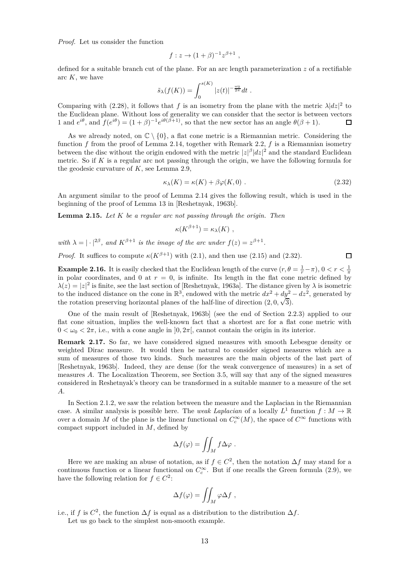*Proof.* Let us consider the function

$$
f: z \to (1+\beta)^{-1} z^{\beta+1} ,
$$

defined for a suitable branch cut of the plane. For an arc length parameterization *z* of a rectifiable arc *K*, we have

$$
\tilde{s}_{\lambda}(f(K)) = \int_0^{s(K)} |z(t)|^{-\frac{\omega_0}{2\pi}} dt.
$$

Comparing with (2.28), it follows that *f* is an isometry from the plane with the metric  $\lambda |dz|^2$  to the Euclidean plane. Without loss of generality we can consider that the sector is between vectors 1 and  $e^{i\theta}$ , and  $f(e^{i\theta}) = (1+\beta)^{-1}e^{i\theta(\beta+1)}$ , so that the new sector has an angle  $\theta(\beta+1)$ .  $\Box$ 

As we already noted, on  $\mathbb{C} \setminus \{0\}$ , a flat cone metric is a Riemannian metric. Considering the function *f* from the proof of Lemma 2.14, together with Remark 2.2, *f* is a Riemannian isometry between the disc without the origin endowed with the metric  $|z|^{\beta}|dz|^2$  and the standard Euclidean metric. So if *K* is a regular arc not passing through the origin, we have the following formula for the geodesic curvature of *K*, see Lemma 2.9,

$$
\kappa_{\lambda}(K) = \kappa(K) + \beta \varphi(K, 0) \tag{2.32}
$$

 $\Box$ 

An argument similar to the proof of Lemma 2.14 gives the following result, which is used in the beginning of the proof of Lemma 13 in [Reshetnyak, 1963b].

**Lemma 2.15.** *Let K be a regular arc not passing through the origin. Then*

$$
\kappa(K^{\beta+1}) = \kappa_{\lambda}(K) ,
$$

*with*  $\lambda = |\cdot|^{2\beta}$ , and  $K^{\beta+1}$  *is the image of the arc under*  $f(z) = z^{\beta+1}$ .

*Proof.* It suffices to compute  $\kappa(K^{\beta+1})$  with (2.1), and then use (2.15) and (2.32).

**Example 2.16.** It is easily checked that the Euclidean length of the curve  $(r, \theta = \frac{1}{r} - \pi)$ ,  $0 < r < \frac{1}{\pi}$ in polar coordinates, and 0 at  $r = 0$ , is infinite. Its length in the flat cone metric defined by  $\lambda(z) = |z|^2$  is finite, see the last section of [Reshetnyak, 1963a]. The distance given by  $\lambda$  is isometric to the induced distance on the cone in  $\mathbb{R}^3$ , endowed with the metric  $dx^2 + dy^2 - dz^2$ , generated by the rotation preserving horizontal planes of the half-line of direction  $(2, 0, \sqrt{3})$ .

One of the main result of [Reshetnyak, 1963b] (see the end of Section 2.2.3) applied to our flat cone situation, implies the well-known fact that a shortest arc for a flat cone metric with  $0 < \omega_0 < 2\pi$ , i.e., with a cone angle in  $(0, 2\pi)$ , cannot contain the origin in its interior.

**Remark 2.17.** So far, we have considered signed measures with smooth Lebesgue density or weighted Dirac measure. It would then be natural to consider signed measures which are a sum of measures of those two kinds. Such measures are the main objects of the last part of [Reshetnyak, 1963b]. Indeed, they are dense (for the weak convergence of measures) in a set of measures *A*. The Localization Theorem, see Section 3.5, will say that any of the signed measures considered in Reshetnyak's theory can be transformed in a suitable manner to a measure of the set *A*.

In Section 2.1.2, we saw the relation between the measure and the Laplacian in the Riemannian case. A similar analysis is possible here. The *weak Laplacian* of a locally  $L^1$  function  $f : M \to \mathbb{R}$ over a domain *M* of the plane is the linear functional on  $C_c^{\infty}(M)$ , the space of  $C^{\infty}$  functions with compact support included in *M*, defined by

$$
\Delta f(\varphi) = \iint_M f \Delta \varphi \; .
$$

Here we are making an abuse of notation, as if  $f \in C^2$ , then the notation  $\Delta f$  may stand for a continuous function or a linear functional on  $C_c^{\infty}$ . But if one recalls the Green formula (2.9), we have the following relation for  $f \in C^2$ :

$$
\Delta f(\varphi) = \iint_M \varphi \Delta f \;,
$$

i.e., if *f* is  $C^2$ , the function  $\Delta f$  is equal as a distribution to the distribution  $\Delta f$ .

Let us go back to the simplest non-smooth example.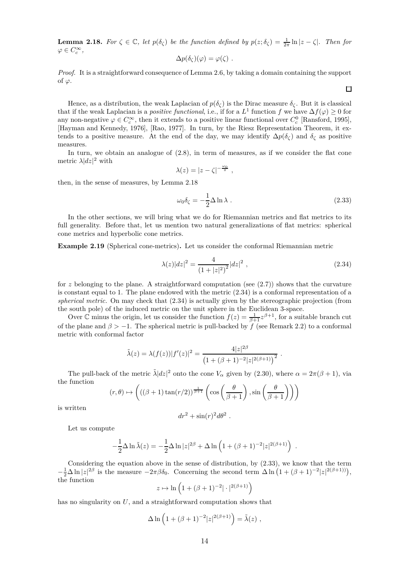**Lemma 2.18.** For  $\zeta \in \mathbb{C}$ , let  $p(\delta_{\zeta})$  be the function defined by  $p(z;\delta_{\zeta}) = \frac{1}{2\pi} \ln |z - \zeta|$ . Then for  $\varphi \in C_c^\infty$ ,

$$
\Delta p(\delta_{\zeta})(\varphi) = \varphi(\zeta) .
$$

*Proof.* It is a straightforward consequence of Lemma 2.6, by taking a domain containing the support of  $\varphi$ .

Hence, as a distribution, the weak Laplacian of  $p(\delta_{\zeta})$  is the Dirac measure  $\delta_{\zeta}$ . But it is classical that if the weak Laplacian is a *positive functional*, i.e., if for a  $L^1$  function  $f$  we have  $\Delta f(\varphi) \geq 0$  for any non-negative  $\varphi \in C_c^{\infty}$ , then it extends to a positive linear functional over  $C_c^0$  [Ransford, 1995], [Hayman and Kennedy, 1976], [Rao, 1977]. In turn, by the Riesz Representation Theorem, it extends to a positive measure. At the end of the day, we may identify  $\Delta p(\delta_\zeta)$  and  $\delta_\zeta$  as positive measures.

In turn, we obtain an analogue of (2.8), in term of measures, as if we consider the flat cone metric  $\lambda |dz|^2$  with

$$
\lambda(z) = |z - \zeta|^{-\frac{\omega_0}{\pi}},
$$

then, in the sense of measures, by Lemma 2.18

$$
\omega_0 \delta_\zeta = -\frac{1}{2} \Delta \ln \lambda \tag{2.33}
$$

In the other sections, we will bring what we do for Riemannian metrics and flat metrics to its full generality. Before that, let us mention two natural generalizations of flat metrics: spherical cone metrics and hyperbolic cone metrics.

**Example 2.19** (Spherical cone-metrics)**.** Let us consider the conformal Riemannian metric

$$
\lambda(z)|dz|^2 = \frac{4}{(1+|z|^2)^2}|dz|^2,
$$
\n(2.34)

for  $z$  belonging to the plane. A straightforward computation (see  $(2.7)$ ) shows that the curvature is constant equal to 1. The plane endowed with the metric (2.34) is a conformal representation of a *spherical metric*. On may check that (2.34) is actually given by the stereographic projection (from the south pole) of the induced metric on the unit sphere in the Euclidean 3-space.

Over C minus the origin, let us consider the function  $f(z) = \frac{1}{\beta+1}z^{\beta+1}$ , for a suitable branch cut of the plane and  $\beta > -1$ . The spherical metric is pull-backed by *f* (see Remark 2.2) to a conformal metric with conformal factor

$$
\tilde{\lambda}(z) = \lambda(f(z))|f'(z)|^2 = \frac{4|z|^{2\beta}}{\left(1 + (\beta + 1)^{-2}|z|^{2(\beta + 1)}\right)^2}.
$$

The pull-back of the metric  $\tilde{\lambda}|dz|^2$  onto the cone  $V_\alpha$  given by (2.30), where  $\alpha = 2\pi(\beta + 1)$ , via the function

$$
(r,\theta) \mapsto \left( ((\beta+1)\tan(r/2))^{\frac{1}{\beta+1}} \left( \cos\left(\frac{\theta}{\beta+1}\right), \sin\left(\frac{\theta}{\beta+1}\right) \right) \right)
$$

is written

$$
dr^2 + \sin(r)^2 d\theta^2.
$$

Let us compute

$$
-\frac{1}{2}\Delta \ln \tilde{\lambda}(z) = -\frac{1}{2}\Delta \ln |z|^{2\beta} + \Delta \ln \left(1 + (\beta + 1)^{-2}|z|^{2(\beta + 1)}\right) .
$$

Considering the equation above in the sense of distribution, by (2.33), we know that the term  $-\frac{1}{2}\Delta \ln |z|^{2\beta}$  is the measure  $-2\pi\beta\delta_0$ . Concerning the second term  $\Delta \ln (1 + (\beta + 1)^{-2}|z|^{2(\beta+1)})$ , the function

$$
z \mapsto \ln\left(1 + (\beta + 1)^{-2} |\cdot|^{2(\beta + 1)}\right)
$$

has no singularity on *U*, and a straightforward computation shows that

$$
\Delta \ln \left( 1 + (\beta + 1)^{-2} |z|^{2(\beta + 1)} \right) = \tilde{\lambda}(z) ,
$$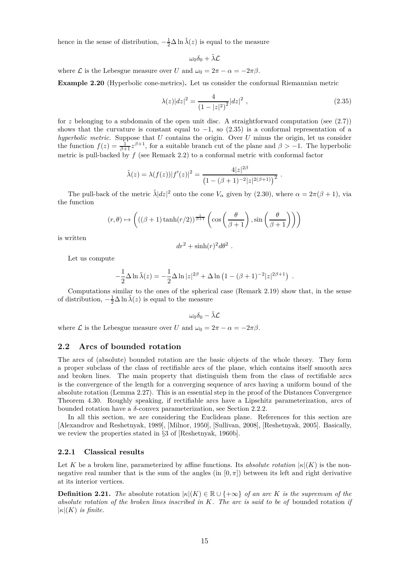hence in the sense of distribution,  $-\frac{1}{2}\Delta \ln \tilde{\lambda}(z)$  is equal to the measure

$$
\omega_0\delta_0+\tilde\lambda\mathcal{L}
$$

where  $\mathcal L$  is the Lebesgue measure over *U* and  $\omega_0 = 2\pi - \alpha = -2\pi\beta$ .

**Example 2.20** (Hyperbolic cone-metrics)**.** Let us consider the conformal Riemannian metric

$$
\lambda(z)|dz|^2 = \frac{4}{(1-|z|^2)^2}|dz|^2,
$$
\n(2.35)

for *z* belonging to a subdomain of the open unit disc. A straightforward computation (see  $(2.7)$ ) shows that the curvature is constant equal to  $-1$ , so (2.35) is a conformal representation of a *hyperbolic metric*. Suppose that *U* contains the origin. Over *U* minus the origin, let us consider the function  $f(z) = \frac{1}{\beta+1}z^{\beta+1}$ , for a suitable branch cut of the plane and  $\beta > -1$ . The hyperbolic metric is pull-backed by *f* (see Remark 2.2) to a conformal metric with conformal factor

$$
\tilde{\lambda}(z) = \lambda(f(z)) |f'(z)|^2 = \frac{4|z|^{2\beta}}{\left(1 - (\beta + 1)^{-2}|z|^{2(\beta + 1)}\right)^2}.
$$

The pull-back of the metric  $\tilde{\lambda}|dz|^2$  onto the cone  $V_\alpha$  given by (2.30), where  $\alpha = 2\pi(\beta + 1)$ , via the function

$$
(r,\theta) \mapsto \left( ((\beta+1)\tanh(r/2))^{\frac{1}{\beta+1}} \left( \cos\left(\frac{\theta}{\beta+1}\right), \sin\left(\frac{\theta}{\beta+1}\right) \right) \right)
$$

is written

$$
dr^2 + \sinh(r)^2 d\theta^2.
$$

Let us compute

$$
-\frac{1}{2}\Delta \ln \tilde{\lambda}(z) = -\frac{1}{2}\Delta \ln |z|^{2\beta} + \Delta \ln (1 - (\beta + 1)^{-2}|z|^{2\beta + 1}).
$$

Computations similar to the ones of the spherical case (Remark 2.19) show that, in the sense of distribution,  $-\frac{1}{2}\Delta \ln \tilde{\lambda}(z)$  is equal to the measure

$$
\omega_0\delta_0-\tilde\lambda\mathcal{L}
$$

where *L* is the Lebesgue measure over *U* and  $\omega_0 = 2\pi - \alpha = -2\pi\beta$ .

### **2.2 Arcs of bounded rotation**

The arcs of (absolute) bounded rotation are the basic objects of the whole theory. They form a proper subclass of the class of rectifiable arcs of the plane, which contains itself smooth arcs and broken lines. The main property that distinguish them from the class of rectifiable arcs is the convergence of the length for a converging sequence of arcs having a uniform bound of the absolute rotation (Lemma 2.27). This is an essential step in the proof of the Distances Convergence Theorem 4.30. Roughly speaking, if rectifiable arcs have a Lipschitz parameterization, arcs of bounded rotation have a *δ*-convex parameterization, see Section 2.2.2.

In all this section, we are considering the Euclidean plane. References for this section are [Alexandrov and Reshetnyak, 1989], [Milnor, 1950], [Sullivan, 2008], [Reshetnyak, 2005]. Basically, we review the properties stated in §3 of [Reshetnyak, 1960b].

#### **2.2.1 Classical results**

Let *K* be a broken line, parameterized by affine functions. Its *absolute rotation*  $|\kappa|(K)$  is the nonnegative real number that is the sum of the angles (in  $[0, \pi]$ ) between its left and right derivative at its interior vertices.

**Definition 2.21.** *The* absolute rotation  $|\kappa|(K) \in \mathbb{R} \cup \{+\infty\}$  *of an arc K is the supremum of the absolute rotation of the broken lines inscribed in K. The arc is said to be of* bounded rotation *if*  $|\kappa|(K)$  *is finite.*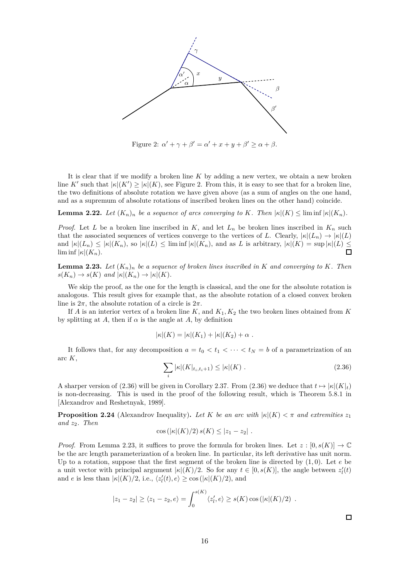

Figure 2:  $\alpha' + \gamma + \beta' = \alpha' + x + y + \beta' \ge \alpha + \beta$ .

It is clear that if we modify a broken line *K* by adding a new vertex, we obtain a new broken line *K'* such that  $|\kappa|(K') \ge |\kappa|(K)$ , see Figure 2. From this, it is easy to see that for a broken line, the two definitions of absolute rotation we have given above (as a sum of angles on the one hand, and as a supremum of absolute rotations of inscribed broken lines on the other hand) coincide.

**Lemma 2.22.** *Let*  $(K_n)_n$  *be a sequence of arcs converging to K. Then*  $|\kappa|(K) \leq \liminf |\kappa|(K_n)$ *.* 

*Proof.* Let *L* be a broken line inscribed in  $K$ , and let  $L_n$  be broken lines inscribed in  $K_n$  such that the associated sequences of vertices converge to the vertices of *L*. Clearly,  $|\kappa|(L_n) \to |\kappa|(L)$ and  $|\kappa|(L_n) \leq |\kappa|(K_n)$ , so  $|\kappa|(L) \leq \liminf |\kappa|(K_n)$ , and as *L* is arbitrary,  $|\kappa|(K) = \sup |\kappa|(L) \leq \liminf |\kappa|(K_n)$  $\liminf$   $|\kappa|(K_n)$ .

**Lemma 2.23.** Let  $(K_n)_n$  be a sequence of broken lines inscribed in K and converging to K. Then  $s(K_n) \to s(K)$  *and*  $|\kappa|(K_n) \to |\kappa|(K)$ .

We skip the proof, as the one for the length is classical, and the one for the absolute rotation is analogous. This result gives for example that, as the absolute rotation of a closed convex broken line is  $2\pi$ , the absolute rotation of a circle is  $2\pi$ .

If *A* is an interior vertex of a broken line  $K$ , and  $K_1, K_2$  the two broken lines obtained from  $K$ by splitting at *A*, then if  $\alpha$  is the angle at *A*, by definition

$$
|\kappa|(K) = |\kappa|(K_1) + |\kappa|(K_2) + \alpha.
$$

It follows that, for any decomposition  $a = t_0 < t_1 < \cdots < t_N = b$  of a parametrization of an arc *K*,

$$
\sum_{i} |\kappa|(K|_{t_i, t_i+1}) \le |\kappa|(K) . \tag{2.36}
$$

A sharper version of (2.36) will be given in Corollary 2.37. From (2.36) we deduce that  $t \mapsto |\kappa|(K|_t)$ is non-decreasing. This is used in the proof of the following result, which is Theorem 5.8.1 in [Alexandrov and Reshetnyak, 1989].

**Proposition 2.24** (Alexandrov Inequality). Let K be an arc with  $|\kappa|(K) < \pi$  and extremities  $z_1$ *and z*2*. Then*

$$
\cos(|\kappa|(K)/2) s(K) \leq |z_1 - z_2|.
$$

*Proof.* From Lemma 2.23, it suffices to prove the formula for broken lines. Let  $z : [0, s(K)] \to \mathbb{C}$ be the arc length parameterization of a broken line. In particular, its left derivative has unit norm. Up to a rotation, suppose that the first segment of the broken line is directed by (1*,* 0). Let *e* be a unit vector with principal argument  $|\kappa|(K)/2$ . So for any  $t \in [0, s(K)]$ , the angle between  $z'_{l}(t)$ and *e* is less than  $|\kappa|(K)/2$ , i.e.,  $\langle z'_{l}(t), e \rangle \ge \cos(|\kappa|(K)/2)$ , and

$$
|z_1 - z_2| \ge \langle z_1 - z_2, e \rangle = \int_0^{s(K)} \langle z'_i, e \rangle \ge s(K) \cos(|\kappa|(K)/2).
$$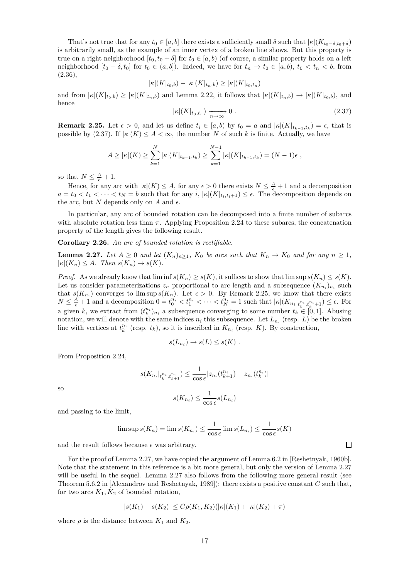That's not true that for any  $t_0 \in [a, b]$  there exists a sufficiently small  $\delta$  such that  $|\kappa|(K_{t_0-\delta,t_0+\delta})$ is arbitrarily small, as the example of an inner vertex of a broken line shows. But this property is true on a right neighborhood  $[t_0, t_0 + \delta]$  for  $t_0 \in [a, b)$  (of course, a similar property holds on a left neighborhood  $[t_0 - \delta, t_0]$  for  $t_0 \in (a, b]$ . Indeed, we have for  $t_n \to t_0 \in [a, b)$ ,  $t_0 < t_n < b$ , from (2.36),

$$
|\kappa|(K|_{t_0,b}) - |\kappa|(K|_{t_n,b}) \ge |\kappa|(K|_{t_0,t_n})
$$

and from  $|\kappa|(K|_{t_0,b}) \geq |\kappa|(K|_{t_n,b})$  and Lemma 2.22, it follows that  $|\kappa|(K|_{t_n,b}) \to |\kappa|(K|_{t_0,b})$ , and hence

$$
|\kappa|(K|_{t_0,t_n}) \xrightarrow[n \to \infty]{} 0 . \tag{2.37}
$$

**Remark 2.25.** Let  $\epsilon > 0$ , and let us define  $t_i \in [a, b)$  by  $t_0 = a$  and  $|\kappa|(K|_{t_{k-1}, t_k}) = \epsilon$ , that is possible by (2.37). If  $|\kappa|(K) \leq A < \infty$ , the number *N* of such *k* is finite. Actually, we have

$$
A \geq |\kappa|(K) \geq \sum_{k=1}^{N} |\kappa|(K|_{t_{k-1},t_k}) \geq \sum_{k=1}^{N-1} |\kappa|(K|_{t_{k-1},t_k}) = (N-1)\epsilon,
$$

so that  $N \leq \frac{A}{\epsilon} + 1$ .

Hence, for any arc with  $|\kappa|(K) \leq A$ , for any  $\epsilon > 0$  there exists  $N \leq \frac{A}{\epsilon} + 1$  and a decomposition  $a = t_0 < t_1 < \cdots < t_N = b$  such that for any *i*,  $|\kappa|(K|_{t_i,t_i+1}) \leq \epsilon$ . The decomposition depends on the arc, but *N* depends only on *A* and  $\epsilon$ .

In particular, any arc of bounded rotation can be decomposed into a finite number of subarcs with absolute rotation less than *π*. Applying Proposition 2.24 to these subarcs, the concatenation property of the length gives the following result.

**Corollary 2.26.** *An arc of bounded rotation is rectifiable.*

**Lemma 2.27.** Let  $A \geq 0$  and let  $(K_n)_{n>1}$ ,  $K_0$  be arcs such that  $K_n \to K_0$  and for any  $n \geq 1$ ,  $|\kappa|(K_n) \leq A$ *. Then*  $s(K_n) \to s(K)$ *.* 

*Proof.* As we already know that  $\liminf s(K_n) \ge s(K)$ , it suffices to show that  $\limsup s(K_n) \le s(K)$ . Let us consider parameterizations  $z_n$  proportional to arc length and a subsequence  $(K_{n_i})_{n_i}$  such that  $s(K_{n_i})$  converges to lim sup  $s(K_n)$ . Let  $\epsilon > 0$ . By Remark 2.25, we know that there exists  $N \leq \frac{A}{\epsilon} + 1$  and a decomposition  $0 = t_0^{n_i} < t_1^{n_i} < \cdots < t_N^{n_i} = 1$  such that  $|\kappa|(K_{n_i}|_{t_k^{n_i}, t_k^{n_i}+1}) \leq \epsilon$ . For a given *k*, we extract from  $(t_k^{n_i})_{n_i}$  a subsequence converging to some number  $t_k \in [0,1]$ . Abusing notation, we will denote with the same indices  $n_i$  this subsequence. Let  $L_{n_i}$  (resp.  $L$ ) be the broken line with vertices at  $t_k^{n_i}$  (resp.  $t_k$ ), so it is inscribed in  $K_{n_i}$  (resp.  $K$ ). By construction,

$$
s(L_{n_i}) \to s(L) \leq s(K) .
$$

From Proposition 2.24,

$$
s(K_{n_i}|_{t_k^{n_i},t_{k+1}^{n_i}}) \leq \frac{1}{\cos \epsilon} |z_{n_i}(t_{k+1}^{n_i}) - z_{n_i}(t_k^{n_i})|
$$

so

$$
s(K_{n_i}) \le \frac{1}{\cos \epsilon} s(L_{n_i})
$$

and passing to the limit,

$$
\limsup s(K_n) = \lim s(K_{n_i}) \le \frac{1}{\cos \epsilon} \lim s(L_{n_i}) \le \frac{1}{\cos \epsilon} s(K)
$$

and the result follows because  $\epsilon$  was arbitrary.

For the proof of Lemma 2.27, we have copied the argument of Lemma 6.2 in [Reshetnyak, 1960b]. Note that the statement in this reference is a bit more general, but only the version of Lemma 2.27 will be useful in the sequel. Lemma 2.27 also follows from the following more general result (see Theorem 5.6.2 in [Alexandrov and Reshetnyak, 1989]): there exists a positive constant *C* such that, for two arcs  $K_1, K_2$  of bounded rotation,

$$
|s(K_1) - s(K_2)| \le C\rho(K_1, K_2)(|\kappa|(K_1) + |\kappa|(K_2) + \pi)
$$

where  $\rho$  is the distance between  $K_1$  and  $K_2$ .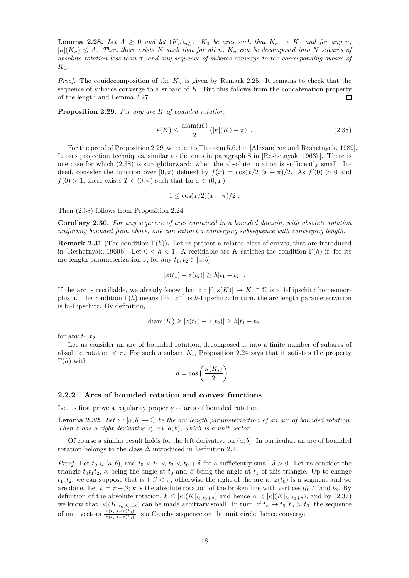**Lemma 2.28.** *Let*  $A \geq 0$  *and let*  $(K_n)_{n\geq 1}$ *,*  $K_0$  *be arcs such that*  $K_n \rightarrow K_0$  *and for any n*,  $|\kappa|(K_n) \leq A$ . Then there exists N such that for all n,  $K_n$  can be decomposed into N subarcs of *absolute rotation less than π, and any sequence of subarcs converge to the corresponding subarc of K*0*.*

*Proof.* The equidecomposition of the *K<sup>n</sup>* is given by Remark 2.25. It remains to check that the sequence of subarcs converge to a subarc of *K*. But this follows from the concatenation property of the length and Lemma 2.27.  $\Box$ 

**Proposition 2.29.** *For any arc K of bounded rotation,*

$$
s(K) \le \frac{\text{diam}(K)}{2} \left( |\kappa|(K) + \pi \right) \tag{2.38}
$$

For the proof of Proposition 2.29, we refer to Theorem 5.6.1 in [Alexandrov and Reshetnyak, 1989]. It uses projection techniques, similar to the ones in paragraph 8 in [Reshetnyak, 1963b]. There is one case for which (2.38) is straightforward: when the absolute rotation is sufficiently small. Indeed, consider the function over  $[0, \pi)$  defined by  $f(x) = \cos(x/2)(x + \pi)/2$ . As  $f'(0) > 0$  and  $f(0) > 1$ , there exists  $T \in (0, \pi)$  such that for  $x \in (0, T)$ ,

$$
1 \leq \cos(x/2)(x+\pi)/2.
$$

Then (2.38) follows from Proposition 2.24

**Corollary 2.30.** *For any sequence of arcs contained in a bounded domain, with absolute rotation uniformly bounded from above, one can extract a converging subsequence with converging length.*

**Remark 2.31** (The condition  $\Gamma(h)$ ). Let us present a related class of curves, that are introduced in [Reshetnyak, 1960b]. Let  $0 < h < 1$ . A rectifiable arc K satisfies the condition  $\Gamma(h)$  if, for its arc length parameterization *z*, for any  $t_1, t_2 \in [a, b]$ ,

$$
|z(t_1)-z(t_2)|\geq h|t_1-t_2|.
$$

If the arc is rectifiable, we already know that  $z : [0, s(K)] \to K \subset \mathbb{C}$  is a 1-Lipschitz homeomorphism. The condition  $\Gamma(h)$  means that  $z^{-1}$  is *h*-Lipschitz. In turn, the arc length parameterization is bi-Lipschitz. By definition,

$$
diam(K) \ge |z(t_1) - z(t_2)| \ge h|t_1 - t_2|
$$

for any  $t_1, t_2$ .

Let us consider an arc of bounded rotation, decomposed it into a finite number of subarcs of absolute rotation  $\lt \pi$ . For such a subarc  $K_i$ , Proposition 2.24 says that it satisfies the property Γ(*h*) with

$$
h = \cos\left(\frac{\kappa(K_i)}{2}\right) \ .
$$

### **2.2.2 Arcs of bounded rotation and convex functions**

Let us first prove a regularity property of arcs of bounded rotation.

**Lemma 2.32.** Let  $z : [a, b] \to \mathbb{C}$  be the arc length parameterization of an arc of bounded rotation. *Then z has a right derivative*  $z'_r$  *on* [ $a, b$ )*, which is a unit vector.* 

Of course a similar result holds for the left derivative on (*a, b*]. In particular, an arc of bounded rotation belongs to the class  $\Delta$  introduced in Definition 2.1.

*Proof.* Let  $t_0 \in [a, b)$ , and  $t_0 < t_1 < t_2 < t_0 + \delta$  for a sufficiently small  $\delta > 0$ . Let us consider the triangle  $t_0 t_1 t_2$ ,  $\alpha$  being the angle at  $t_0$  and  $\beta$  being the angle at  $t_1$  of this triangle. Up to change  $t_1, t_2$ , we can suppose that  $\alpha + \beta < \pi$ , otherwise the right of the arc at  $z(t_0)$  is a segment and we are done. Let  $k = \pi - \beta$ ; *k* is the absolute rotation of the broken line with vertices  $t_0, t_1$  and  $t_2$ . By definition of the absolute rotation,  $k \leq |\kappa| (K|_{t_0,t_0+\delta})$  and hence  $\alpha < |\kappa| (K|_{t_0,t_0+\delta})$ , and by (2.37) we know that  $|\kappa|(K|_{t_0,t_0+\delta})$  can be made arbitrary small. In turn, if  $t_n \to t_0, t_n > t_0$ , the sequence of unit vectors  $\frac{z(t_n)-z(t_0)}{|z(t_n)-z(t_0)|}$  is a Cauchy sequence on the unit circle, hence converge.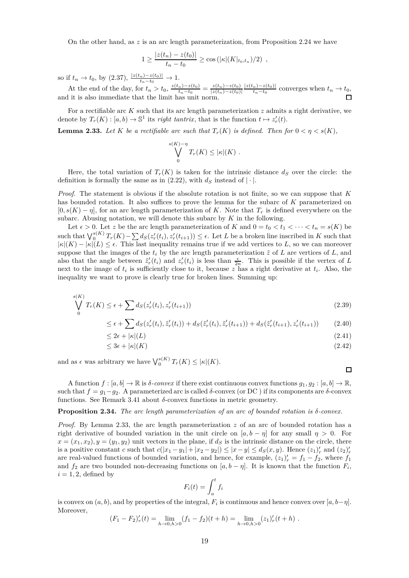On the other hand, as  $z$  is an arc length parameterization, from Proposition 2.24 we have

$$
1 \geq \frac{|z(t_n) - z(t_0)|}{t_n - t_0} \geq \cos(|\kappa|(K|_{t_0, t_n})/2),
$$

so if  $t_n \to t_0$ , by (2.37),  $\frac{|z(t_n) - z(t_0)|}{t_n - t_0} \to 1$ .

At the end of the day, for  $t_n > t_0$ ,  $\frac{z(t_n) - z(t_0)}{t_n - t_0}$  $\frac{z(t_0)}{t_n-t_0} = \frac{z(t_n)-z(t_0)}{|z(t_n)-z(t_0)|}$ |*z*(*tn*)−*z*(*t*0)| |*z*(*tn*)−*z*(*t*0)|  $\frac{n}{t_n-t_0}$  converges when  $t_n \to t_0$ , and it is also immediate that the limit has unit norm.

For a rectifiable arc *K* such that its arc length parameterization *z* admits a right derivative, we denote by  $T_r(K) : [a, b) \to \mathbb{S}^1$  its *right tantrix*, that is the function  $t \mapsto z'_r(t)$ .

**Lemma 2.33.** *Let K be a rectifiable arc such that*  $T_r(K)$  *is defined. Then for*  $0 < \eta < s(K)$ *,* 

$$
\bigvee_0^{s(K)-\eta} T_r(K) \leq |\kappa|(K) .
$$

Here, the total variation of  $T_r(K)$  is taken for the intrinsic distance  $d_S$  over the circle: the definition is formally the same as in  $(2.22)$ , with  $d<sub>S</sub>$  instead of  $|\cdot|$ .

*Proof.* The statement is obvious if the absolute rotation is not finite, so we can suppose that *K* has bounded rotation. It also suffices to prove the lemma for the subarc of *K* parameterized on  $[0, s(K) - \eta]$ , for an arc length parameterization of *K*. Note that  $T_r$  is defined everywhere on the subarc. Abusing notation, we will denote this subarc by *K* in the following.

Let  $\epsilon > 0$ . Let *z* be the arc length parameterization of *K* and  $0 = t_0 < t_1 < \cdots < t_n = s(K)$  be such that  $\bigvee_0^{s(K)} T_r(K) - \sum d_S(z'_r(t_i), z'_r(t_{i+1})) \leq \epsilon$ . Let L be a broken line inscribed in K such that  $|\kappa|(K) - |\kappa|(L) \leq \epsilon$ . This last inequality remains true if we add vertices to L, so we can moreover suppose that the images of the  $t_i$  by the arc length parameterization  $\tilde{z}$  of  $L$  are vertices of  $L$ , and also that the angle between  $\tilde{z}'_r(t_i)$  and  $z'_r(t_i)$  is less than  $\frac{\epsilon}{2n}$ . This is possible if the vertex of *L* next to the image of  $t_i$  is sufficiently close to it, because  $z$  has a right derivative at  $t_i$ . Also, the inequality we want to prove is clearly true for broken lines. Summing up:

$$
\bigvee_{0}^{s(K)} T_r(K) \le \epsilon + \sum_{i} d_S(z'_r(t_i), z'_r(t_{i+1})) \tag{2.39}
$$

$$
\leq \epsilon + \sum d_{S}(z'_{r}(t_{i}), \tilde{z}'_{r}(t_{i})) + d_{S}(\tilde{z}'_{r}(t_{i}), \tilde{z}'_{r}(t_{i+1})) + d_{S}(\tilde{z}'_{r}(t_{i+1}), z'_{r}(t_{i+1})) \tag{2.40}
$$

$$
\leq 2\epsilon + |\kappa|(L) \tag{2.41}
$$
\n
$$
\leq 3\epsilon + |\kappa|(K) \tag{2.42}
$$

and as  $\epsilon$  was arbitrary we have  $\bigvee_0^{s(K)} T_r(K) \leq |\kappa|(K)$ .

A function  $f : [a, b] \to \mathbb{R}$  is  $\delta$ -convex if there exist continuous convex functions  $g_1, g_2 : [a, b] \to \mathbb{R}$ , such that  $f = g_1 - g_2$ . A parameterized arc is called  $\delta$ -convex (or DC) if its components are  $\delta$ -convex functions. See Remark 3.41 about *δ*-convex functions in metric geometry.

#### **Proposition 2.34.** *The arc length parameterization of an arc of bounded rotation is δ-convex.*

*Proof.* By Lemma 2.33, the arc length parameterization *z* of an arc of bounded rotation has a right derivative of bounded variation in the unit circle on  $[a, b - \eta]$  for any small  $\eta > 0$ . For  $x = (x_1, x_2), y = (y_1, y_2)$  unit vectors in the plane, if  $d_S$  is the intrinsic distance on the circle, there is a positive constant *c* such that  $c(|x_1 - y_1| + |x_2 - y_2|) \le |x - y| \le d_S(x, y)$ . Hence  $(z_1)'_r$  and  $(z_2)'_r$ are real-valued functions of bounded variation, and hence, for example,  $(z_1)'_r = f_1 - f_2$ , where  $f_1$ and  $f_2$  are two bounded non-decreasing functions on  $[a, b - \eta]$ . It is known that the function  $F_i$ ,  $i = 1, 2$ , defined by

$$
F_i(t) = \int_a^t f_i
$$

is convex on  $(a, b)$ , and by properties of the integral,  $F_i$  is continuous and hence convex over  $[a, b-\eta]$ . Moreover,

$$
(F_1 - F_2)'_r(t) = \lim_{h \to 0, h > 0} (f_1 - f_2)(t + h) = \lim_{h \to 0, h > 0} (z_1)'_r(t + h) .
$$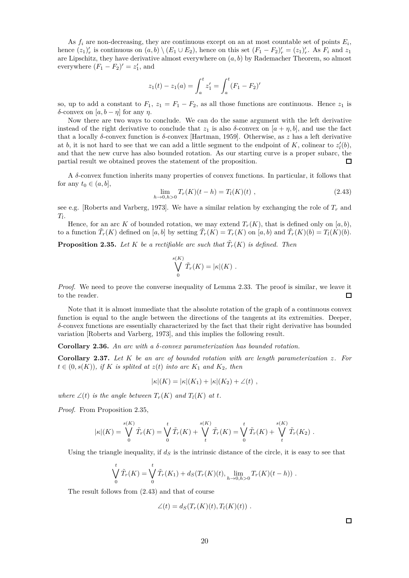As  $f_i$  are non-decreasing, they are continuous except on an at most countable set of points  $E_i$ , hence  $(z_1)'_r$  is continuous on  $(a, b) \setminus (E_1 \cup E_2)$ , hence on this set  $(F_1 - F_2)'_r = (z_1)'_r$ . As  $F_i$  and  $z_1$ are Lipschitz, they have derivative almost everywhere on (*a, b*) by Rademacher Theorem, so almost everywhere  $(F_1 - F_2)' = z'_1$ , and

$$
z_1(t) - z_1(a) = \int_a^t z'_1 = \int_a^t (F_1 - F_2)'
$$

so, up to add a constant to  $F_1$ ,  $z_1 = F_1 - F_2$ , as all those functions are continuous. Hence  $z_1$  is *δ*-convex on  $[a, b - η]$  for any *η*.

Now there are two ways to conclude. We can do the same argument with the left derivative instead of the right derivative to conclude that  $z_1$  is also  $\delta$ -convex on  $[a + \eta, b]$ , and use the fact that a locally *δ*-convex function is *δ*-convex [Hartman, 1959]. Otherwise, as *z* has a left derivative at *b*, it is not hard to see that we can add a little segment to the endpoint of  $K$ , colinear to  $z'_{l}(b)$ , and that the new curve has also bounded rotation. As our starting curve is a proper subarc, the partial result we obtained proves the statement of the proposition.  $\Box$ 

A *δ*-convex function inherits many properties of convex functions. In particular, it follows that for any  $t_0 \in (a, b]$ ,

$$
\lim_{h \to 0, h > 0} T_r(K)(t - h) = T_l(K)(t) , \qquad (2.43)
$$

see e.g. [Roberts and Varberg, 1973]. We have a similar relation by exchanging the role of  $T_r$  and *Tl* .

Hence, for an arc *K* of bounded rotation, we may extend  $T_r(K)$ , that is defined only on [a, b), to a function  $\tilde{T}_r(K)$  defined on [a, b] by setting  $\tilde{T}_r(K) = T_r(K)$  on [a, b) and  $\tilde{T}_r(K)(b) = T_l(K)(b)$ .

**Proposition 2.35.** Let  $K$  be a rectifiable arc such that  $\tilde{T}_r(K)$  is defined. Then

$$
\bigvee_0^{s(K)} \tilde{T}_r(K) = |\kappa|(K) .
$$

*Proof.* We need to prove the converse inequality of Lemma 2.33. The proof is similar, we leave it to the reader.  $\Box$ 

Note that it is almost immediate that the absolute rotation of the graph of a continuous convex function is equal to the angle between the directions of the tangents at its extremities. Deeper, *δ*-convex functions are essentially characterized by the fact that their right derivative has bounded variation [Roberts and Varberg, 1973], and this implies the following result.

**Corollary 2.36.** *An arc with a δ-convex parameterization has bounded rotation.*

**Corollary 2.37.** *Let K be an arc of bounded rotation with arc length parameterization z. For*  $t \in (0, s(K))$ , if *K* is splited at  $z(t)$  into arc  $K_1$  and  $K_2$ , then

$$
|\kappa|(K) = |\kappa|(K_1) + |\kappa|(K_2) + \angle(t) ,
$$

*where*  $\angle$ (*t*) *is the angle between*  $T_r(K)$  *and*  $T_l(K)$  *at t.* 

*Proof.* From Proposition 2.35,

$$
|\kappa|(K) = \bigvee_{0}^{s(K)} \tilde{T}_{r}(K) = \bigvee_{0}^{t} \tilde{T}_{r}(K) + \bigvee_{t}^{s(K)} \tilde{T}_{r}(K) = \bigvee_{0}^{t} \tilde{T}_{r}(K) + \bigvee_{t}^{s(K)} \tilde{T}_{r}(K_{2}).
$$

Using the triangle inequality, if  $d<sub>S</sub>$  is the intrinsic distance of the circle, it is easy to see that

$$
\bigvee_0^t \tilde{T}_r(K) = \bigvee_0^t \tilde{T}_r(K_1) + d_S(T_r(K)(t), \lim_{h \to 0, h > 0} T_r(K)(t - h)).
$$

The result follows from (2.43) and that of course

$$
\angle(t) = d_S(T_r(K)(t), T_l(K)(t)) .
$$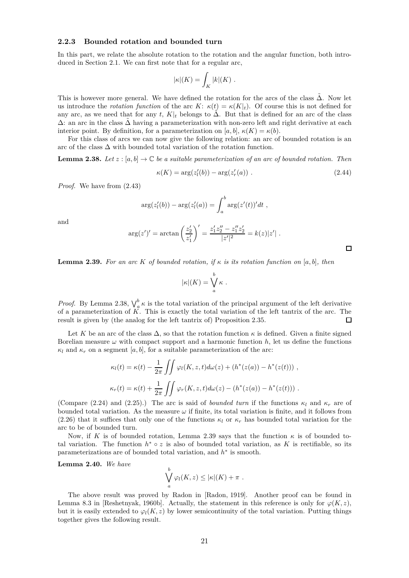#### **2.2.3 Bounded rotation and bounded turn**

In this part, we relate the absolute rotation to the rotation and the angular function, both introduced in Section 2.1. We can first note that for a regular arc,

$$
|\kappa|(K) = \int_K |k|(K) .
$$

This is however more general. We have defined the rotation for the arcs of the class  $\Delta$ . Now let us introduce the *rotation function* of the arc  $K: \kappa(t) = \kappa(K|t)$ . Of course this is not defined for any arc, as we need that for any *t*,  $K|_t$  belongs to  $\tilde{\Delta}$ . But that is defined for an arc of the class  $\Delta$ : an arc in the class  $\Delta$  having a parameterization with non-zero left and right derivative at each interior point. By definition, for a parameterization on [ $a, b$ ],  $\kappa(K) = \kappa(b)$ .

For this class of arcs we can now give the following relation: an arc of bounded rotation is an arc of the class  $\Delta$  with bounded total variation of the rotation function.

**Lemma 2.38.** Let  $z : [a, b] \to \mathbb{C}$  be a suitable parameterization of an arc of bounded rotation. Then

$$
\kappa(K) = \arg(z'_l(b)) - \arg(z'_r(a)) . \tag{2.44}
$$

*Proof.* We have from (2.43)

$$
\arg(z'_{l}(b)) - \arg(z'_{l}(a)) = \int_{a}^{b} \arg(z'(t))' dt,
$$

and

$$
\arg(z')' = \arctan\left(\frac{z_2'}{z_1'}\right)' = \frac{z_1'z_2'' - z_1''z_2'}{|z'|^2} = k(z)|z'|.
$$

**Lemma 2.39.** For an arc K of bounded rotation, if  $\kappa$  is its rotation function on [a, b], then

$$
|\kappa|(K) = \bigvee^b_a \kappa.
$$

*Proof.* By Lemma 2.38,  $\bigvee_{a}^{b} \kappa$  is the total variation of the principal argument of the left derivative of a parameterization of *K*. This is exactly the total variation of the left tantrix of the arc. The result is given by (the analog for the left tantrix of) Proposition 2.35.  $\Box$ 

Let K be an arc of the class  $\Delta$ , so that the rotation function  $\kappa$  is defined. Given a finite signed Borelian measure  $\omega$  with compact support and a harmonic function  $h$ , let us define the functions  $\kappa_l$  and  $\kappa_r$  on a segment [*a, b*], for a suitable parameterization of the arc:

$$
\kappa_l(t) = \kappa(t) - \frac{1}{2\pi} \iint \varphi_l(K, z, t) d\omega(z) + (h^*(z(a)) - h^*(z(t))) ,
$$
  

$$
\kappa_r(t) = \kappa(t) + \frac{1}{2\pi} \iint \varphi_r(K, z, t) d\omega(z) - (h^*(z(a)) - h^*(z(t))).
$$

(Compare (2.24) and (2.25).) The arc is said of *bounded turn* if the functions  $\kappa_l$  and  $\kappa_r$  are of bounded total variation. As the measure  $\omega$  if finite, its total variation is finite, and it follows from (2.26) that it suffices that only one of the functions  $\kappa_l$  or  $\kappa_r$  has bounded total variation for the arc to be of bounded turn.

Now, if *K* is of bounded rotation, Lemma 2.39 says that the function  $\kappa$  is of bounded total variation. The function  $h^* \circ z$  is also of bounded total variation, as K is rectifiable, so its parameterizations are of bounded total variation, and  $h^*$  is smooth.

**Lemma 2.40.** *We have*

$$
\bigvee_a^b \varphi_l(K, z) \leq |\kappa|(K) + \pi.
$$

The above result was proved by Radon in [Radon, 1919]. Another proof can be found in Lemma 8.3 in [Reshetnyak, 1960b]. Actually, the statement in this reference is only for  $\varphi(K, z)$ , but it is easily extended to  $\varphi_l(K, z)$  by lower semicontinuity of the total variation. Putting things together gives the following result.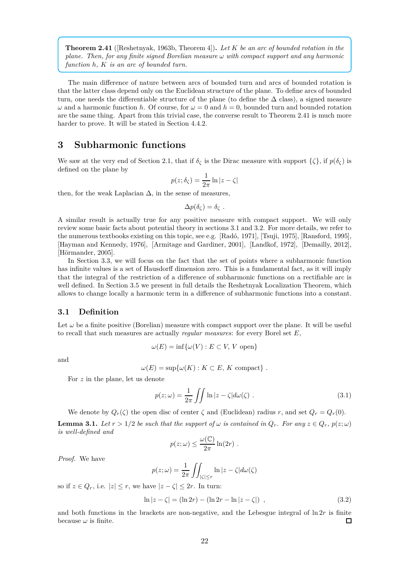**Theorem 2.41** ([Reshetnyak, 1963b, Theorem 4])**.** *Let K be an arc of bounded rotation in the plane. Then, for any finite signed Borelian measure ω with compact support and any harmonic function h, K is an arc of bounded turn.*

The main difference of nature between arcs of bounded turn and arcs of bounded rotation is that the latter class depend only on the Euclidean structure of the plane. To define arcs of bounded turn, one needs the differentiable structure of the plane (to define the  $\Delta$  class), a signed measure *ω* and a harmonic function *h*. Of course, for  $ω = 0$  and  $h = 0$ , bounded turn and bounded rotation are the same thing. Apart from this trivial case, the converse result to Theorem 2.41 is much more harder to prove. It will be stated in Section 4.4.2.

# **3 Subharmonic functions**

We saw at the very end of Section 2.1, that if  $\delta_{\zeta}$  is the Dirac measure with support  $\{\zeta\}$ , if  $p(\delta_{\zeta})$  is defined on the plane by

$$
p(z; \delta_{\zeta}) = \frac{1}{2\pi} \ln|z - \zeta|
$$

then, for the weak Laplacian  $\Delta$ , in the sense of measures,

$$
\Delta p(\delta_{\zeta}) = \delta_{\zeta} .
$$

A similar result is actually true for any positive measure with compact support. We will only review some basic facts about potential theory in sections 3.1 and 3.2. For more details, we refer to the numerous textbooks existing on this topic, see e.g. [Radó, 1971], [Tsuji, 1975], [Ransford, 1995], [Hayman and Kennedy, 1976], [Armitage and Gardiner, 2001], [Landkof, 1972], [Demailly, 2012], [Hörmander, 2005].

In Section 3.3, we will focus on the fact that the set of points where a subharmonic function has infinite values is a set of Hausdorff dimension zero. This is a fundamental fact, as it will imply that the integral of the restriction of a difference of subharmonic functions on a rectifiable arc is well defined. In Section 3.5 we present in full details the Reshetnyak Localization Theorem, which allows to change locally a harmonic term in a difference of subharmonic functions into a constant.

# **3.1 Definition**

Let  $\omega$  be a finite positive (Borelian) measure with compact support over the plane. It will be useful to recall that such measures are actually *regular measures*: for every Borel set *E*,

$$
\omega(E) = \inf \{ \omega(V) : E \subset V, V \text{ open} \}
$$

and

$$
\omega(E) = \sup \{ \omega(K) : K \subset E, K \text{ compact} \} .
$$

For *z* in the plane, let us denote

$$
p(z; \omega) = \frac{1}{2\pi} \iint \ln|z - \zeta| d\omega(\zeta) . \tag{3.1}
$$

We denote by  $Q_r(\zeta)$  the open disc of center  $\zeta$  and (Euclidean) radius *r*, and set  $Q_r = Q_r(0)$ .

**Lemma 3.1.** Let  $r > 1/2$  be such that the support of  $\omega$  is contained in  $Q_r$ . For any  $z \in Q_r$ ,  $p(z; \omega)$ *is well-defined and*

$$
p(z; \omega) \leq \frac{\omega(\mathbb{C})}{2\pi} \ln(2r) .
$$

*Proof.* We have

$$
p(z; \omega) = \frac{1}{2\pi} \iint_{|\zeta| \le r} \ln |z - \zeta| d\omega(\zeta)
$$

so if  $z \in Q_r$ , i.e.  $|z| \leq r$ , we have  $|z - \zeta| \leq 2r$ . In turn:

$$
\ln|z-\zeta| = (\ln 2r) - (\ln 2r - \ln|z-\zeta|) , \qquad (3.2)
$$

and both functions in the brackets are non-negative, and the Lebesgue integral of  $\ln 2r$  is finite because  $\omega$  is finite.  $\Box$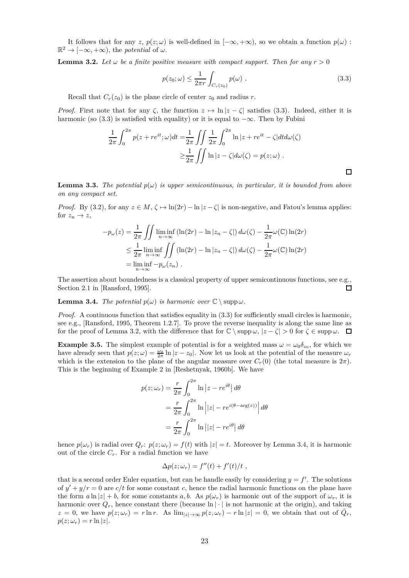It follows that for any  $z$ ,  $p(z; \omega)$  is well-defined in  $[-\infty, +\infty)$ , so we obtain a function  $p(\omega)$ :  $\mathbb{R}^2 \to [-\infty, +\infty)$ , the *potential* of  $\omega$ .

**Lemma 3.2.** Let  $\omega$  be a finite positive measure with compact support. Then for any  $r > 0$ 

$$
p(z_0; \omega) \le \frac{1}{2\pi r} \int_{C_r(z_0)} p(\omega) . \tag{3.3}
$$

 $\Box$ 

Recall that  $C_r(z_0)$  is the plane circle of center  $z_0$  and radius *r*.

*Proof.* First note that for any  $\zeta$ , the function  $z \mapsto \ln |z - \zeta|$  satisfies (3.3). Indeed, either it is harmonic (so (3.3) is satisfied with equality) or it is equal to  $-\infty$ . Then by Fubini

$$
\frac{1}{2\pi} \int_0^{2\pi} p(z + re^{it}; \omega) dt = \frac{1}{2\pi} \iint \frac{1}{2\pi} \int_0^{2\pi} \ln|z + re^{it} - \zeta| dt d\omega(\zeta)
$$

$$
\geq \frac{1}{2\pi} \iint \ln|z - \zeta| d\omega(\zeta) = p(z; \omega) .
$$

**Lemma 3.3.** *The potential*  $p(\omega)$  *is upper semicontinuous, in particular, it is bounded from above on any compact set.*

*Proof.* By (3.2), for any  $z \in M$ ,  $\zeta \mapsto \ln(2r) - \ln|z - \zeta|$  is non-negative, and Fatou's lemma applies: for  $z_n \to z$ ,

$$
-p_{\omega}(z) = \frac{1}{2\pi} \iint \liminf_{n \to \infty} (\ln(2r) - \ln|z_n - \zeta|) d\omega(\zeta) - \frac{1}{2\pi} \omega(\mathbb{C}) \ln(2r)
$$
  
\n
$$
\leq \frac{1}{2\pi} \liminf_{n \to \infty} \iint (\ln(2r) - \ln|z_n - \zeta|) d\omega(\zeta) - \frac{1}{2\pi} \omega(\mathbb{C}) \ln(2r)
$$
  
\n
$$
= \liminf_{n \to \infty} -p_{\omega}(z_n) .
$$

The assertion about boundedness is a classical property of upper semicontinuous functions, see e.g., Section 2.1 in [Ransford, 1995].  $\Box$ 

**Lemma 3.4.** *The potential*  $p(\omega)$  *is harmonic over*  $\mathbb{C} \setminus \text{supp }\omega$ *.* 

*Proof.* A continuous function that satisfies equality in (3.3) for sufficiently small circles is harmonic, see e.g., [Ransford, 1995, Theorem 1.2.7]. To prove the reverse inequality is along the same line as for the proof of Lemma 3.2, with the difference that for  $\mathbb{C} \setminus \text{supp }\omega$ ,  $|z-\zeta| > 0$  for  $\zeta \in \text{supp }\omega$ .  $\Box$ 

**Example 3.5.** The simplest example of potential is for a weighted mass  $\omega = \omega_0 \delta_{z_0}$ , for which we have already seen that  $p(z; \omega) = \frac{\omega_0}{2\pi} \ln |z - z_0|$ . Now let us look at the potential of the measure  $\omega_r$ which is the extension to the plane of the angular measure over  $C_r(0)$  (the total measure is  $2\pi$ ). This is the beginning of Example 2 in [Reshetnyak, 1960b]. We have

$$
p(z; \omega_r) = \frac{r}{2\pi} \int_0^{2\pi} \ln |z - re^{i\theta}| d\theta
$$
  
=  $\frac{r}{2\pi} \int_0^{2\pi} \ln |z| - re^{i(\theta - \arg(z))}| d\theta$   
=  $\frac{r}{2\pi} \int_0^{2\pi} \ln |z| - re^{i\theta}| d\theta$ 

hence  $p(\omega_r)$  is radial over  $Q_r$ :  $p(z; \omega_r) = f(t)$  with  $|z| = t$ . Moreover by Lemma 3.4, it is harmonic out of the circle  $C_r$ . For a radial function we have

$$
\Delta p(z; \omega_r) = f''(t) + f'(t)/t,
$$

that is a second order Euler equation, but can be handle easily by considering  $y = f'$ . The solutions of  $y' + y/r = 0$  are  $c/t$  for some constant c, hence the radial harmonic functions on the plane have the form  $a \ln |z| + b$ , for some constants  $a, b$ . As  $p(\omega_r)$  is harmonic out of the support of  $\omega_r$ , it is harmonic over  $Q_r$ , hence constant there (because  $\ln |\cdot|$  is not harmonic at the origin), and taking  $z = 0$ , we have  $p(z; \omega_r) = r \ln r$ . As  $\lim_{|z| \to \infty} p(z, \omega_r) - r \ln |z| = 0$ , we obtain that out of  $\overline{Q}_r$ ,  $p(z; \omega_r) = r \ln |z|$ .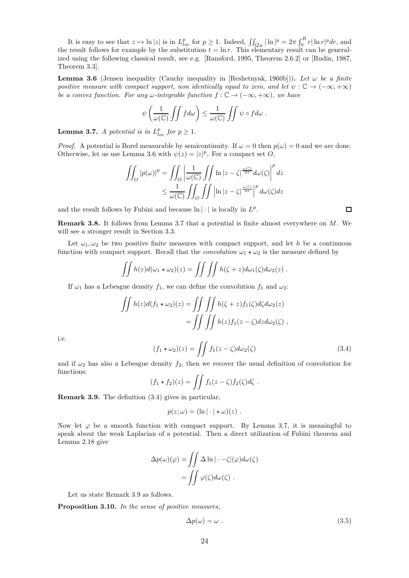It is easy to see that  $z \mapsto \ln |z|$  is in  $L_{loc}^p$  for  $p \ge 1$ . Indeed,  $\iint_{Q_R} |\ln|^p = 2\pi \int_0^R r |\ln r|^p dr$ , and the result follows for example by the substitution  $t = \ln r$ . This elementary result can be generalized using the following classical result, see e.g. [Ransford, 1995, Theorem 2.6.2] or [Rudin, 1987, Theorem 3.3].

**Lemma 3.6** (Jensen inequality (Cauchy inequality in [Reshetnyak, 1960b])). Let  $\omega$  be a finite *positive measure with compact support, non identically equal to zero, and let*  $\psi : \mathbb{C} \to (-\infty, +\infty)$ *be a convex function. For any*  $\omega$ *-integrable function*  $f : \mathbb{C} \to (-\infty, +\infty)$ *, we have* 

$$
\psi\left(\frac{1}{\omega(\mathbb{C})}\iint f d\omega\right) \leq \frac{1}{\omega(\mathbb{C})}\iint \psi \circ f d\omega.
$$

**Lemma 3.7.** *A potential is in*  $L_{loc}^p$  *for*  $p \geq 1$ *.* 

*Proof.* A potential is Borel measurable by semicontinuity. If  $\omega = 0$  then  $p(\omega) = 0$  and we are done. Otherwise, let us use Lemma 3.6 with  $\psi(z) = |z|^p$ . For a compact set *O*,

$$
\iint_O |p(\omega)|^p = \iint_O \left| \frac{1}{\omega(C)} \iint_D \ln|z - \zeta|^{\frac{\omega(C)}{2\pi}} d\omega(\zeta) \right|^p dz
$$
  

$$
\leq \frac{1}{\omega(C)} \iint_O \iint \left| \ln|z - \zeta|^{\frac{\omega(C)}{2\pi}} \right|^p d\omega(\zeta) dz
$$

and the result follows by Fubini and because  $\ln |\cdot|$  is locally in  $L^p$ .

**Remark 3.8.** It follows from Lemma 3.7 that a potential is finite almost everywhere on *M*. We will see a stronger result in Section 3.3.

Let  $\omega_1, \omega_2$  be two positive finite measures with compact support, and let *h* be a continuous function with compact support. Recall that the *convolution*  $\omega_1 \star \omega_2$  is the measure defined by

$$
\iint h(z)d(\omega_1 \star \omega_2)(z) = \iint \iint h(\zeta + z)d\omega_1(\zeta)d\omega_2(z) .
$$

If  $\omega_1$  has a Lebesgue density  $f_1$ , we can define the convolution  $f_1$  and  $\omega_2$ :

$$
\iint h(z)d(f_1 \star \omega_2)(z) = \iint \iint h(\zeta + z) f_1(\zeta) d\zeta d\omega_2(z)
$$

$$
= \iint \iint h(z) f_1(z - \zeta) dz d\omega_2(\zeta) ,
$$

i.e.

$$
(f_1 * \omega_2)(z) = \iint f_1(z - \zeta) d\omega_2(\zeta)
$$
\n(3.4)

and if  $\omega_2$  has also a Lebesgue density  $f_2$ , then we recover the usual definition of convolution for functions:

$$
(f_1 * f_2)(z) = \iint f_1(z - \zeta) f_2(\zeta) d\zeta.
$$

**Remark 3.9.** The definition (3.4) gives in particular,

$$
p(z; \omega) = (\ln |\cdot| * \omega)(z) .
$$

Now let  $\varphi$  be a smooth function with compact support. By Lemma 3.7, it is meaningful to speak about the weak Laplacian of a potential. Then a direct utilization of Fubini theorem and Lemma 2.18 give

$$
\Delta p(\omega)(\varphi) = \iint \Delta \ln |\cdot - \zeta|(\varphi) d\omega(\zeta)
$$

$$
= \iint \varphi(\zeta) d\omega(\zeta) .
$$

Let us state Remark 3.9 as follows.

**Proposition 3.10.** *In the sense of positive measures,*

$$
\Delta p(\omega) = \omega \tag{3.5}
$$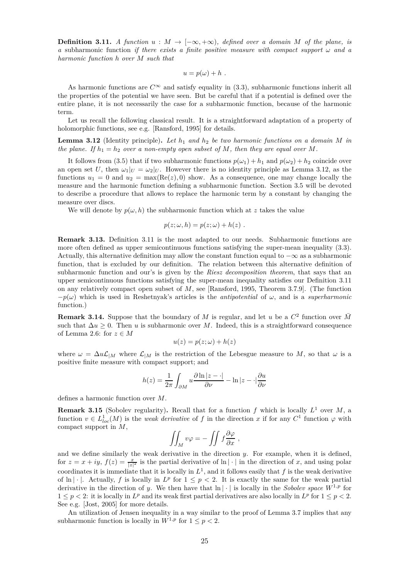**Definition 3.11.** *A function*  $u : M \to [-\infty, +\infty)$ *, defined over a domain M* of the plane, is *a* subharmonic function *if there exists a finite positive measure with compact support*  $\omega$  *and a harmonic function h over M such that*

$$
u = p(\omega) + h.
$$

As harmonic functions are  $C^{\infty}$  and satisfy equality in (3.3), subharmonic functions inherit all the properties of the potential we have seen. But be careful that if a potential is defined over the entire plane, it is not necessarily the case for a subharmonic function, because of the harmonic term.

Let us recall the following classical result. It is a straightforward adaptation of a property of holomorphic functions, see e.g. [Ransford, 1995] for details.

**Lemma 3.12** (Identity principle)**.** *Let h*<sup>1</sup> *and h*<sup>2</sup> *be two harmonic functions on a domain M in the plane. If*  $h_1 = h_2$  *over a non-empty open subset of*  $M$ *, then they are equal over*  $M$ *.* 

It follows from (3.5) that if two subharmonic functions  $p(\omega_1) + h_1$  and  $p(\omega_2) + h_2$  coincide over an open set *U*, then  $\omega_1|_U = \omega_2|_U$ . However there is no identity principle as Lemma 3.12, as the functions  $u_1 = 0$  and  $u_2 = \max(\text{Re}(z), 0)$  show. As a consequence, one may change locally the measure and the harmonic function defining a subharmonic function. Section 3.5 will be devoted to describe a procedure that allows to replace the harmonic term by a constant by changing the measure over discs.

We will denote by  $p(\omega, h)$  the subharmonic function which at *z* takes the value

$$
p(z; \omega, h) = p(z; \omega) + h(z) .
$$

**Remark 3.13.** Definition 3.11 is the most adapted to our needs. Subharmonic functions are more often defined as upper semicontinuous functions satisfying the super-mean inequality (3.3). Actually, this alternative definition may allow the constant function equal to  $-\infty$  as a subharmonic function, that is excluded by our definition. The relation between this alternative definition of subharmonic function and our's is given by the *Riesz decomposition theorem*, that says that an upper semicontinuous functions satisfying the super-mean inequality satisfies our Definition 3.11 on any relatively compact open subset of *M*, see [Ransford, 1995, Theorem 3.7.9]. (The function  $-p(\omega)$  which is used in Reshetnyak's articles is the *antipotential* of  $\omega$ , and is a *superharmonic* function.)

**Remark 3.14.** Suppose that the boundary of *M* is regular, and let *u* be a  $C^2$  function over  $\overline{M}$ such that  $\Delta u \geq 0$ . Then *u* is subharmonic over *M*. Indeed, this is a straightforward consequence of Lemma 2.6: for  $z \in M$ 

$$
u(z) = p(z; \omega) + h(z)
$$

where  $\omega = \Delta u \mathcal{L}_{|M}$  where  $\mathcal{L}_{|M}$  is the restriction of the Lebesgue measure to *M*, so that  $\omega$  is a positive finite measure with compact support; and

$$
h(z) = \frac{1}{2\pi} \int_{\partial M} u \frac{\partial \ln|z - \cdot|}{\partial \nu} - \ln|z - \cdot|\frac{\partial u}{\partial \nu}
$$

defines a harmonic function over *M*.

**Remark 3.15** (Sobolev regularity). Recall that for a function  $f$  which is locally  $L^1$  over  $M$ , a function  $v \in L^1_{loc}(M)$  is the *weak derivative* of *f* in the direction *x* if for any  $C^1$  function  $\varphi$  with compact support in *M*,

$$
\iint_M v\varphi = -\iint f\frac{\partial\varphi}{\partial x} ,
$$

and we define similarly the weak derivative in the direction *y*. For example, when it is defined, for  $z = x + iy$ ,  $f(z) = \frac{x}{|z|^2}$  is the partial derivative of  $\ln |\cdot|$  in the direction of *x*, and using polar coordinates it is immediate that it is locally in  $L^1$ , and it follows easily that  $f$  is the weak derivative of  $\ln |\cdot|$ . Actually, *f* is locally in  $L^p$  for  $1 \leq p < 2$ . It is exactly the same for the weak partial derivative in the direction of *y*. We then have that  $\ln |\cdot|$  is locally in the *Sobolev space*  $W^{1,p}$  for  $1 \leq p < 2$ : it is locally in  $L^p$  and its weak first partial derivatives are also locally in  $L^p$  for  $1 \leq p < 2$ . See e.g. [Jost, 2005] for more details.

An utilization of Jensen inequality in a way similar to the proof of Lemma 3.7 implies that any subharmonic function is locally in  $W^{1,p}$  for  $1 \leq p \leq 2$ .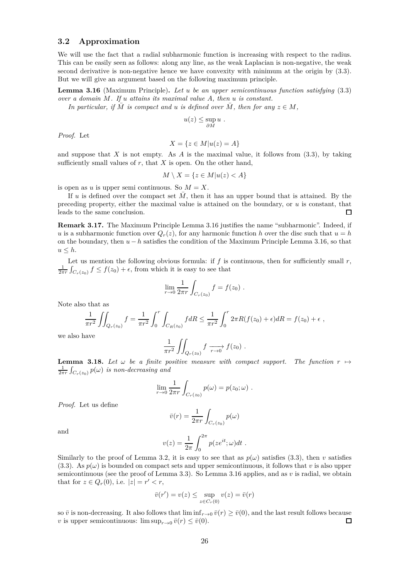# **3.2 Approximation**

We will use the fact that a radial subharmonic function is increasing with respect to the radius. This can be easily seen as follows: along any line, as the weak Laplacian is non-negative, the weak second derivative is non-negative hence we have convexity with minimum at the origin by  $(3.3)$ . But we will give an argument based on the following maximum principle.

**Lemma 3.16** (Maximum Principle)**.** *Let u be an upper semicontinuous function satisfying* (3.3) *over a domain M. If u attains its maximal value A, then u is constant.*

*In particular, if*  $\overline{M}$  *is compact and*  $u$  *is defined over*  $\overline{M}$ *, then for any*  $z \in M$ *,* 

$$
u(z) \leq \sup_{\partial M} u \; .
$$

*Proof.* Let

$$
X = \{ z \in M | u(z) = A \}
$$

and suppose that *X* is not empty. As *A* is the maximal value, it follows from (3.3), by taking sufficiently small values of  $r$ , that  $X$  is open. On the other hand,

$$
M \setminus X = \{ z \in M | u(z) < A \}
$$

is open as *u* is upper semi continuous. So  $M = X$ .

If  $u$  is defined over the compact set  $M$ , then it has an upper bound that is attained. By the preceding property, either the maximal value is attained on the boundary, or *u* is constant, that leads to the same conclusion. П

**Remark 3.17.** The Maximum Principle Lemma 3.16 justifies the name "subharmonic". Indeed, if *u* is a subharmonic function over  $Q_r(z)$ , for any harmonic function *h* over the disc such that  $u = h$ on the boundary, then *u* − *h* satisfies the condition of the Maximum Principle Lemma 3.16, so that  $u \leq h$ .

Let us mention the following obvious formula: if  $f$  is continuous, then for sufficiently small  $r$ ,  $\frac{1}{2\pi r}\int_{C_r(z_0)} f \leq f(z_0) + \epsilon$ , from which it is easy to see that

$$
\lim_{r \to 0} \frac{1}{2\pi r} \int_{C_r(z_0)} f = f(z_0) .
$$

Note also that as

$$
\frac{1}{\pi r^2} \iint_{Q_r(z_0)} f = \frac{1}{\pi r^2} \int_0^r \int_{C_R(z_0)} f dR \le \frac{1}{\pi r^2} \int_0^r 2\pi R (f(z_0) + \epsilon) dR = f(z_0) + \epsilon ,
$$

we also have

$$
\frac{1}{\pi r^2} \iint_{Q_r(z_0)} f \xrightarrow[r \to 0]{} f(z_0) .
$$

**Lemma 3.18.** Let  $\omega$  be a finite positive measure with compact support. The function  $r \mapsto$  $\frac{1}{2\pi r}\int_{C_r(z_0)}p(\omega)$  *is non-decreasing and* 

$$
\lim_{r \to 0} \frac{1}{2\pi r} \int_{C_r(z_0)} p(\omega) = p(z_0; \omega) .
$$

*Proof.* Let us define

$$
\bar{v}(r) = \frac{1}{2\pi r} \int_{C_r(z_0)} p(\omega)
$$

and

$$
v(z) = \frac{1}{2\pi} \int_0^{2\pi} p(ze^{it}; \omega) dt.
$$

Similarly to the proof of Lemma 3.2, it is easy to see that as  $p(\omega)$  satisfies (3.3), then *v* satisfies (3.3). As  $p(\omega)$  is bounded on compact sets and upper semicontinuous, it follows that *v* is also upper semicontinuous (see the proof of Lemma 3.3). So Lemma 3.16 applies, and as *v* is radial, we obtain that for  $z \in Q_r(0)$ , i.e.  $|z| = r' < r$ ,

$$
\bar{v}(r') = v(z) \le \sup_{z \in C_r(0)} v(z) = \bar{v}(r)
$$

so  $\bar{v}$  is non-decreasing. It also follows that  $\liminf_{r\to 0} \bar{v}(r) \ge \bar{v}(0)$ , and the last result follows because  $v$  is upper semicontinuous:  $\limsup_{r\to 0} \bar{v}(r) \le \bar{v}(0)$ . *v* is upper semicontinuous:  $\limsup_{r\to 0} \bar{v}(r) \leq \bar{v}(0)$ .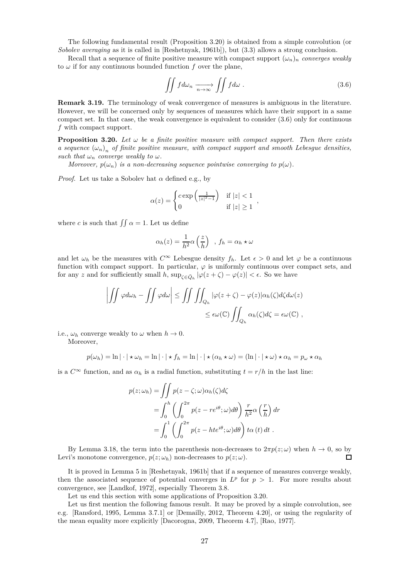The following fundamental result (Proposition 3.20) is obtained from a simple convolution (or *Sobolev averaging* as it is called in [Reshetnyak, 1961b]), but (3.3) allows a strong conclusion.

Recall that a sequence of finite positive measure with compact support  $(\omega_n)_n$  *converges weakly* to  $\omega$  if for any continuous bounded function  $f$  over the plane,

$$
\iint f d\omega_n \xrightarrow[n \to \infty]{} \iint f d\omega . \tag{3.6}
$$

**Remark 3.19.** The terminology of weak convergence of measures is ambiguous in the literature. However, we will be concerned only by sequences of measures which have their support in a same compact set. In that case, the weak convergence is equivalent to consider (3.6) only for continuous *f* with compact support.

**Proposition 3.20.** Let  $\omega$  be a finite positive measure with compact support. Then there exists *a* sequence  $(\omega_n)_n$  of finite positive measure, with compact support and smooth Lebesgue densities, *such that*  $\omega_n$  *converge weakly to*  $\omega$ *.* 

*Moreover,*  $p(\omega_n)$  *is a non-decreasing sequence pointwise converging to*  $p(\omega)$ *.* 

*Proof.* Let us take a Sobolev hat  $\alpha$  defined e.g., by

$$
\alpha(z) = \begin{cases} c \exp\left(\frac{1}{|z|^2 - 1}\right) & \text{if } |z| < 1 \\ 0 & \text{if } |z| \ge 1 \end{cases}
$$

where *c* is such that  $\iint \alpha = 1$ . Let us define

$$
\alpha_h(z) = \frac{1}{h^2} \alpha \left(\frac{z}{h}\right) , f_h = \alpha_h \star \omega
$$

and let  $\omega_h$  be the measures with  $C^{\infty}$  Lebesgue density  $f_h$ . Let  $\epsilon > 0$  and let  $\varphi$  be a continuous function with compact support. In particular,  $\varphi$  is uniformly continuous over compact sets, and for any *z* and for sufficiently small *h*,  $\sup_{\zeta \in \bar{Q}_h} |\varphi(z + \zeta) - \varphi(z)| < \epsilon$ . So we have

$$
\left| \iint \varphi d\omega_h - \iint \varphi d\omega \right| \le \iint \iint_{Q_h} |\varphi(z + \zeta) - \varphi(z)| \alpha_h(\zeta) d\zeta d\omega(z)
$$
  

$$
\le \epsilon \omega(\mathbb{C}) \iint_{Q_h} \alpha_h(\zeta) d\zeta = \epsilon \omega(\mathbb{C}),
$$

i.e.,  $\omega_h$  converge weakly to  $\omega$  when  $h \to 0$ .

Moreover,

$$
p(\omega_h) = \ln |\cdot| \star \omega_h = \ln |\cdot| \star f_h = \ln |\cdot| \star (\alpha_h \star \omega) = (\ln |\cdot| \star \omega) \star \alpha_h = p_\omega \star \alpha_h
$$

is a  $C^{\infty}$  function, and as  $\alpha_h$  is a radial function, substituting  $t = r/h$  in the last line:

$$
p(z; \omega_h) = \iint p(z - \zeta; \omega) \alpha_h(\zeta) d\zeta
$$
  
= 
$$
\int_0^h \left( \int_0^{2\pi} p(z - re^{i\theta}; \omega) d\theta \right) \frac{r}{h^2} \alpha \left( \frac{r}{h} \right) dr
$$
  
= 
$$
\int_0^1 \left( \int_0^{2\pi} p(z - hte^{i\theta}; \omega) d\theta \right) t \alpha(t) dt.
$$

By Lemma 3.18, the term into the parenthesis non-decreases to  $2\pi p(z;\omega)$  when  $h \to 0$ , so by<br>*i*<sup>2</sup>s monotone convergence  $p(z;\omega)$  non-decreases to  $p(z;\omega)$ Levi's monotone convergence,  $p(z; \omega_h)$  non-decreases to  $p(z; \omega)$ .

It is proved in Lemma 5 in [Reshetnyak, 1961b] that if a sequence of measures converge weakly, then the associated sequence of potential converges in  $L^p$  for  $p > 1$ . For more results about convergence, see [Landkof, 1972], especially Theorem 3.8.

Let us end this section with some applications of Proposition 3.20.

Let us first mention the following famous result. It may be proved by a simple convolution, see e.g. [Ransford, 1995, Lemma 3.7.1] or [Demailly, 2012, Theorem 4.20], or using the regularity of the mean equality more explicitly [Dacorogna, 2009, Theorem 4.7], [Rao, 1977].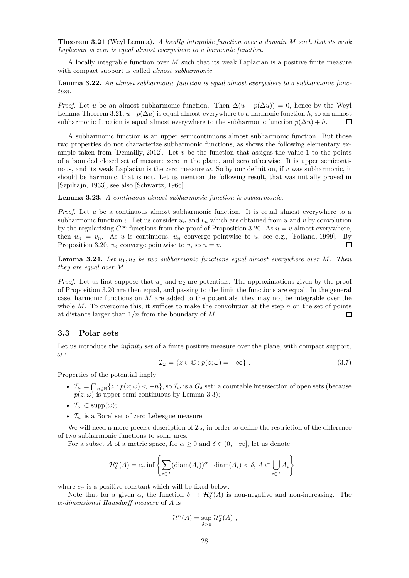**Theorem 3.21** (Weyl Lemma)**.** *A locally integrable function over a domain M such that its weak Laplacian is zero is equal almost everywhere to a harmonic function.*

A locally integrable function over *M* such that its weak Laplacian is a positive finite measure with compact support is called *almost subharmonic*.

**Lemma 3.22.** *An almost subharmonic function is equal almost everywhere to a subharmonic function.*

*Proof.* Let *u* be an almost subharmonic function. Then  $\Delta(u - p(\Delta u)) = 0$ , hence by the Weyl Lemma Theorem 3.21,  $u-p(\Delta u)$  is equal almost-everywhere to a harmonic function *h*, so an almost subharmonic function  $p(\Delta u) + h$ . subharmonic function is equal almost everywhere to the subharmonic function  $p(\Delta u) + h$ .

A subharmonic function is an upper semicontinuous almost subharmonic function. But those two properties do not characterize subharmonic functions, as shows the following elementary example taken from [Demailly, 2012]. Let  $v$  be the function that assigns the value 1 to the points of a bounded closed set of measure zero in the plane, and zero otherwise. It is upper semicontinous, and its weak Laplacian is the zero measure *ω*. So by our definition, if *v* was subharmonic, it should be harmonic, that is not. Let us mention the following result, that was initially proved in [Szpilrajn, 1933], see also [Schwartz, 1966].

**Lemma 3.23.** *A continuous almost subharmonic function is subharmonic.*

*Proof.* Let *u* be a continuous almost subharmonic function. It is equal almost everywhere to a subharmonic function *v*. Let us consider  $u_n$  and  $v_n$  which are obtained from *u* and *v* by convolution by the regularizing  $C^{\infty}$  functions from the proof of Proposition 3.20. As  $u = v$  almost everywhere, then  $u_n = v_n$ . As *u* is continuous,  $u_n$  converge pointwise to *u*, see e.g., [Folland, 1999]. By Proposition 3.20,  $v_n$  converge pointwise to *v*, so  $u = v$ .  $\Box$ 

**Lemma 3.24.** *Let u*1*, u*<sup>2</sup> *be two subharmonic functions equal almost everywhere over M. Then they are equal over M.*

*Proof.* Let us first suppose that  $u_1$  and  $u_2$  are potentials. The approximations given by the proof of Proposition 3.20 are then equal, and passing to the limit the functions are equal. In the general case, harmonic functions on *M* are added to the potentials, they may not be integrable over the whole  $M$ . To overcome this, it suffices to make the convolution at the step  $n$  on the set of points at distance larger than 1*/n* from the boundary of *M*.  $\Box$ 

### **3.3 Polar sets**

Let us introduce the *infinity set* of a finite positive measure over the plane, with compact support, *ω* :

$$
\mathcal{I}_{\omega} = \{ z \in \mathbb{C} : p(z; \omega) = -\infty \} . \tag{3.7}
$$

Properties of the potential imply

- $\mathcal{I}_\omega = \bigcap_{n \in \mathbb{N}} \{z : p(z; \omega) < -n\}$ , so  $\mathcal{I}_\omega$  is a  $G_\delta$  set: a countable intersection of open sets (because  $p(z; \omega)$  is upper semi-continuous by Lemma 3.3);
- $\mathcal{I}_{\omega} \subset \text{supp}(\omega);$
- I*<sup>ω</sup>* is a Borel set of zero Lebesgue measure.

We will need a more precise description of  $\mathcal{I}_{\omega}$ , in order to define the restriction of the difference of two subharmonic functions to some arcs.

For a subset *A* of a metric space, for  $\alpha \geq 0$  and  $\delta \in (0, +\infty]$ , let us denote

$$
\mathcal{H}_{\delta}^{\alpha}(A) = c_{\alpha} \inf \left\{ \sum_{i \in I} (\text{diam}(A_i))^{\alpha} : \text{diam}(A_i) < \delta, A \subset \bigcup_{i \in I} A_i \right\} ,
$$

where  $c_{\alpha}$  is a positive constant which will be fixed below.

Note that for a given  $\alpha$ , the function  $\delta \mapsto \mathcal{H}_{\delta}^{\alpha}(A)$  is non-negative and non-increasing. The *α-dimensional Hausdorff measure* of *A* is

$$
\mathcal{H}^{\alpha}(A) = \sup_{\delta > 0} \mathcal{H}^{\alpha}_{\delta}(A) ,
$$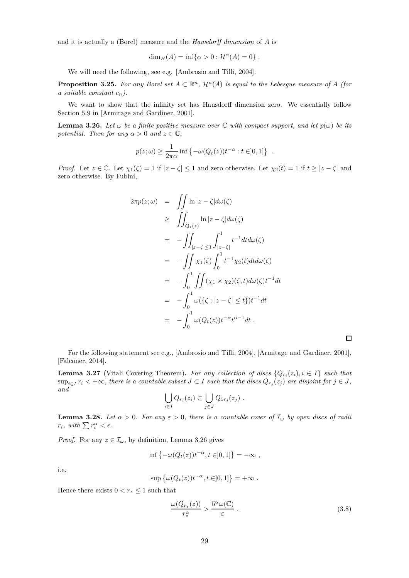and it is actually a (Borel) measure and the *Hausdorff dimension* of *A* is

$$
\dim_H(A) = \inf\{\alpha > 0 : \mathcal{H}^{\alpha}(A) = 0\} .
$$

We will need the following, see e.g. [Ambrosio and Tilli, 2004].

**Proposition 3.25.** For any Borel set  $A \subset \mathbb{R}^n$ ,  $\mathcal{H}^n(A)$  is equal to the Lebesgue measure of  $A$  (for *a suitable constant*  $c_n$ *).* 

We want to show that the infinity set has Hausdorff dimension zero. We essentially follow Section 5.9 in [Armitage and Gardiner, 2001].

**Lemma 3.26.** Let  $\omega$  be a finite positive measure over  $\mathbb C$  with compact support, and let  $p(\omega)$  be its *potential. Then for any*  $\alpha > 0$  *and*  $z \in \mathbb{C}$ *,* 

$$
p(z; \omega) \ge \frac{1}{2\pi\alpha} \inf \left\{-\omega(Q_t(z))t^{-\alpha} : t \in ]0,1]\right\} .
$$

*Proof.* Let  $z \in \mathbb{C}$ . Let  $\chi_1(\zeta) = 1$  if  $|z - \zeta| \le 1$  and zero otherwise. Let  $\chi_2(t) = 1$  if  $t \ge |z - \zeta|$  and zero otherwise. By Fubini,

$$
2\pi p(z; \omega) = \iint \ln |z - \zeta| d\omega(\zeta)
$$
  
\n
$$
\geq \iint_{Q_1(z)} \ln |z - \zeta| d\omega(\zeta)
$$
  
\n
$$
= -\iint_{|z - \zeta| \leq 1} \int_{|z - \zeta|}^{1} t^{-1} dt d\omega(\zeta)
$$
  
\n
$$
= -\iint \chi_1(\zeta) \int_0^1 t^{-1} \chi_2(t) dt d\omega(\zeta)
$$
  
\n
$$
= -\int_0^1 \iint (\chi_1 \times \chi_2)(\zeta, t) d\omega(\zeta) t^{-1} dt
$$
  
\n
$$
= -\int_0^1 \omega(\{\zeta : |z - \zeta| \leq t\}) t^{-1} dt
$$
  
\n
$$
= -\int_0^1 \omega(Q_t(z)) t^{-\alpha} t^{\alpha - 1} dt.
$$

For the following statement see e.g., [Ambrosio and Tilli, 2004], [Armitage and Gardiner, 2001], [Falconer, 2014].

**Lemma 3.27** (Vitali Covering Theorem). For any collection of discs  $\{Q_{r_i}(z_i), i \in I\}$  such that  $\sup_{i\in I} r_i < +\infty$ , there is a countable subset  $J\subset I$  such that the discs  $Q_{r_j}(z_j)$  are disjoint for  $j\in J$ , *and*

$$
\bigcup_{i\in I} Q_{r_i}(z_i) \subset \bigcup_{j\in J} Q_{5r_j}(z_j) .
$$

**Lemma 3.28.** *Let*  $\alpha > 0$ *. For any*  $\varepsilon > 0$ *, there is a countable cover of*  $\mathcal{I}_{\omega}$  *by open discs of radii r*<sub>*i*</sub>, with  $\sum r_i^{\alpha} < \epsilon$ .

*Proof.* For any  $z \in \mathcal{I}_{\omega}$ , by definition, Lemma 3.26 gives

$$
\inf \left\{-\omega(Q_t(z))t^{-\alpha}, t \in ]0,1]\right\} = -\infty ,
$$

i.e.

$$
\sup\big\{\omega(Q_t(z))t^{-\alpha}, t\in ]0,1]\big\}=+\infty\ .
$$

Hence there exists  $0 < r_z \leq 1$  such that

$$
\frac{\omega(Q_{r_z}(z))}{r_z^{\alpha}} > \frac{5^{\alpha}\omega(\mathbb{C})}{\varepsilon} \ . \tag{3.8}
$$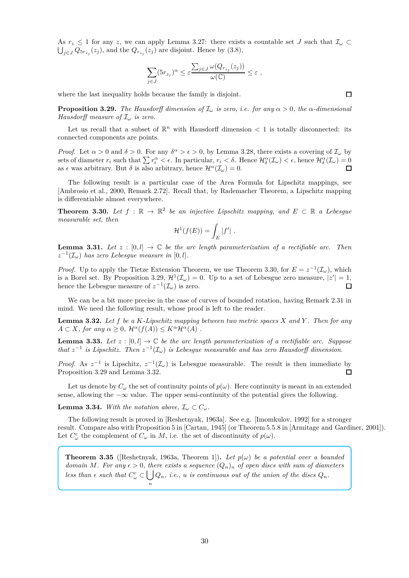As  $r_z \leq 1$  for any *z*, we can apply Lemma 3.27: there exists a countable set *J* such that  $\mathcal{I}_{\omega} \subset$  $\bigcup_{j\in J} Q_{5r_{z_j}}(z_j)$ , and the  $Q_{r_{z_j}}(z_j)$  are disjoint. Hence by  $(3.8)$ ,

$$
\sum_{j\in J} (5r_{z_j})^{\alpha} \leq \varepsilon \frac{\sum_{j\in J} \omega(Q_{r_{z_j}}(z_j))}{\omega(\mathbb{C})} \leq \varepsilon ,
$$

where the last inequality holds because the family is disjoint.

**Proposition 3.29.** *The Hausdorff dimension of*  $\mathcal{I}_{\omega}$  *is zero, i.e. for any*  $\alpha > 0$ *, the*  $\alpha$ *-dimensional Hausdorff measure of* I*<sup>ω</sup> is zero.*

Let us recall that a subset of  $\mathbb{R}^n$  with Hausdorff dimension  $\lt 1$  is totally disconnected: its connected components are points.

*Proof.* Let  $\alpha > 0$  and  $\delta > 0$ . For any  $\delta^{\alpha} > \epsilon > 0$ , by Lemma 3.28, there exists a covering of  $\mathcal{I}_{\omega}$  by sets of diameter  $r_i$  such that  $\sum r_i^{\alpha} < \epsilon$ . In particular,  $r_i < \delta$ . Hence  $\mathcal{H}_{\delta}^{\alpha}(\mathcal{I}_{\omega}) < \epsilon$ , hence  $\mathcal{H}_{\delta}^{\alpha}(\mathcal{I}_{\omega}) = 0$ as  $\epsilon$  was arbitrary. But  $\delta$  is also arbitrary, hence  $\mathcal{H}^{\alpha}(\mathcal{I}_{\omega})=0$ .

The following result is a particular case of the Area Formula for Lipschitz mappings, see [Ambrosio et al., 2000, Remark 2.72]. Recall that, by Rademacher Theorem, a Lipschitz mapping is differentiable almost everywhere.

**Theorem 3.30.** Let  $f : \mathbb{R} \to \mathbb{R}^2$  be an injective Lipschitz mapping, and  $E \subset \mathbb{R}$  a Lebesgue *measurable set, then*

$$
\mathcal{H}^1(f(E)) = \int_E |f'|.
$$

**Lemma 3.31.** Let  $z : [0, l] \to \mathbb{C}$  be the arc length parameterization of a rectifiable arc. Then  $z^{-1}(\mathcal{I}_{\omega})$  *has zero Lebesgue measure in*  $[0, l]$ *.* 

*Proof.* Up to apply the Tietze Extension Theorem, we use Theorem 3.30, for  $E = z^{-1}(\mathcal{I}_{\omega})$ , which is a Borel set. By Proposition 3.29,  $\mathcal{H}^1(\mathcal{I}_\omega) = 0$ . Up to a set of Lebesgue zero measure,  $|z'| = 1$ , hence the Lebesgue measure of  $z^{-1}(\mathcal{I}_{\omega})$  is zero.

We can be a bit more precise in the case of curves of bounded rotation, having Remark 2.31 in mind. We need the following result, whose proof is left to the reader.

**Lemma 3.32.** *Let f be a K-Lipschitz mapping between two metric spaces X and Y . Then for any*  $A \subset X$ *, for any*  $\alpha \geq 0$ *,*  $\mathcal{H}^{\alpha}(f(A)) \leq K^{\alpha} \mathcal{H}^{\alpha}(A)$ .

**Lemma 3.33.** Let  $z : [0, l] \to \mathbb{C}$  be the arc length parameterization of a rectifiable arc. Suppose *that*  $z^{-1}$  *is Lipschitz. Then*  $z^{-1}(\mathcal{I}_{\omega})$  *is Lebesgue measurable and has zero Hausdorff dimension.* 

*Proof.* As  $z^{-1}$  is Lipschitz,  $z^{-1}(\mathcal{I}_{\omega})$  is Lebesgue measurable. The result is then immediate by Proposition 3.29 and Lemma 3.32.

Let us denote by  $C_\omega$  the set of continuity points of  $p(\omega)$ . Here continuity is meant in an extended sense, allowing the  $-\infty$  value. The upper semi-continuity of the potential gives the following.

**Lemma 3.34.** *With the notation above,*  $\mathcal{I}_{\omega} \subset C_{\omega}$ *.* 

The following result is proved in [Reshetnyak, 1963a]. See e.g. [Imomkulov, 1992] for a stronger result. Compare also with Proposition 5 in [Cartan, 1945] (or Theorem 5.5.8 in [Armitage and Gardiner, 2001]). Let  $C^c_\omega$  the complement of  $C_\omega$  in  $M$ , i.e. the set of discontinuity of  $p(\omega)$ .

**Theorem 3.35** ([Reshetnyak, 1963a, Theorem 1]). Let  $p(\omega)$  be a potential over a bounded *domain M*. For any  $\epsilon > 0$ , there exists a sequence  $(Q_n)_n$  of open discs with sum of diameters *less than*  $\epsilon$  *such that*  $C^c_\omega \subset \bigcup$ *n*  $Q_n$ , *i.e.*, *u is continuous out of the union of the discs*  $Q_n$ .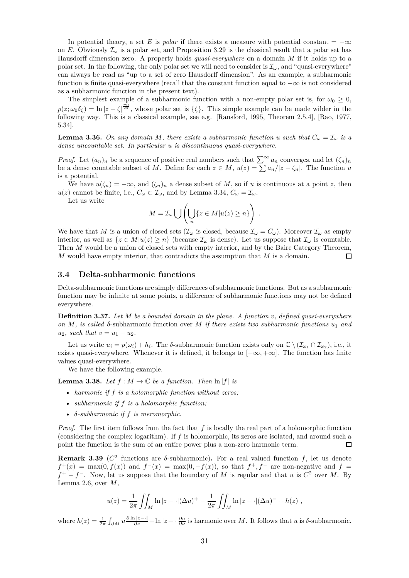In potential theory, a set *E* is *polar* if there exists a measure with potential constant =  $-\infty$ on *E*. Obviously  $\mathcal{I}_{\omega}$  is a polar set, and Proposition 3.29 is the classical result that a polar set has Hausdorff dimension zero. A property holds *quasi-everywhere* on a domain *M* if it holds up to a polar set. In the following, the only polar set we will need to consider is  $\mathcal{I}_{\omega}$ , and "quasi-everywhere" can always be read as "up to a set of zero Hausdorff dimension". As an example, a subharmonic function is finite quasi-everywhere (recall that the constant function equal to  $-\infty$  is not considered as a subharmonic function in the present text).

The simplest example of a subharmonic function with a non-empty polar set is, for  $\omega_0 \geq 0$ ,  $p(z; \omega_0 \delta_\zeta) = \ln |z - \zeta|^{\frac{\omega_0}{2\pi}}$ , whose polar set is  $\{\zeta\}$ . This simple example can be made wilder in the following way. This is a classical example, see e.g. [Ransford, 1995, Theorem 2.5.4], [Rao, 1977, 5.34].

**Lemma 3.36.** *On any domain M, there exists a subharmonic function u* such that  $C_{\omega} = I_{\omega}$  *is a dense uncountable set. In particular u is discontinuous quasi-everywhere.*

*Proof.* Let  $(a_n)_n$  be a sequence of positive real numbers such that  $\sum^{\infty} a_n$  converges, and let  $(\zeta_n)_n$ be a dense countable subset of *M*. Define for each  $z \in M$ ,  $u(z) = \sum a_n / |z - \zeta_n|$ . The function *u* is a potential.

We have  $u(\zeta_n) = -\infty$ , and  $(\zeta_n)_n$  a dense subset of M, so if u is continuous at a point *z*, then  $u(z)$  cannot be finite, i.e.,  $C_{\omega} \subset \mathcal{I}_{\omega}$ , and by Lemma 3.34,  $C_{\omega} = \mathcal{I}_{\omega}$ .

Let us write

$$
M = \mathcal{I}_{\omega} \bigcup \left( \bigcup_{n} \{ z \in M | u(z) \geq n \} \right) .
$$

We have that *M* is a union of closed sets  $(\mathcal{I}_{\omega}$  is closed, because  $\mathcal{I}_{\omega} = C_{\omega}$ ). Moreover  $\mathcal{I}_{\omega}$  as empty interior, as well as  $\{z \in M | u(z) \geq n\}$  (because  $\mathcal{I}_{\omega}$  is dense). Let us suppose that  $\mathcal{I}_{\omega}$  is countable. Then *M* would be a union of closed sets with empty interior, and by the Baire Category Theorem, *M* would have empty interior, that contradicts the assumption that *M* is a domain. П

### **3.4 Delta-subharmonic functions**

Delta-subharmonic functions are simply differences of subharmonic functions. But as a subharmonic function may be infinite at some points, a difference of subharmonic functions may not be defined everywhere.

**Definition 3.37.** *Let M be a bounded domain in the plane. A function v, defined quasi-everywhere on M, is called δ*-subharmonic function over *M if there exists two subharmonic functions u*<sup>1</sup> *and*  $u_2$ *, such that*  $v = u_1 - u_2$ *.* 

Let us write  $u_i = p(\omega_i) + h_i$ . The *δ*-subharmonic function exists only on  $\mathbb{C} \setminus (\mathcal{I}_{\omega_1} \cap \mathcal{I}_{\omega_2})$ , i.e., it exists quasi-everywhere. Whenever it is defined, it belongs to [−∞*,* +∞]. The function has finite values quasi-everywhere.

We have the following example.

**Lemma 3.38.** *Let*  $f : M \to \mathbb{C}$  *be a function. Then*  $\ln |f|$  *is* 

- *harmonic if f is a holomorphic function without zeros;*
- *subharmonic if f is a holomorphic function;*
- *δ-subharmonic if f is meromorphic.*

*Proof.* The first item follows from the fact that *f* is locally the real part of a holomorphic function (considering the complex logarithm). If *f* is holomorphic, its zeros are isolated, and around such a point the function is the sum of an entire power plus a non-zero harmonic term.  $\Box$ 

**Remark 3.39** ( $C^2$  functions are  $\delta$ -subharmonic). For a real valued function f, let us denote  $f^+(x) = \max(0, f(x))$  and  $f^-(x) = \max(0, -f(x))$ , so that  $f^+, f^-$  are non-negative and  $f =$  $f^+ - f^-$ . Now, let us suppose that the boundary of *M* is regular and that *u* is  $C^2$  over  $\overline{M}$ . By Lemma 2.6, over *M*,

$$
u(z) = \frac{1}{2\pi} \iint_M \ln |z - \cdot| (\Delta u)^+ - \frac{1}{2\pi} \iint_M \ln |z - \cdot| (\Delta u)^- + h(z) ,
$$

where  $h(z) = \frac{1}{2\pi} \int_{\partial M} u \frac{\partial \ln |z - \cdot|}{\partial \nu} - \ln |z - \cdot| \frac{\partial u}{\partial \nu}$  is harmonic over *M*. It follows that *u* is *δ*-subharmonic.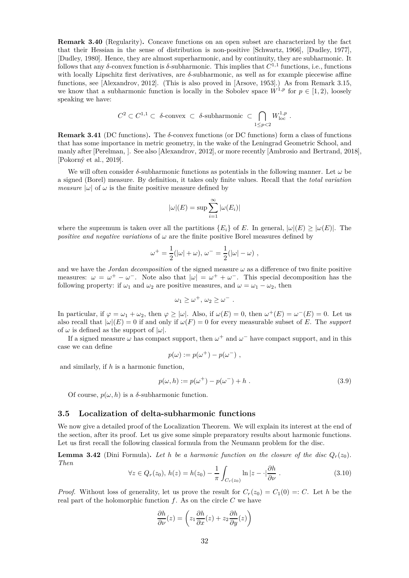**Remark 3.40** (Regularity)**.** Concave functions on an open subset are characterized by the fact that their Hessian in the sense of distribution is non-positive [Schwartz, 1966], [Dudley, 1977], [Dudley, 1980]. Hence, they are almost superharmonic, and by continuity, they are subharmonic. It follows that any  $\delta$ -convex function is  $\delta$ -subharmonic. This implies that  $C^{1,1}$  functions, i.e., functions with locally Lipschitz first derivatives, are *δ*-subharmonic, as well as for example piecewise affine functions, see [Alexandrov, 2012]. (This is also proved in [Arsove, 1953].) As from Remark 3.15, we know that a subharmonic function is locally in the Sobolev space  $W^{1,p}$  for  $p \in [1,2)$ , loosely speaking we have:

$$
C^2 \subset C^{1,1} \subset \delta\text{-convex } \subset \delta\text{-subharmonic } \subset \bigcap_{1 \le p < 2} W^{1,p}_{\text{loc }}.
$$

**Remark 3.41** (DC functions)**.** The *δ*-convex functions (or DC functions) form a class of functions that has some importance in metric geometry, in the wake of the Leningrad Geometric School, and manly after [Perelman, ]. See also [Alexandrov, 2012], or more recently [Ambrosio and Bertrand, 2018], [Pokorný et al., 2019].

We will often consider  $\delta$ -subharmonic functions as potentials in the following manner. Let  $\omega$  be a signed (Borel) measure. By definition, it takes only finite values. Recall that the *total variation measure*  $|\omega|$  of  $\omega$  is the finite positive measure defined by

$$
|\omega|(E) = \sup \sum_{i=1}^{\infty} |\omega(E_i)|
$$

where the supremum is taken over all the partitions  ${E_i}$  of *E*. In general,  $|\omega|(E) \geq |\omega(E)|$ . The *positive and negative variations* of  $\omega$  are the finite positive Borel measures defined by

$$
\omega^+ = \frac{1}{2}(|\omega| + \omega), \, \omega^- = \frac{1}{2}(|\omega| - \omega) ,
$$

and we have the *Jordan decomposition* of the signed measure  $\omega$  as a difference of two finite positive measures:  $\omega = \omega^+ - \omega^-$ . Note also that  $|\omega| = \omega^+ + \omega^-$ . This special decomposition has the following property: if  $\omega_1$  and  $\omega_2$  are positive measures, and  $\omega = \omega_1 - \omega_2$ , then

$$
\omega_1 \geq \omega^+, \omega_2 \geq \omega^-.
$$

In particular, if  $\varphi = \omega_1 + \omega_2$ , then  $\varphi \ge |\omega|$ . Also, if  $\omega(E) = 0$ , then  $\omega^+(E) = \omega^-(E) = 0$ . Let us also recall that  $|\omega|(E) = 0$  if and only if  $\omega(F) = 0$  for every measurable subset of *E*. The *support* of  $\omega$  is defined as the support of  $|\omega|$ .

If a signed measure  $\omega$  has compact support, then  $\omega^+$  and  $\omega^-$  have compact support, and in this case we can define

$$
p(\omega) := p(\omega^+) - p(\omega^-) ,
$$

and similarly, if *h* is a harmonic function,

$$
p(\omega, h) := p(\omega^+) - p(\omega^-) + h . \tag{3.9}
$$

Of course,  $p(\omega, h)$  is a  $\delta$ -subharmonic function.

#### **3.5 Localization of delta-subharmonic functions**

We now give a detailed proof of the Localization Theorem. We will explain its interest at the end of the section, after its proof. Let us give some simple preparatory results about harmonic functions. Let us first recall the following classical formula from the Neumann problem for the disc.

**Lemma 3.42** (Dini Formula). Let *h* be a harmonic function on the closure of the disc  $Q_r(z_0)$ . *Then*

$$
\forall z \in Q_r(z_0), h(z) = h(z_0) - \frac{1}{\pi} \int_{C_r(z_0)} \ln|z - \cdot| \frac{\partial h}{\partial \nu}.
$$
 (3.10)

*Proof.* Without loss of generality, let us prove the result for  $C_r(z_0) = C_1(0) =: C$ . Let *h* be the real part of the holomorphic function *f*. As on the circle *C* we have

$$
\frac{\partial h}{\partial \nu}(z) = \left(z_1 \frac{\partial h}{\partial x}(z) + z_2 \frac{\partial h}{\partial y}(z)\right)
$$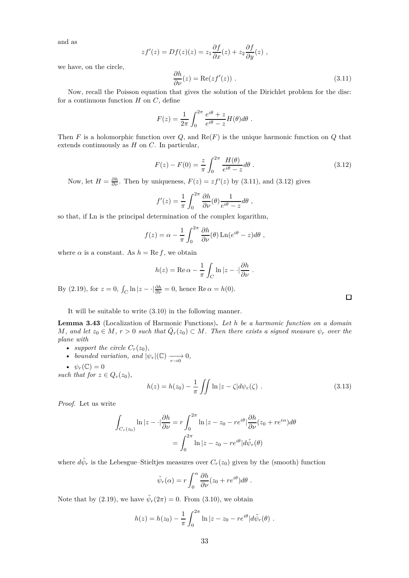and as

$$
zf'(z) = Df(z)(z) = z_1 \frac{\partial f}{\partial x}(z) + z_2 \frac{\partial f}{\partial y}(z)
$$
,

we have, on the circle,

$$
\frac{\partial h}{\partial \nu}(z) = \text{Re}(zf'(z)).\tag{3.11}
$$

Now, recall the Poisson equation that gives the solution of the Dirichlet problem for the disc: for a continuous function *H* on *C*, define

$$
F(z) = \frac{1}{2\pi} \int_0^{2\pi} \frac{e^{i\theta} + z}{e^{i\theta} - z} H(\theta) d\theta.
$$

Then *F* is a holomorphic function over *Q*, and Re(*F*) is the unique harmonic function on *Q* that extends continuously as *H* on *C*. In particular,

$$
F(z) - F(0) = \frac{z}{\pi} \int_0^{2\pi} \frac{H(\theta)}{e^{i\theta} - z} d\theta \; . \tag{3.12}
$$

Now, let  $H = \frac{\partial h}{\partial \nu}$ . Then by uniqueness,  $F(z) = zf'(z)$  by (3.11), and (3.12) gives

$$
f'(z) = \frac{1}{\pi} \int_0^{2\pi} \frac{\partial h}{\partial \nu}(\theta) \frac{1}{e^{i\theta} - z} d\theta,
$$

so that, if Ln is the principal determination of the complex logarithm,

$$
f(z) = \alpha - \frac{1}{\pi} \int_0^{2\pi} \frac{\partial h}{\partial \nu}(\theta) \ln(e^{i\theta} - z) d\theta,
$$

where  $\alpha$  is a constant. As  $h = \text{Re } f$ , we obtain

$$
h(z) = \text{Re}\,\alpha - \frac{1}{\pi} \int_C \ln|z - \cdot|\frac{\partial h}{\partial \nu}.
$$

By (2.19), for  $z = 0$ ,  $\int_C \ln |z - \cdot| \frac{\partial h}{\partial \nu} = 0$ , hence  $\text{Re } \alpha = h(0)$ .

It will be suitable to write (3.10) in the following manner.

**Lemma 3.43** (Localization of Harmonic Functions)**.** *Let h be a harmonic function on a domain*  $M$ *, and let*  $z_0 \in M$ *,*  $r > 0$  *such that*  $\overline{Q}_r(z_0) \subset M$ *. Then there exists a signed measure*  $\psi_r$  *over the plane with*

- *support the circle*  $C_r(z_0)$ *,*
- *bounded variation, and*  $|\psi_r|(\mathbb{C}) \longrightarrow 0$ ,
- $\psi_r(\mathbb{C})=0$

*such that for*  $z \in Q_r(z_0)$ ,

$$
h(z) = h(z_0) - \frac{1}{\pi} \iint \ln |z - \zeta| d\psi_r(\zeta) . \tag{3.13}
$$

*Proof.* Let us write

$$
\int_{C_r(z_0)} \ln|z - \cdot|\frac{\partial h}{\partial \nu} = r \int_0^{2\pi} \ln|z - z_0 - re^{i\theta}| \frac{\partial h}{\partial \nu}(z_0 + re^{i\alpha}) d\theta
$$

$$
= \int_0^{2\pi} \ln|z - z_0 - re^{i\theta}| d\tilde{\psi}_r(\theta)
$$

where  $d\tilde{\psi}_r$  is the Lebesgue–Stieltjes measures over  $C_r(z_0)$  given by the (smooth) function

$$
\tilde{\psi}_r(\alpha) = r \int_0^\alpha \frac{\partial h}{\partial \nu} (z_0 + re^{i\theta}) d\theta.
$$

Note that by (2.19), we have  $\tilde{\psi}_r(2\pi) = 0$ . From (3.10), we obtain

$$
h(z) = h(z_0) - \frac{1}{\pi} \int_0^{2\pi} \ln |z - z_0 - re^{i\theta}| d\tilde{\psi}_r(\theta) .
$$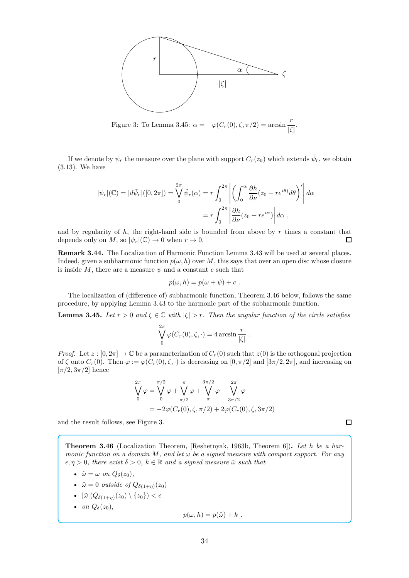

Figure 3: To Lemma 3.45:  $\alpha = -\varphi(C_r(0), \zeta, \pi/2) = \arcsin \frac{r}{|\zeta|}.$ 

If we denote by  $\psi_r$  the measure over the plane with support  $C_r(z_0)$  which extends  $\tilde{\psi}_r$ , we obtain (3.13). We have

$$
|\psi_r|(\mathbb{C}) = |d\tilde{\psi}_r|([0, 2\pi]) = \bigvee_0^{2\pi} \tilde{\psi}_r(\alpha) = r \int_0^{2\pi} \left| \left( \int_0^{\alpha} \frac{\partial h}{\partial \nu} (z_0 + re^{i\theta}) d\theta \right)' \right| d\alpha
$$

$$
= r \int_0^{2\pi} \left| \frac{\partial h}{\partial \nu} (z_0 + re^{i\alpha}) \right| d\alpha,
$$

and by regularity of  $h$ , the right-hand side is bounded from above by  $r$  times a constant that depends only on *M*, so  $|\psi_r|(\mathbb{C}) \to 0$  when  $r \to 0$ .  $\Box$ 

**Remark 3.44.** The Localization of Harmonic Function Lemma 3.43 will be used at several places. Indeed, given a subharmonic function  $p(\omega, h)$  over M, this says that over an open disc whose closure is inside  $M$ , there are a measure  $\psi$  and a constant  $c$  such that

$$
p(\omega, h) = p(\omega + \psi) + c.
$$

The localization of (difference of) subharmonic function, Theorem 3.46 below, follows the same procedure, by applying Lemma 3.43 to the harmonic part of the subharmonic function.

**Lemma 3.45.** *Let*  $r > 0$  *and*  $\zeta \in \mathbb{C}$  *with*  $|\zeta| > r$ *. Then the angular function of the circle satisfies* 

$$
\bigvee_{0}^{2\pi} \varphi(C_r(0), \zeta, \cdot) = 4 \arcsin \frac{r}{|\zeta|} .
$$

*Proof.* Let  $z : [0, 2\pi] \to \mathbb{C}$  be a parameterization of  $C_r(0)$  such that  $z(0)$  is the orthogonal projection of  $\zeta$  onto  $C_r(0)$ . Then  $\varphi := \varphi(C_r(0), \zeta, \cdot)$  is decreasing on  $[0, \pi/2]$  and  $[3\pi/2, 2\pi]$ , and increasing on  $[\pi/2, 3\pi/2]$  hence

$$
\bigvee_{0}^{2\pi} \varphi = \bigvee_{0}^{\pi/2} \varphi + \bigvee_{\pi/2}^{\pi} \varphi + \bigvee_{\pi}^{3\pi/2} \varphi + \bigvee_{3\pi/2}^{2\pi} \varphi
$$
  
=  $-2\varphi(C_r(0), \zeta, \pi/2) + 2\varphi(C_r(0), \zeta, 3\pi/2)$ 

and the result follows, see Figure 3.

**Theorem 3.46** (Localization Theorem, [Reshetnyak, 1963b, Theorem 6])**.** *Let h be a harmonic function on a domain*  $M$ *, and let*  $\omega$  *be a signed measure with compact support. For any*  $\epsilon, \eta > 0$ , there exist  $\delta > 0$ ,  $k \in \mathbb{R}$  and a signed measure  $\tilde{\omega}$  such that

 $\Box$ 

•  $\tilde{\omega} = \omega$  *on*  $Q_{\delta}(z_0)$ ,

- $\tilde{\omega} = 0$  *outside of*  $Q_{\delta(1+\eta)}(z_0)$
- $|\tilde{\omega}|(Q_{\delta(1+\eta)}(z_0)\setminus\{z_0\})<\epsilon$
- *on*  $Q_{\delta}(z_0)$ ,

$$
p(\omega, h) = p(\tilde{\omega}) + k.
$$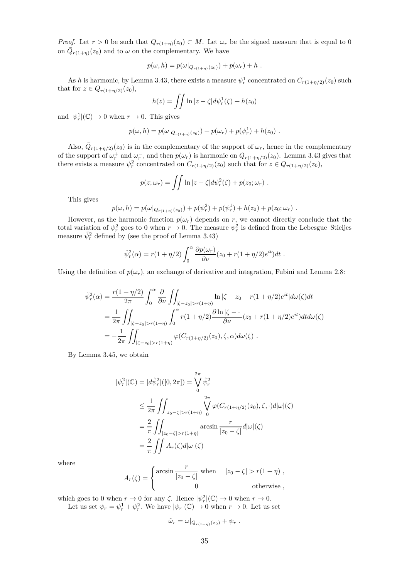*Proof.* Let  $r > 0$  be such that  $Q_{r(1+\eta)}(z_0) \subset M$ . Let  $\omega_r$  be the signed measure that is equal to 0 on  $\overline{Q}_{r(1+\eta)}(z_0)$  and to  $\omega$  on the complementary. We have

$$
p(\omega, h) = p(\omega|_{Q_{r(1+\eta)}(z_0)}) + p(\omega_r) + h.
$$

As *h* is harmonic, by Lemma 3.43, there exists a measure  $\psi_r^1$  concentrated on  $C_{r(1+\eta/2)}(z_0)$  such that for  $z \in Q_{r(1+\eta/2)}(z_0)$ ,

$$
h(z) = \iint \ln |z - \zeta| d\psi_r^1(\zeta) + h(z_0)
$$

and  $|\psi_r^1|(\mathbb{C}) \to 0$  when  $r \to 0$ . This gives

$$
p(\omega, h) = p(\omega|_{Q_{r(1+\eta)}(z_0)}) + p(\omega_r) + p(\psi_r^1) + h(z_0) .
$$

Also,  $\overline{Q}_{r(1+\eta/2)}(z_0)$  is in the complementary of the support of  $\omega_r$ , hence in the complementary of the support of  $\omega_r^+$  and  $\omega_r^-$ , and then  $p(\omega_r)$  is harmonic on  $\overline{Q}_{r(1+\eta/2)}(z_0)$ . Lemma 3.43 gives that there exists a measure  $\psi_r^2$  concentrated on  $C_{r(1+\eta/2)}(z_0)$  such that for  $z \in Q_{r(1+\eta/2)}(z_0)$ ,

$$
p(z; \omega_r) = \iint \ln |z - \zeta| d\psi_r^2(\zeta) + p(z_0; \omega_r) .
$$

This gives

$$
p(\omega, h) = p(\omega|_{Q_{r(1+\eta)}(z_0)}) + p(\psi_r^2) + p(\psi_r^1) + h(z_0) + p(z_0; \omega_r).
$$

However, as the harmonic function  $p(\omega_r)$  depends on *r*, we cannot directly conclude that the total variation of  $\psi_r^2$  goes to 0 when  $r \to 0$ . The measure  $\psi_r^2$  is defined from the Lebesgue–Stieljes measure  $\tilde{\psi}_r^2$  defined by (see the proof of Lemma 3.43)

$$
\tilde{\psi}_r^2(\alpha) = r(1 + \eta/2) \int_0^\alpha \frac{\partial p(\omega_r)}{\partial \nu} (z_0 + r(1 + \eta/2)e^{it}) dt.
$$

Using the definition of  $p(\omega_r)$ , an exchange of derivative and integration, Fubini and Lemma 2.8:

$$
\tilde{\psi}_r^2(\alpha) = \frac{r(1+\eta/2)}{2\pi} \int_0^\alpha \frac{\partial}{\partial \nu} \iint_{|\zeta-z_0|>r(1+\eta)} \ln|\zeta-z_0-r(1+\eta/2)e^{it}|d\omega(\zeta)dt
$$
  
\n
$$
= \frac{1}{2\pi} \iint_{|\zeta-z_0|>r(1+\eta)} \int_0^\alpha r(1+\eta/2) \frac{\partial \ln|\zeta-\cdot|}{\partial \nu}(z_0+r(1+\eta/2)e^{it})dt d\omega(\zeta)
$$
  
\n
$$
= -\frac{1}{2\pi} \iint_{|\zeta-z_0|>r(1+\eta)} \varphi(C_{r(1+\eta/2)}(z_0), \zeta, \alpha) d\omega(\zeta).
$$

By Lemma 3.45, we obtain

$$
|\psi_r^2|(\mathbb{C}) = |d\tilde{\psi}_r^2|([0, 2\pi]) = \bigvee_0^{2\pi} \tilde{\psi}_r^2
$$
  
\n
$$
\leq \frac{1}{2\pi} \iint_{|z_0 - \zeta| > r(1+\eta)} \bigvee_0^{2\pi} \varphi(C_{r(1+\eta/2)}(z_0), \zeta, \cdot) d|\omega|(\zeta)
$$
  
\n
$$
= \frac{2}{\pi} \iint_{|z_0 - \zeta| > r(1+\eta)} \arcsin \frac{r}{|z_0 - \zeta|} d|\omega|(\zeta)
$$
  
\n
$$
= \frac{2}{\pi} \iint A_r(\zeta) d|\omega|(\zeta)
$$

where

$$
A_r(\zeta) = \begin{cases} \arcsin \frac{r}{|z_0 - \zeta|} & \text{when} \quad |z_0 - \zeta| > r(1 + \eta) ,\\ 0 & \text{otherwise} , \end{cases}
$$

which goes to 0 when  $r \to 0$  for any  $\zeta$ . Hence  $|\psi_r|^2(\mathbb{C}) \to 0$  when  $r \to 0$ . Let us set  $\psi_r = \psi_r^1 + \psi_r^2$ . We have  $|\psi_r|(\mathbb{C}) \to 0$  when  $r \to 0$ . Let us set

$$
\tilde{\omega}_r = \omega|_{Q_{r(1+\eta)}(z_0)} + \psi_r.
$$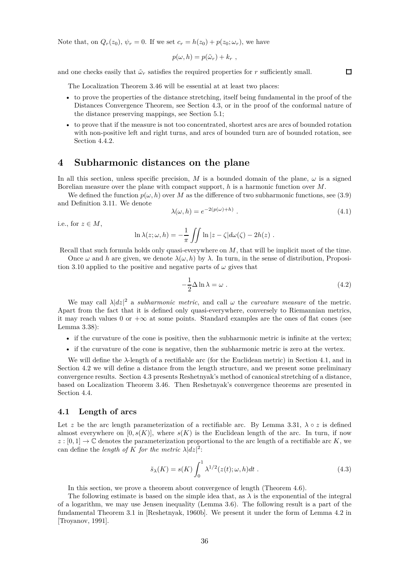Note that, on  $Q_r(z_0)$ ,  $\psi_r = 0$ . If we set  $c_r = h(z_0) + p(z_0; \omega_r)$ , we have

$$
p(\omega, h) = p(\tilde{\omega}_r) + k_r,
$$

and one checks easily that  $\tilde{\omega}_r$  satisfies the required properties for  $r$  sufficiently small.

The Localization Theorem 3.46 will be essential at at least two places:

- to prove the properties of the distance stretching, itself being fundamental in the proof of the Distances Convergence Theorem, see Section 4.3, or in the proof of the conformal nature of the distance preserving mappings, see Section 5.1;
- to prove that if the measure is not too concentrated, shortest arcs are arcs of bounded rotation with non-positive left and right turns, and arcs of bounded turn are of bounded rotation, see Section 4.4.2.

# **4 Subharmonic distances on the plane**

In all this section, unless specific precision, *M* is a bounded domain of the plane,  $\omega$  is a signed Borelian measure over the plane with compact support, *h* is a harmonic function over *M*.

We defined the function  $p(\omega, h)$  over M as the difference of two subharmonic functions, see (3.9) and Definition 3.11. We denote

$$
\lambda(\omega, h) = e^{-2(p(\omega) + h)}.
$$
\n(4.1)

i.e., for  $z \in M$ ,

$$
\ln \lambda(z; \omega, h) = -\frac{1}{\pi} \iint \ln |z - \zeta| d\omega(\zeta) - 2h(z) .
$$

Recall that such formula holds only quasi-everywhere on *M*, that will be implicit most of the time.

Once  $\omega$  and *h* are given, we denote  $\lambda(\omega, h)$  by  $\lambda$ . In turn, in the sense of distribution, Proposition 3.10 applied to the positive and negative parts of  $\omega$  gives that

$$
-\frac{1}{2}\Delta \ln \lambda = \omega \ . \tag{4.2}
$$

We may call  $\lambda |dz|^2$  a *subharmonic metric*, and call  $\omega$  the *curvature measure* of the metric. Apart from the fact that it is defined only quasi-everywhere, conversely to Riemannian metrics, it may reach values 0 or  $+\infty$  at some points. Standard examples are the ones of flat cones (see Lemma 3.38):

- if the curvature of the cone is positive, then the subharmonic metric is infinite at the vertex;
- if the curvature of the cone is negative, then the subharmonic metric is zero at the vertex.

We will define the *λ*-length of a rectifiable arc (for the Euclidean metric) in Section 4.1, and in Section 4.2 we will define a distance from the length structure, and we present some preliminary convergence results. Section 4.3 presents Reshetnyak's method of canonical stretching of a distance, based on Localization Theorem 3.46. Then Reshetnyak's convergence theorems are presented in Section 4.4.

#### **4.1 Length of arcs**

Let z be the arc length parameterization of a rectifiable arc. By Lemma 3.31,  $\lambda \circ z$  is defined almost everywhere on  $[0, s(K)]$ , where  $s(K)$  is the Euclidean length of the arc. In turn, if now  $z : [0, 1] \to \mathbb{C}$  denotes the parameterization proportional to the arc length of a rectifiable arc *K*, we can define the *length of K for the metric*  $\lambda |dz|^2$ :

$$
\tilde{s}_{\lambda}(K) = s(K) \int_0^1 \lambda^{1/2}(z(t); \omega, h) dt . \qquad (4.3)
$$

In this section, we prove a theorem about convergence of length (Theorem 4.6).

The following estimate is based on the simple idea that, as  $\lambda$  is the exponential of the integral of a logarithm, we may use Jensen inequality (Lemma 3.6). The following result is a part of the fundamental Theorem 3.1 in [Reshetnyak, 1960b]. We present it under the form of Lemma 4.2 in [Troyanov, 1991].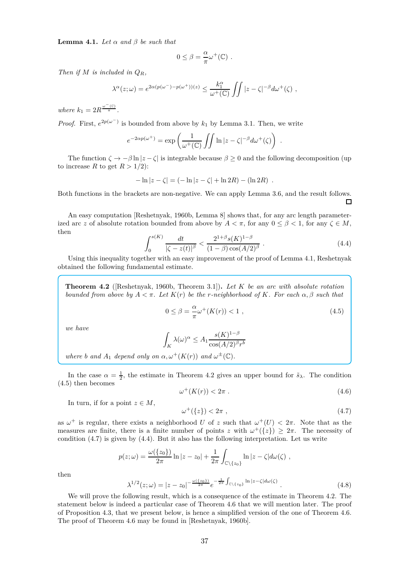**Lemma 4.1.** *Let*  $\alpha$  *and*  $\beta$  *be such that* 

$$
0 \leq \beta = \frac{\alpha}{\pi} \omega^+(\mathbb{C}) \ .
$$

*Then if M is included in QR,*

$$
\lambda^{\alpha}(z;\omega) = e^{2\alpha(p(\omega^{-})-p(\omega^{+}))(z)} \leq \frac{k_1^{\alpha}}{\omega^{+}(\mathbb{C})} \iint |z-\zeta|^{-\beta} d\omega^{+}(\zeta) ,
$$

*where*  $k_1 = 2R^{\frac{\omega^-(\mathbb{C})}{\pi}}$ .

*Proof.* First,  $e^{2p(\omega^-)}$  is bounded from above by  $k_1$  by Lemma 3.1. Then, we write

$$
e^{-2\alpha p(\omega^+)} = \exp\left(\frac{1}{\omega^+(\mathbb{C})}\iint \ln|z-\zeta|^{-\beta}d\omega^+(\zeta)\right) .
$$

The function  $\zeta \to -\beta \ln |z-\zeta|$  is integrable because  $\beta \ge 0$  and the following decomposition (up to increase *R* to get  $R > 1/2$ :

$$
-\ln|z-\zeta| = (-\ln|z-\zeta| + \ln 2R) - (\ln 2R) .
$$

Both functions in the brackets are non-negative. We can apply Lemma 3.6, and the result follows.  $\Box$ 

An easy computation [Reshetnyak, 1960b, Lemma 8] shows that, for any arc length parameterized arc *z* of absolute rotation bounded from above by  $A < \pi$ , for any  $0 \le \beta < 1$ , for any  $\zeta \in M$ , then

$$
\int_0^{s(K)} \frac{dt}{|\zeta - z(t)|^{\beta}} < \frac{2^{1+\beta} s(K)^{1-\beta}}{(1-\beta)\cos(A/2)^{\beta}}.
$$
\n(4.4)

Using this inequality together with an easy improvement of the proof of Lemma 4.1, Reshetnyak obtained the following fundamental estimate.

**Theorem 4.2** ([Reshetnyak, 1960b, Theorem 3.1])**.** *Let K be an arc with absolute rotation bounded from above by A < π. Let K*(*r*) *be the r-neighborhood of K. For each α, β such that*

$$
0 \le \beta = -\frac{\alpha}{\pi} \omega^+(K(r)) < 1 \tag{4.5}
$$

*we have*

$$
\int_K \lambda(\omega)^{\alpha} \le A_1 \frac{s(K)^{1-\beta}}{\cos(A/2)^{\beta}r^b}
$$

*where b and*  $A_1$  *depend only on*  $\alpha, \omega^+(K(r))$  *and*  $\omega^{\pm}(\mathbb{C})$ *.* 

In the case  $\alpha = \frac{1}{2}$ , the estimate in Theorem 4.2 gives an upper bound for  $\tilde{s}_{\lambda}$ . The condition (4.5) then becomes

$$
\omega^+(K(r)) < 2\pi \tag{4.6}
$$

In turn, if for a point  $z \in M$ ,

$$
\omega^+(\{z\}) < 2\pi \;, \tag{4.7}
$$

as  $\omega^+$  is regular, there exists a neighborhood *U* of *z* such that  $\omega^+(U) < 2\pi$ . Note that as the measures are finite, there is a finite number of points *z* with  $\omega^+(\{z\}) \geq 2\pi$ . The necessity of condition  $(4.7)$  is given by  $(4.4)$ . But it also has the following interpretation. Let us write

$$
p(z; \omega) = \frac{\omega(\{z_0\})}{2\pi} \ln|z - z_0| + \frac{1}{2\pi} \int_{\mathbb{C} \backslash \{z_0\}} \ln|z - \zeta| d\omega(\zeta) ,
$$

then

$$
\lambda^{1/2}(z;\omega) = |z - z_0|^{-\frac{\omega(\{z_0\})}{2\pi}} e^{-\frac{1}{2\pi} \int_{\mathbb{C}\backslash\{z_0\}} \ln|z - \zeta| d\omega(\zeta)}.
$$
 (4.8)

We will prove the following result, which is a consequence of the estimate in Theorem 4.2. The statement below is indeed a particular case of Theorem 4.6 that we will mention later. The proof of Proposition 4.3, that we present below, is hence a simplified version of the one of Theorem 4.6. The proof of Theorem 4.6 may be found in [Reshetnyak, 1960b].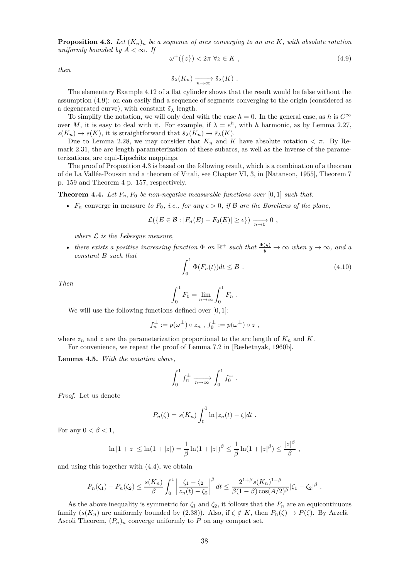**Proposition 4.3.** Let  $(K_n)_n$  be a sequence of arcs converging to an arc K, with absolute rotation *uniformly bounded by*  $A < \infty$ *. If* 

$$
\omega^+(\{z\}) < 2\pi \,\forall z \in K \;, \tag{4.9}
$$

*then*

$$
\tilde{s}_{\lambda}(K_n) \xrightarrow[n \to \infty]{} \tilde{s}_{\lambda}(K) .
$$

The elementary Example 4.12 of a flat cylinder shows that the result would be false without the assumption (4.9): on can easily find a sequence of segments converging to the origin (considered as a degenerated curve), with constant  $\tilde{s}_{\lambda}$  length.

To simplify the notation, we will only deal with the case  $h = 0$ . In the general case, as *h* is  $C^{\infty}$ over *M*, it is easy to deal with it. For example, if  $\lambda = e^h$ , with *h* harmonic, as by Lemma 2.27,  $s(K_n) \to s(K)$ , it is straightforward that  $\tilde{s}_{\lambda}(K_n) \to \tilde{s}_{\lambda}(K)$ .

Due to Lemma 2.28, we may consider that  $K_n$  and  $K$  have absolute rotation  $\lt \pi$ . By Remark 2.31, the arc length parameterization of these subarcs, as well as the inverse of the parameterizations, are equi-Lipschitz mappings.

The proof of Proposition 4.3 is based on the following result, which is a combination of a theorem of de La Vallée-Poussin and a theorem of Vitali, see Chapter VI, 3, in [Natanson, 1955], Theorem 7 p. 159 and Theorem 4 p. 157, respectively.

**Theorem 4.4.** Let  $F_n$ ,  $F_0$  be non-negative measurable functions over [0,1] such that:

•  $F_n$  converge in measure to  $F_0$ , *i.e.*, for any  $\epsilon > 0$ , if  $\beta$  are the Borelians of the plane,

$$
\mathcal{L}(\lbrace E \in \mathcal{B} : |F_n(E) - F_0(E)| \geq \epsilon \rbrace) \xrightarrow[n \to 0]{} 0 ,
$$

*where* L *is the Lebesgue measure,*

• *there exists a positive increasing function*  $\Phi$  *on*  $\mathbb{R}^+$  *such that*  $\frac{\Phi(y)}{y} \to \infty$  *when*  $y \to \infty$ *, and a constant B such that*

$$
\int_0^1 \Phi(F_n(t))dt \le B . \tag{4.10}
$$

*Then*

$$
\int_0^1 F_0 = \lim_{n \to \infty} \int_0^1 F_n .
$$

We will use the following functions defined over [0*,* 1]:

$$
f_n^{\pm} := p(\omega^{\pm}) \circ z_n , f_0^{\pm} := p(\omega^{\pm}) \circ z ,
$$

where  $z_n$  and  $z$  are the parameterization proportional to the arc length of  $K_n$  and  $K$ . For convenience, we repeat the proof of Lemma 7.2 in [Reshetnyak, 1960b].

**Lemma 4.5.** *With the notation above,*

$$
\int_0^1 f_n^{\pm} \xrightarrow[n \to \infty]{} \int_0^1 f_0^{\pm} .
$$

*Proof.* Let us denote

$$
P_n(\zeta) = s(K_n) \int_0^1 \ln |z_n(t) - \zeta| dt.
$$

For any  $0 < \beta < 1$ ,

$$
\ln|1+z| \leq \ln(1+|z|) = \frac{1}{\beta}\ln(1+|z|)^{\beta} \leq \frac{1}{\beta}\ln(1+|z|^{\beta}) \leq \frac{|z|^{\beta}}{\beta},
$$

and using this together with (4.4), we obtain

$$
P_n(\zeta_1) - P_n(\zeta_2) \le \frac{s(K_n)}{\beta} \int_0^1 \left| \frac{\zeta_1 - \zeta_2}{z_n(t) - \zeta_2} \right|^\beta dt \le \frac{2^{1+\beta} s(K_n)^{1-\beta}}{\beta(1-\beta) \cos(A/2)^\beta} |\zeta_1 - \zeta_2|^\beta.
$$

As the above inequality is symmetric for  $\zeta_1$  and  $\zeta_2$ , it follows that the  $P_n$  are an equicontinuous family  $(s(K_n)$  are uniformly bounded by (2.38)). Also, if  $\zeta \notin K$ , then  $P_n(\zeta) \to P(\zeta)$ . By Arzelà– Ascoli Theorem,  $(P_n)_n$  converge uniformly to P on any compact set.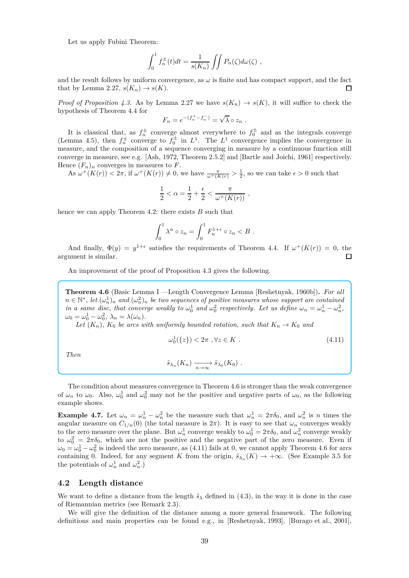Let us apply Fubini Theorem:

$$
\int_0^1 f_n^{\pm}(t)dt = \frac{1}{s(K_n)} \iint P_n(\zeta) d\omega(\zeta) ,
$$

and the result follows by uniform convergence, as  $\omega$  is finite and has compact support, and the fact that by Lemma 2.27,  $s(K_n) \to s(K)$ . П

*Proof of Proposition 4.3.* As by Lemma 2.27 we have  $s(K_n) \to s(K)$ , it will suffice to check the hypothesis of Theorem 4.4 for

$$
F_n = e^{-(f_n^+ - f_n^-)} = \sqrt{\lambda} \circ z_n \ .
$$

It is classical that, as  $f_n^{\pm}$  converge almost everywhere to  $f_0^{\pm}$  and as the integrals converge (Lemma 4.5), then  $f_n^{\pm}$  converge to  $f_0^{\pm}$  in  $L^1$ . The  $L^1$  convergence implies the convergence in measure, and the composition of a sequence converging in measure by a continuous function still converge in measure, see e.g. [Ash, 1972, Theorem 2.5.2] and [Bartle and Joichi, 1961] respectively. Hence  $(F_n)_n$  converges in measures to F.

As  $\omega^+(K(r)) < 2\pi$ , if  $\omega^+(K(r)) \neq 0$ , we have  $\frac{\pi}{\omega^+(K(r))} > \frac{1}{2}$ , so we can take  $\epsilon > 0$  such that

$$
\frac{1}{2} < \alpha = \frac{1}{2} + \frac{\epsilon}{2} < \frac{\pi}{\omega^+(K(r))},
$$

hence we can apply Theorem 4.2: there exists *B* such that

$$
\int_0^1 \lambda^{\alpha} \circ z_n = \int_0^1 F_n^{1+\epsilon} \circ z_n < B \; .
$$

And finally,  $\Phi(y) = y^{1+\epsilon}$  satisfies the requirements of Theorem 4.4. If  $\omega^+(K(r)) = 0$ , the argument is similar. П

An improvement of the proof of Proposition 4.3 gives the following.

**Theorem 4.6** (Basic Lemma I —Length Convergence Lemma [Reshetnyak, 1960b])**.** *For all*  $n \in \mathbb{N}^*$ , let  $(\omega_n^1)_n$  and  $(\omega_n^2)_n$  be two sequences of positive measures whose support are contained *in a same disc, that converge weakly to*  $\omega_0^1$  *and*  $\omega_0^2$  *respectively. Let us define*  $\omega_n = \omega_n^1 - \omega_n^2$ ,  $\omega_0 = \omega_0^1 - \omega_0^2$ ,  $\lambda_n = \lambda(\omega_n)$ .

Let  $(K_n)$ ,  $K_0$  be arcs with uniformly bounded rotation, such that  $K_n \to K_0$  and

$$
\omega_0^1(\{z\}) < 2\pi \quad \forall z \in K \tag{4.11}
$$

*Then*

$$
\tilde{s}_{\lambda_n}(K_n) \xrightarrow[n \to \infty]{} \tilde{s}_{\lambda_0}(K_0) .
$$

The condition about measures convergence in Theorem 4.6 is stronger than the weak convergence of  $\omega_n$  to  $\omega_0$ . Also,  $\omega_0^1$  and  $\omega_0^2$  may not be the positive and negative parts of  $\omega_0$ , as the following example shows.

**Example 4.7.** Let  $\omega_n = \omega_n^1 - \omega_n^2$  be the measure such that  $\omega_n^1 = 2\pi\delta_0$ , and  $\omega_n^2$  is *n* times the angular measure on  $C_{1/n}(0)$  (the total measure is  $2\pi$ ). It is easy to see that  $\omega_n$  converges weakly to the zero measure over the plane. But  $\omega_n^1$  converge weakly to  $\omega_0^1 = 2\pi\delta_0$ , and  $\omega_n^2$  converge weakly to  $\omega_0^2 = 2\pi\delta_0$ , which are not the positive and the negative part of the zero measure. Even if  $\omega_0 = \omega_0^1 - \omega_0^2$  is indeed the zero measure, as (4.11) fails at 0, we cannot apply Theorem 4.6 for arcs containing 0. Indeed, for any segment *K* from the origin,  $\tilde{s}_{\lambda_n}(K) \to +\infty$ . (See Example 3.5 for the potentials of  $\omega_n^1$  and  $\omega_n^2$ .)

# **4.2 Length distance**

We want to define a distance from the length  $\tilde{s}_{\lambda}$  defined in (4.3), in the way it is done in the case of Riemannian metrics (see Remark 2.3).

We will give the definition of the distance among a more general framework. The following definitions and main properties can be found e.g., in [Reshetnyak, 1993], [Burago et al., 2001],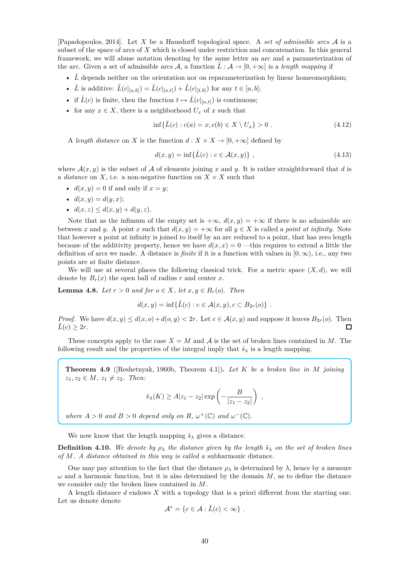[Papadopoulos, 2014]. Let *X* be a Hausdorff topological space. A *set of admissible arcs* A is a subset of the space of arcs of *X* which is closed under restriction and concatenation. In this general framework, we will abuse notation denoting by the same letter an arc and a parameterization of the arc. Given a set of admissible arcs  $\mathcal{A}$ , a function  $\tilde{L}: \mathcal{A} \to [0, +\infty]$  is a *length mapping* if

- $\hat{L}$  depends neither on the orientation nor on reparameterization by linear homeomorphism;
- $\tilde{L}$  is additive:  $\tilde{L}(c|_{[a,b]}) = \tilde{L}(c|_{[a,t]}) + \tilde{L}(c|_{[t,b]})$  for any  $t \in [a,b]$ ;
- if  $\tilde{L}(c)$  is finite, then the function  $t \mapsto \tilde{L}(c|_{[a,t]})$  is continuous;
- for any  $x \in X$ , there is a neighborhood  $U_x$  of  $x$  such that

$$
\inf \{ \tilde{L}(c) : c(a) = x, c(b) \in X \setminus U_x \} > 0 . \tag{4.12}
$$

A *length distance* on *X* is the function  $d: X \times X \to [0, +\infty]$  defined by

$$
d(x,y) = \inf \{ \tilde{L}(c) : c \in \mathcal{A}(x,y) \}, \qquad (4.13)
$$

where  $\mathcal{A}(x, y)$  is the subset of  $\mathcal A$  of elements joining x and y. It is rather straightforward that d is a *distance* on X, i.e. a non-negative function on  $X \times X$  such that

- $d(x, y) = 0$  if and only if  $x = y$ ;
- $d(x, y) = d(y, x);$
- $d(x, z) \leq d(x, y) + d(y, z).$

Note that as the infimum of the empty set is  $+\infty$ ,  $d(x, y) = +\infty$  if there is no admissible arc between *x* and *y*. A point *x* such that  $d(x, y) = +\infty$  for all  $y \in X$  is called a *point at infinity*. Note that however a point at infinity is joined to itself by an arc reduced to a point, that has zero length because of the additivity property, hence we have  $d(x, x) = 0$  —this requires to extend a little the definition of arcs we made. A distance is *finite* if it is a function with values in  $[0, \infty)$ , i.e., any two points are at finite distance.

We will use at several places the following classical trick. For a metric space  $(X, d)$ , we will denote by  $B_r(x)$  the open ball of radius *r* and center *x*.

**Lemma 4.8.** *Let*  $r > 0$  *and for*  $o \in X$ *, let*  $x, y \in B_r(o)$ *. Then* 

$$
d(x,y) = \inf \{ \tilde{L}(c) : c \in \mathcal{A}(x,y), c \subset B_{2r}(o) \} .
$$

*Proof.* We have  $d(x, y) \leq d(x, o) + d(o, y) < 2r$ . Let  $c \in \mathcal{A}(x, y)$  and suppose it leaves  $B_{2r}(o)$ . Then  $\overline{L}(c) > 2r$ .  $\tilde{L}(c) > 2r$ .

These concepts apply to the case  $X = M$  and  $A$  is the set of broken lines contained in M. The following result and the properties of the integral imply that  $\tilde{s}_{\lambda}$  is a length mapping.

**Theorem 4.9** ([Reshetnyak, 1960b, Theorem 4.1])**.** *Let K be a broken line in M joining*  $z_1, z_2 \in M$ ,  $z_1 \neq z_2$ . Then:

$$
\tilde{s}_{\lambda}(K) \ge A|z_1 - z_2| \exp\left(-\frac{B}{|z_1 - z_2|}\right) ,
$$

*where*  $A > 0$  *and*  $B > 0$  *depend only on*  $R, \omega^+(\mathbb{C})$  *and*  $\omega^-(\mathbb{C})$ *.* 

We now know that the length mapping  $\tilde{s}_{\lambda}$  gives a distance.

**Definition 4.10.** *We denote by*  $\rho_{\lambda}$  *the distance given by the length*  $\tilde{s}_{\lambda}$  *on the set of broken lines of M. A distance obtained in this way is called a* subharmonic distance*.*

One may pay attention to the fact that the distance  $\rho_{\lambda}$  is determined by  $\lambda$ , hence by a measure  $\omega$  and a harmonic function, but it is also determined by the domain  $M$ , as to define the distance we consider only the broken lines contained in *M*.

A length distance *d* endows *X* with a topology that is a priori different from the starting one. Let us denote denote

$$
\mathcal{A}^* = \{c \in \mathcal{A} : \tilde{L}(c) < \infty\} \; .
$$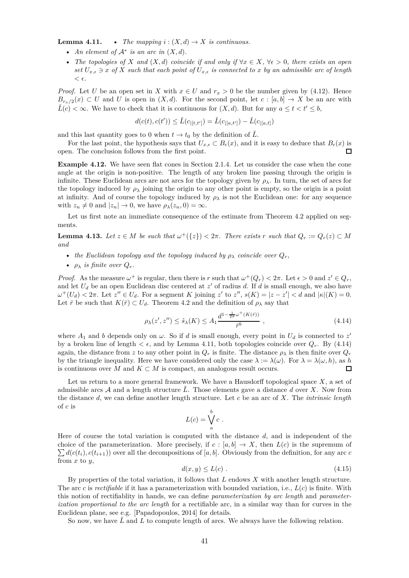**Lemma 4.11.** • *The mapping*  $i : (X, d) \rightarrow X$  *is continuous.* 

- *An element of*  $A^*$  *is an arc in*  $(X, d)$ *.*
- *The topologies of*  $X$  *and*  $(X, d)$  *coincide if and only if*  $\forall x \in X, \forall \epsilon > 0$ *, there exists an open set*  $U_{x,\epsilon} \ni x$  *of*  $X$  *such that each point of*  $U_{x,\epsilon}$  *is connected to*  $x$  *by an admissible arc of length*  $< \epsilon$ .

*Proof.* Let *U* be an open set in *X* with  $x \in U$  and  $r_x > 0$  be the number given by (4.12). Hence  $B_{r_r/2}(x) \subset U$  and *U* is open in  $(X, d)$ . For the second point, let  $c : [a, b] \to X$  be an arc with  $\tilde{L}(c) < \infty$ . We have to check that it is continuous for  $(X, d)$ . But for any  $a \le t < t' \le b$ ,

$$
d(c(t), c(t')) \leq \tilde{L}(c_{|[t,t']}) = \tilde{L}(c_{|[a,t']}) - \tilde{L}(c_{|[a,t]})
$$

and this last quantity goes to 0 when  $t \to t_0$  by the definition of  $\tilde{L}$ .

For the last point, the hypothesis says that  $U_{x,\epsilon} \subset B_{\epsilon}(x)$ , and it is easy to deduce that  $B_{\epsilon}(x)$  is n.<br>The conclusion follows from the first point open. The conclusion follows from the first point.

**Example 4.12.** We have seen flat cones in Section 2.1.4. Let us consider the case when the cone angle at the origin is non-positive. The length of any broken line passing through the origin is infinite. These Euclidean arcs are not arcs for the topology given by  $\rho_{\lambda}$ . In turn, the set of arcs for the topology induced by  $\rho_{\lambda}$  joining the origin to any other point is empty, so the origin is a point at infinity. And of course the topology induced by  $\rho_{\lambda}$  is not the Euclidean one: for any sequence with  $z_n \neq 0$  and  $|z_n| \to 0$ , we have  $\rho_\lambda(z_n, 0) = \infty$ .

Let us first note an immediate consequence of the estimate from Theorem 4.2 applied on segments.

**Lemma 4.13.** Let  $z \in M$  be such that  $\omega^+(\{z\}) < 2\pi$ . There exists  $r$  such that  $Q_r := Q_r(z) \subset M$ *and*

- *the Euclidean topology and the topology induced by*  $\rho_{\lambda}$  *coincide over*  $Q_r$ ,
- $\rho_{\lambda}$  *is finite over*  $Q_r$ .

*Proof.* As the measure  $\omega^+$  is regular, then there is *r* such that  $\omega^+(Q_r) < 2\pi$ . Let  $\epsilon > 0$  and  $z' \in Q_r$ , and let *U<sup>d</sup>* be an open Euclidean disc centered at *z* ′ of radius *d*. If *d* is small enough, we also have  $\omega^+(U_d) < 2\pi$ . Let  $z'' \in U_d$ . For a segment K joining z' to z'',  $s(K) = |z - z'| < d$  and  $|\kappa|(K) = 0$ . Let  $\bar{r}$  be such that  $K(\bar{r}) \subset U_d$ . Theorem 4.2 and the definition of  $\rho_{\lambda}$  say that

$$
\rho_{\lambda}(z',z'') \le \tilde{s}_{\lambda}(K) \le A_1 \frac{d^{1-\frac{1}{2\pi}\omega^+(K(\bar{r}))}}{\bar{r}^b},
$$
\n(4.14)

where  $A_1$  and *b* depends only on  $\omega$ . So if *d* is small enough, every point in  $U_d$  is connected to  $z'$ by a broken line of length  $\lt \epsilon$ , and by Lemma 4.11, both topologies coincide over  $Q_r$ . By (4.14) again, the distance from *z* to any other point in  $Q_r$  is finite. The distance  $\rho_{\lambda}$  is then finite over  $Q_r$ by the triangle inequality. Here we have considered only the case  $\lambda := \lambda(\omega)$ . For  $\lambda = \lambda(\omega, h)$ , as *h* is continuous over *M* and  $K \subset M$  is compact, an analogous result occurs.  $\Box$ 

Let us return to a more general framework. We have a Hausdorff topological space *X*, a set of admissible arcs  $A$  and a length structure  $L$ . Those elements gave a distance  $d$  over  $X$ . Now from the distance *d*, we can define another length structure. Let *c* be an arc of *X*. The *intrinsic length* of *c* is

$$
L(c) = \bigvee_a^b c.
$$

Here of course the total variation is computed with the distance *d*, and is independent of the  $\sum d(c(t_i), c(t_{i+1}))$  over all the decompositions of [*a*, *b*]. Obviously from the definition, for any arc *c* choice of the parameterization. More precisely, if  $c : [a, b] \rightarrow X$ , then  $L(c)$  is the supremum of from *x* to *y*,

$$
d(x, y) \le L(c) \tag{4.15}
$$

By properties of the total variation, it follows that *L* endows *X* with another length structure. The arc *c* is *rectifiable* if it has a parameterization with bounded variation, i.e., *L*(*c*) is finite. With this notion of rectifiablity in hands, we can define *parameterization by arc length* and *parameterization proportional to the arc length* for a rectifiable arc, in a similar way than for curves in the Euclidean plane, see e.g. [Papadopoulos, 2014] for details.

So now, we have  $\tilde{L}$  and  $L$  to compute length of arcs. We always have the following relation.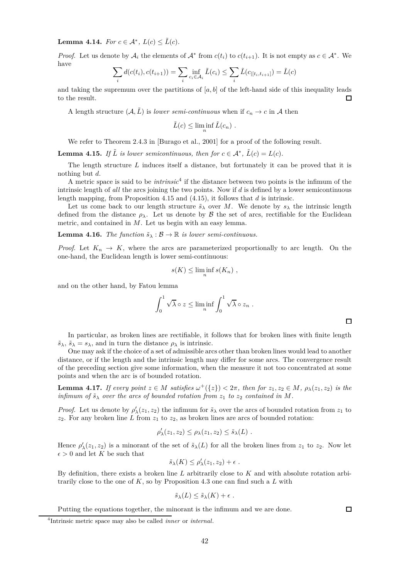**Lemma 4.14.** *For*  $c \in A^*$ ,  $L(c) \leq \tilde{L}(c)$ *.* 

*Proof.* Let us denote by  $A_i$  the elements of  $A^*$  from  $c(t_i)$  to  $c(t_{i+1})$ . It is not empty as  $c \in A^*$ . We have

$$
\sum_{i} d(c(t_i), c(t_{i+1})) = \sum_{i} \inf_{c_i \in \mathcal{A}_i} \tilde{L}(c_i) \le \sum_{i} \tilde{L}(c_{|[t_i, t_{i+1}]} ) = \tilde{L}(c)
$$

and taking the supremum over the partitions of  $[a, b]$  of the left-hand side of this inequality leads to the result. П

A length structure  $(A, \tilde{L})$  is *lower semi-continuous* when if  $c_n \to c$  in A then

$$
\tilde{L}(c) \le \liminf_{n} \tilde{L}(c_n).
$$

We refer to Theorem 2.4.3 in [Burago et al., 2001] for a proof of the following result.

**Lemma 4.15.** *If*  $\tilde{L}$  *is lower semicontinuous, then for*  $c \in A^*$ *,*  $\tilde{L}(c) = L(c)$ *.* 

The length structure *L* induces itself a distance, but fortunately it can be proved that it is nothing but *d*.

A metric space is said to be *intrinsic*<sup>4</sup> if the distance between two points is the infimum of the intrinsic length of *all* the arcs joining the two points. Now if *d* is defined by a lower semicontinuous length mapping, from Proposition 4.15 and (4.15), it follows that *d* is intrinsic.

Let us come back to our length structure  $\tilde{s}_{\lambda}$  over *M*. We denote by  $s_{\lambda}$  the intrinsic length defined from the distance  $\rho_{\lambda}$ . Let us denote by B the set of arcs, rectifiable for the Euclidean metric, and contained in *M*. Let us begin with an easy lemma.

**Lemma 4.16.** *The function*  $\tilde{s}_{\lambda} : \mathcal{B} \to \mathbb{R}$  *is lower semi-continuous.* 

*Proof.* Let  $K_n \to K$ , where the arcs are parameterized proportionally to arc length. On the one-hand, the Euclidean length is lower semi-continuous:

$$
s(K) \le \liminf_{n} s(K_n) ,
$$

and on the other hand, by Fatou lemma

$$
\int_0^1 \sqrt{\lambda} \circ z \le \liminf_n \int_0^1 \sqrt{\lambda} \circ z_n .
$$

In particular, as broken lines are rectifiable, it follows that for broken lines with finite length  $\tilde{s}_{\lambda}$ ,  $\tilde{s}_{\lambda} = s_{\lambda}$ , and in turn the distance  $\rho_{\lambda}$  is intrinsic.

One may ask if the choice of a set of admissible arcs other than broken lines would lead to another distance, or if the length and the intrinsic length may differ for some arcs. The convergence result of the preceding section give some information, when the measure it not too concentrated at some points and when the arc is of bounded rotation.

**Lemma 4.17.** If every point  $z \in M$  satisfies  $\omega^+(\{z\}) < 2\pi$ , then for  $z_1, z_2 \in M$ ,  $\rho_\lambda(z_1, z_2)$  is the *infimum of*  $\tilde{s}_{\lambda}$  *over the arcs of bounded rotation from*  $z_1$  *to*  $z_2$  *contained in M*.

*Proof.* Let us denote by  $\rho'_{\lambda}(z_1, z_2)$  the infimum for  $\tilde{s}_{\lambda}$  over the arcs of bounded rotation from  $z_1$  to  $z_2$ . For any broken line *L* from  $z_1$  to  $z_2$ , as broken lines are arcs of bounded rotation:

$$
\rho'_{\lambda}(z_1, z_2) \leq \rho_{\lambda}(z_1, z_2) \leq \tilde{s}_{\lambda}(L) .
$$

Hence  $\rho'_{\lambda}(z_1, z_2)$  is a minorant of the set of  $\tilde{s}_{\lambda}(L)$  for all the broken lines from  $z_1$  to  $z_2$ . Now let  $\epsilon > 0$  and let *K* be such that

$$
\tilde{s}_{\lambda}(K) \leq \rho'_{\lambda}(z_1, z_2) + \epsilon.
$$

By definition, there exists a broken line *L* arbitrarily close to *K* and with absolute rotation arbitrarily close to the one of *K*, so by Proposition 4.3 one can find such a *L* with

$$
\tilde{s}_{\lambda}(L) \leq \tilde{s}_{\lambda}(K) + \epsilon.
$$

Putting the equations together, the minorant is the infimum and we are done.

<sup>4</sup> Intrinsic metric space may also be called *inner* or *internal*.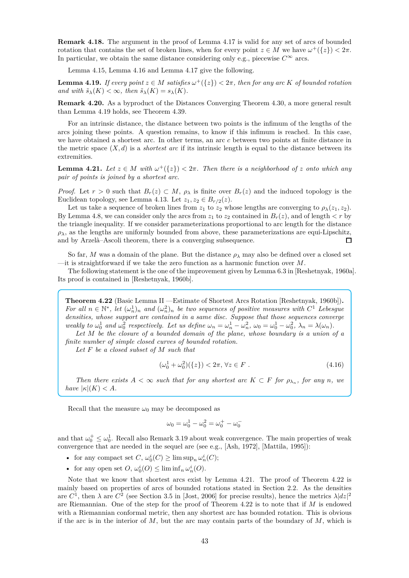**Remark 4.18.** The argument in the proof of Lemma 4.17 is valid for any set of arcs of bounded rotation that contains the set of broken lines, when for every point  $z \in M$  we have  $\omega^+(\{z\}) < 2\pi$ . In particular, we obtain the same distance considering only e.g., piecewise  $C^{\infty}$  arcs.

Lemma 4.15, Lemma 4.16 and Lemma 4.17 give the following.

**Lemma 4.19.** *If every point*  $z \in M$  *satisfies*  $\omega^+(\{z\}) < 2\pi$ *, then for any arc*  $K$  *of bounded rotation and with*  $\tilde{s}_{\lambda}(K) < \infty$ *, then*  $\tilde{s}_{\lambda}(K) = s_{\lambda}(K)$ *.* 

**Remark 4.20.** As a byproduct of the Distances Converging Theorem 4.30, a more general result than Lemma 4.19 holds, see Theorem 4.39.

For an intrinsic distance, the distance between two points is the infimum of the lengths of the arcs joining these points. A question remains, to know if this infimum is reached. In this case, we have obtained a shortest arc. In other terms, an arc *c* between two points at finite distance in the metric space  $(X, d)$  is a *shortest arc* if its intrinsic length is equal to the distance between its extremities.

**Lemma 4.21.** *Let*  $z \in M$  *with*  $\omega^+(\{z\}) < 2\pi$ *. Then there is a neighborhood of z onto which any pair of points is joined by a shortest arc.*

*Proof.* Let  $r > 0$  such that  $B_r(z) \subset M$ ,  $\rho_{\lambda}$  is finite over  $B_r(z)$  and the induced topology is the Euclidean topology, see Lemma 4.13. Let  $z_1, z_2 \in B_{r/2}(z)$ .

Let us take a sequence of broken lines from  $z_1$  to  $z_2$  whose lengths are converging to  $\rho_\lambda(z_1, z_2)$ . By Lemma 4.8, we can consider only the arcs from  $z_1$  to  $z_2$  contained in  $B_r(z)$ , and of length  $\lt r$  by the triangle inequality. If we consider parameterizations proportional to arc length for the distance  $\rho_{\lambda}$ , as the lengths are uniformly bounded from above, these parameterizations are equi-Lipschitz, and by Arzelà–Ascoli theorem, there is a converging subsequence. П

So far, M was a domain of the plane. But the distance  $\rho_{\lambda}$  may also be defined over a closed set —it is straightforward if we take the zero function as a harmonic function over *M*.

The following statement is the one of the improvement given by Lemma 6.3 in [Reshetnyak, 1960a]. Its proof is contained in [Reshetnyak, 1960b].

**Theorem 4.22** (Basic Lemma II —Estimate of Shortest Arcs Rotation [Reshetnyak, 1960b])**.** *For all*  $n \in \mathbb{N}^*$ , let  $(\omega_n^1)_n$  and  $(\omega_n^2)_n$  be two sequences of positive measures with  $C^1$  Lebesgue *densities, whose support are contained in a same disc. Suppose that those sequences converge* weakly to  $\omega_0^1$  and  $\omega_0^2$  respectively. Let us define  $\omega_n = \omega_n^1 - \omega_n^2$ ,  $\omega_0 = \omega_0^1 - \omega_0^2$ ,  $\lambda_n = \lambda(\omega_n)$ .

*Let M be the closure of a bounded domain of the plane, whose boundary is a union of a finite number of simple closed curves of bounded rotation.*

*Let F be a closed subset of M such that*

$$
(\omega_0^1 + \omega_0^2)(\{z\}) < 2\pi, \forall z \in F.
$$
\n(4.16)

*Then there exists*  $A < \infty$  *such that for any shortest arc*  $K \subset F$  *for*  $\rho_{\lambda_n}$ *, for any n, we have*  $|\kappa|(K) < A$ *.* 

Recall that the measure  $\omega_0$  may be decomposed as

$$
\omega_0 = \omega_0^1 - \omega_0^2 = \omega_0^+ - \omega_0^-
$$

and that  $\omega_0^+ \leq \omega_0^1$ . Recall also Remark 3.19 about weak convergence. The main properties of weak convergence that are needed in the sequel are (see e.g., [Ash, 1972], [Mattila, 1995]):

- for any compact set  $C$ ,  $\omega_0^i(C) \ge \limsup_n \omega_n^i(C)$ ;
- for any open set  $O$ ,  $\omega_0^i(O) \le \liminf_n \omega_n^i(O)$ .

Note that we know that shortest arcs exist by Lemma 4.21. The proof of Theorem 4.22 is mainly based on properties of arcs of bounded rotations stated in Section 2.2. As the densities are  $C^1$ , then  $\lambda$  are  $C^2$  (see Section 3.5 in [Jost, 2006] for precise results), hence the metrics  $\lambda |dz|^2$ are Riemannian. One of the step for the proof of Theorem 4.22 is to note that if *M* is endowed with a Riemannian conformal metric, then any shortest arc has bounded rotation. This is obvious if the arc is in the interior of *M*, but the arc may contain parts of the boundary of *M*, which is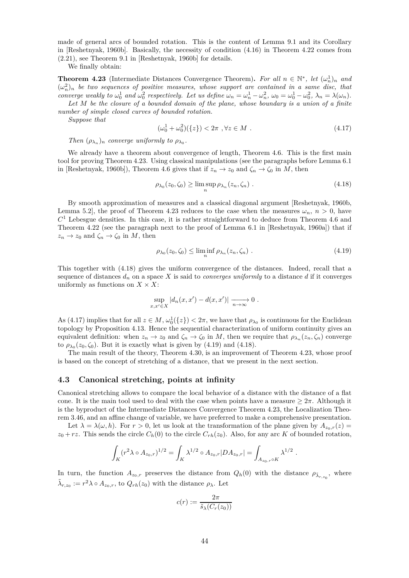made of general arcs of bounded rotation. This is the content of Lemma 9.1 and its Corollary in [Reshetnyak, 1960b]. Basically, the necessity of condition (4.16) in Theorem 4.22 comes from (2.21), see Theorem 9.1 in [Reshetnyak, 1960b] for details.

We finally obtain:

**Theorem 4.23** (Intermediate Distances Convergence Theorem). For all  $n \in \mathbb{N}^*$ , let  $(\omega_n^1)_n$  and  $(\omega_n^2)_n$  be two sequences of positive measures, whose support are contained in a same disc, that converge weakly to  $\omega_0^1$  and  $\omega_0^2$  respectively. Let us define  $\omega_n = \omega_n^1 - \omega_n^2$ ,  $\omega_0 = \omega_0^1 - \omega_0^2$ ,  $\lambda_n = \lambda(\omega_n)$ . *Let M be the closure of a bounded domain of the plane, whose boundary is a union of a finite*

*number of simple closed curves of bounded rotation. Suppose that*

$$
(\omega_0^1 + \omega_0^2)(\{z\}) < 2\pi \quad \forall z \in M \quad . \tag{4.17}
$$

*Then*  $(\rho_{\lambda_n})_n$  *converge uniformly to*  $\rho_{\lambda_0}$ *.* 

We already have a theorem about convergence of length, Theorem 4.6. This is the first main tool for proving Theorem 4.23. Using classical manipulations (see the paragraphs before Lemma 6.1 in [Reshetnyak, 1960b]), Theorem 4.6 gives that if  $z_n \to z_0$  and  $\zeta_n \to \zeta_0$  in *M*, then

$$
\rho_{\lambda_0}(z_0, \zeta_0) \ge \limsup_n \rho_{\lambda_n}(z_n, \zeta_n) . \tag{4.18}
$$

By smooth approximation of measures and a classical diagonal argument [Reshetnyak, 1960b, Lemma 5.2, the proof of Theorem 4.23 reduces to the case when the measures  $\omega_n$ ,  $n > 0$ , have  $C<sup>1</sup>$  Lebesgue densities. In this case, it is rather straightforward to deduce from Theorem 4.6 and Theorem 4.22 (see the paragraph next to the proof of Lemma 6.1 in [Reshetnyak, 1960a]) that if  $z_n \to z_0$  and  $\zeta_n \to \zeta_0$  in *M*, then

$$
\rho_{\lambda_0}(z_0, \zeta_0) \le \liminf_n \rho_{\lambda_n}(z_n, \zeta_n) . \tag{4.19}
$$

This together with (4.18) gives the uniform convergence of the distances. Indeed, recall that a sequence of distances  $d_n$  on a space X is said to *converges uniformly* to a distance  $d$  if it converges uniformly as functions on  $X \times X$ :

$$
\sup_{x,x'\in X} |d_n(x,x') - d(x,x')| \xrightarrow[n\to\infty]{} 0.
$$

As (4.17) implies that for all  $z \in M$ ,  $\omega_0^1({z}) < 2\pi$ , we have that  $\rho_{\lambda_0}$  is continuous for the Euclidean topology by Proposition 4.13. Hence the sequential characterization of uniform continuity gives an equivalent definition: when  $z_n \to z_0$  and  $\zeta_n \to \zeta_0$  in *M*, then we require that  $\rho_{\lambda_n}(z_n, \zeta_n)$  converge to  $\rho_{\lambda_0}(z_0,\zeta_0)$ . But it is exactly what is given by  $(4.19)$  and  $(4.18)$ .

The main result of the theory, Theorem 4.30, is an improvement of Theorem 4.23, whose proof is based on the concept of stretching of a distance, that we present in the next section.

# **4.3 Canonical stretching, points at infinity**

Canonical stretching allows to compare the local behavior of a distance with the distance of a flat cone. It is the main tool used to deal with the case when points have a measure  $\geq 2\pi$ . Although it is the byproduct of the Intermediate Distances Convergence Theorem 4.23, the Localization Theorem 3.46, and an affine change of variable, we have preferred to make a comprehensive presentation.

Let  $\lambda = \lambda(\omega, h)$ . For  $r > 0$ , let us look at the transformation of the plane given by  $A_{z_0,r}(z)$  $z_0 + rz$ . This sends the circle  $C_h(0)$  to the circle  $C_{rh}(z_0)$ . Also, for any arc *K* of bounded rotation,

$$
\int_K (r^2\lambda \circ A_{z_0,r})^{1/2} = \int_K \lambda^{1/2} \circ A_{z_0,r} |DA_{z_0,r}| = \int_{A_{z_0,r} \circ K} \lambda^{1/2} \ .
$$

In turn, the function  $A_{z_0,r}$  preserves the distance from  $Q_h(0)$  with the distance  $\rho_{\tilde{\lambda}_{r,z_0}}$ , where  $\tilde{\lambda}_{r,z_0} := r^2 \lambda \circ A_{z_0,r}$ , to  $Q_{rh}(z_0)$  with the distance  $\rho_{\lambda}$ . Let

$$
c(r) := \frac{2\pi}{\tilde{s}_{\lambda}(C_r(z_0))}
$$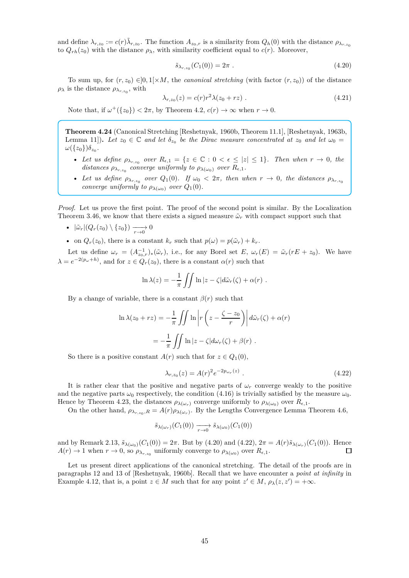and define  $\lambda_{r,z_0} := c(r)\tilde{\lambda}_{r,z_0}$ . The function  $A_{z_0,r}$  is a similarity from  $Q_h(0)$  with the distance  $\rho_{\lambda_{r,z_0}}$ to  $Q_{rh}(z_0)$  with the distance  $\rho_{\lambda}$ , with similarity coefficient equal to  $c(r)$ . Moreover,

$$
\tilde{s}_{\lambda_{r,z_0}}(C_1(0)) = 2\pi . \tag{4.20}
$$

To sum up, for  $(r, z_0) \in ]0, 1] \times M$ , the *canonical stretching* (with factor  $(r, z_0)$ ) of the distance  $\rho_{\lambda}$  is the distance  $\rho_{\lambda_{r,z_0}}$ , with

$$
\lambda_{r,z_0}(z) = c(r)r^2 \lambda (z_0 + rz) \ . \tag{4.21}
$$

Note that, if  $\omega^+(\{z_0\}) < 2\pi$ , by Theorem 4.2,  $c(r) \to \infty$  when  $r \to 0$ .

**Theorem 4.24** (Canonical Stretching [Reshetnyak, 1960b, Theorem 11.1], [Reshetnyak, 1963b, Lemma 11]). Let  $z_0 \in \mathbb{C}$  and let  $\delta_{z_0}$  be the Dirac measure concentrated at  $z_0$  and let  $\omega_0 =$  $\omega(\{z_0\})\delta_{z_0}$ .

- Let us define  $\rho_{\lambda_{r,z_0}}$  over  $R_{\epsilon,1} = \{z \in \mathbb{C} : 0 < \epsilon \leq |z| \leq 1\}$ . Then when  $r \to 0$ , the *distances*  $\rho_{\lambda_{r,z_0}}$  *converge uniformly to*  $\rho_{\lambda(\omega_0)}$  *over*  $R_{\epsilon,1}$ *.*
- Let us define  $\rho_{\lambda_{r,z_0}}$  over  $Q_1(0)$ . If  $\omega_0 < 2\pi$ , then when  $r \to 0$ , the distances  $\rho_{\lambda_{r,z_0}}$ *converge uniformly to*  $\rho_{\lambda(\omega_0)}$  *over*  $Q_1(0)$ *.*

*Proof.* Let us prove the first point. The proof of the second point is similar. By the Localization Theorem 3.46, we know that there exists a signed measure  $\tilde{\omega}_r$  with compact support such that

- $|\tilde{\omega}_r|(Q_r(z_0)\setminus\{z_0\}) \longrightarrow 0$
- on  $Q_r(z_0)$ , there is a constant  $k_r$  such that  $p(\omega) = p(\tilde{\omega}_r) + k_r$ .

Let us define  $\omega_r = (A_{z_0,r}^{-1})_*(\tilde{\omega}_r)$ , i.e., for any Borel set *E*,  $\omega_r(E) = \tilde{\omega}_r(rE + z_0)$ . We have  $\lambda = e^{-2(p_{\omega} + h)}$ , and for  $z \in Q_r(z_0)$ , there is a constant  $\alpha(r)$  such that

$$
\ln \lambda(z) = -\frac{1}{\pi} \iint \ln |z - \zeta| d\tilde{\omega}_r(\zeta) + \alpha(r) .
$$

By a change of variable, there is a constant  $\beta(r)$  such that

$$
\ln \lambda(z_0 + rz) = -\frac{1}{\pi} \iint \ln \left| r \left( z - \frac{\zeta - z_0}{r} \right) \right| d\tilde{\omega}_r(\zeta) + \alpha(r)
$$

$$
= -\frac{1}{\pi} \iint \ln |z - \zeta| d\omega_r(\zeta) + \beta(r) .
$$

So there is a positive constant  $A(r)$  such that for  $z \in Q_1(0)$ ,

$$
\lambda_{r,z_0}(z) = A(r)^2 e^{-2p_{\omega_r}(z)} . \tag{4.22}
$$

It is rather clear that the positive and negative parts of  $\omega_r$  converge weakly to the positive and the negative parts  $\omega_0$  respectively, the condition (4.16) is trivially satisfied by the measure  $\omega_0$ . Hence by Theorem 4.23, the distances  $\rho_{\lambda(\omega_r)}$  converge uniformly to  $\rho_{\lambda(\omega_0)}$  over  $R_{\epsilon,1}$ .

On the other hand,  $\rho_{\lambda_{r,z_0},R} = A(r)\rho_{\lambda(\omega_r)}$ . By the Lengths Convergence Lemma Theorem 4.6,

$$
\tilde{s}_{\lambda(\omega_r)}(C_1(0)) \xrightarrow[r \to 0]{} \tilde{s}_{\lambda(\omega_0)}(C_1(0))
$$

and by Remark 2.13,  $\tilde{s}_{\lambda(\omega_0)}(C_1(0)) = 2\pi$ . But by (4.20) and (4.22),  $2\pi = A(r)\tilde{s}_{\lambda(\omega_r)}(C_1(0))$ . Hence  $A(r) \to 1$  when  $r \to 0$ , so  $\rho_{\lambda_{r,z_0}}$  uniformly converge to  $\rho_{\lambda(\omega_0)}$  over  $R_{\epsilon,1}$ .

Let us present direct applications of the canonical stretching. The detail of the proofs are in paragraphs 12 and 13 of [Reshetnyak, 1960b]. Recall that we have encounter a *point at infinity* in Example 4.12, that is, a point  $z \in M$  such that for any point  $z' \in M$ ,  $\rho_{\lambda}(z, z') = +\infty$ .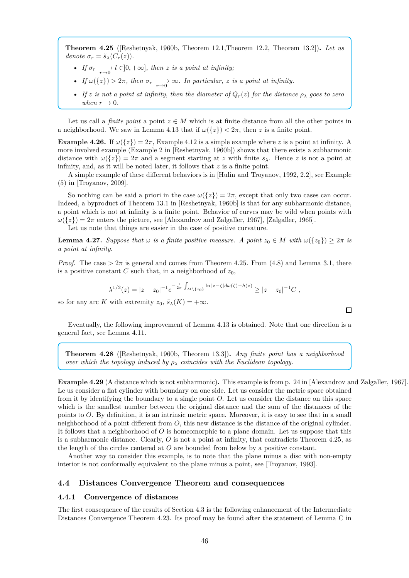**Theorem 4.25** ([Reshetnyak, 1960b, Theorem 12.1,Theorem 12.2, Theorem 13.2])**.** *Let us denote*  $\sigma_r = \tilde{s}_{\lambda}(C_r(z)).$ 

- *If*  $\sigma_r \xrightarrow[r \to \infty]{} l \in ]0, +\infty]$ *, then z is a point at infinity;*
- *If*  $\omega({z}) > 2\pi$ , then  $\sigma_r \longrightarrow \infty$ . In particular, *z* is a point at infinity.
- *If z is not a point at infinity, then the diameter of*  $Q_r(z)$  *for the distance*  $\rho_{\lambda}$  *goes to zero when*  $r \rightarrow 0$ *.*

Let us call a *finite point* a point  $z \in M$  which is at finite distance from all the other points in a neighborhood. We saw in Lemma 4.13 that if  $\omega({z}) < 2\pi$ , then *z* is a finite point.

**Example 4.26.** If  $\omega({z}) = 2\pi$ , Example 4.12 is a simple example where *z* is a point at infinity. A more involved example (Example 2 in [Reshetnyak, 1960b]) shows that there exists a subharmonic distance with  $\omega({z}) = 2\pi$  and a segment starting at *z* with finite  $s_\lambda$ . Hence *z* is not a point at infinity, and, as it will be noted later, it follows that *z* is a finite point.

A simple example of these different behaviors is in [Hulin and Troyanov, 1992, 2.2], see Example (5) in [Troyanov, 2009].

So nothing can be said a priori in the case  $\omega({z}) = 2\pi$ , except that only two cases can occur. Indeed, a byproduct of Theorem 13.1 in [Reshetnyak, 1960b] is that for any subharmonic distance, a point which is not at infinity is a finite point. Behavior of curves may be wild when points with  $\omega({z}) = 2\pi$  enters the picture, see [Alexandrov and Zalgaller, 1967], [Zalgaller, 1965].

Let us note that things are easier in the case of positive curvature.

**Lemma 4.27.** *Suppose that*  $\omega$  *is a finite positive measure. A point*  $z_0 \in M$  *with*  $\omega({z_0}) > 2\pi$  *is a point at infinity.*

*Proof.* The case  $> 2\pi$  is general and comes from Theorem 4.25. From (4.8) and Lemma 3.1, there is a positive constant *C* such that, in a neighborhood of  $z_0$ ,

$$
\lambda^{1/2}(z) = |z - z_0|^{-1} e^{-\frac{1}{2\pi} \int_{M \setminus \{z_0\}} \ln |z - \zeta| d\omega(\zeta) - h(z)} \ge |z - z_0|^{-1} C,
$$

so for any arc *K* with extremity  $z_0$ ,  $\tilde{s}_{\lambda}(K) = +\infty$ .

Eventually, the following improvement of Lemma 4.13 is obtained. Note that one direction is a general fact, see Lemma 4.11.

**Theorem 4.28** ([Reshetnyak, 1960b, Theorem 13.3])**.** *Any finite point has a neighborhood over which the topology induced by*  $\rho_{\lambda}$  *coincides with the Euclidean topology.* 

**Example 4.29** (A distance which is not subharmonic)**.** This example is from p. 24 in [Alexandrov and Zalgaller, 1967]. Le us consider a flat cylinder with boundary on one side. Let us consider the metric space obtained from it by identifying the boundary to a single point *O*. Let us consider the distance on this space which is the smallest number between the original distance and the sum of the distances of the points to *O*. By definition, it is an intrinsic metric space. Moreover, it is easy to see that in a small neighborhood of a point different from *O*, this new distance is the distance of the original cylinder. It follows that a neighborhood of *O* is homeomorphic to a plane domain. Let us suppose that this is a subharmonic distance. Clearly, *O* is not a point at infinity, that contradicts Theorem 4.25, as the length of the circles centered at *O* are bounded from below by a positive constant.

Another way to consider this example, is to note that the plane minus a disc with non-empty interior is not conformally equivalent to the plane minus a point, see [Troyanov, 1993].

# **4.4 Distances Convergence Theorem and consequences**

#### **4.4.1 Convergence of distances**

The first consequence of the results of Section 4.3 is the following enhancement of the Intermediate Distances Convergence Theorem 4.23. Its proof may be found after the statement of Lemma C in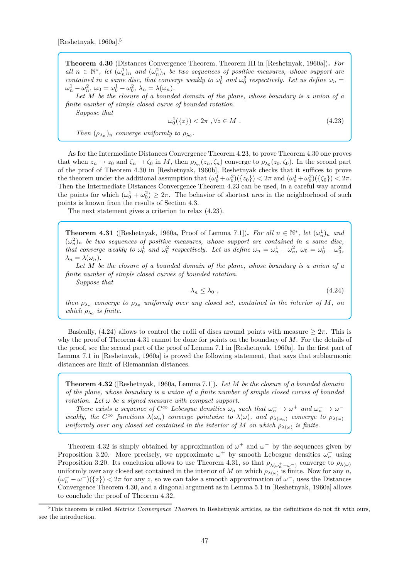[Reshetnyak, 1960a].<sup>5</sup>

**Theorem 4.30** (Distances Convergence Theorem, Theorem III in [Reshetnyak, 1960a])**.** *For all*  $n \in \mathbb{N}^*$ , let  $(\omega_n^1)_n$  and  $(\omega_n^2)_n$  be two sequences of positive measures, whose support are *contained in a same disc, that converge weakly to*  $\omega_0^1$  *and*  $\omega_0^2$  *respectively. Let us define*  $\omega_n =$  $\omega_n^1 - \omega_n^2$ ,  $\omega_0 = \omega_0^1 - \omega_0^2$ ,  $\lambda_n = \lambda(\omega_n)$ .

*Let M be the closure of a bounded domain of the plane, whose boundary is a union of a finite number of simple closed curve of bounded rotation.*

*Suppose that*

$$
\omega_0^1(\{z\}) < 2\pi \quad \forall z \in M \tag{4.23}
$$

*Then*  $(\rho_{\lambda_n})_n$  *converge uniformly to*  $\rho_{\lambda_0}$ *.* 

As for the Intermediate Distances Convergence Theorem 4.23, to prove Theorem 4.30 one proves that when  $z_n \to z_0$  and  $\zeta_n \to \zeta_0$  in *M*, then  $\rho_{\lambda_n}(z_n, \zeta_n)$  converge to  $\rho_{\lambda_0}(z_0, \zeta_0)$ . In the second part of the proof of Theorem 4.30 in [Reshetnyak, 1960b], Reshetnyak checks that it suffices to prove the theorem under the additional assumption that  $(\omega_0^1 + \omega_0^2)(\{z_0\}) < 2\pi$  and  $(\omega_0^1 + \omega_0^2)(\{\zeta_0\}) < 2\pi$ . Then the Intermediate Distances Convergence Theorem 4.23 can be used, in a careful way around the points for which  $(\omega_0^1 + \omega_0^2) \geq 2\pi$ . The behavior of shortest arcs in the neighborhood of such points is known from the results of Section 4.3.

The next statement gives a criterion to relax (4.23).

**Theorem 4.31** ([Reshetnyak, 1960a, Proof of Lemma 7.1]). For all  $n \in \mathbb{N}^*$ , let  $(\omega_n^1)_n$  and  $(\omega_n^2)_n$  be two sequences of positive measures, whose support are contained in a same disc, *that converge weakly to*  $\omega_0^1$  *and*  $\omega_0^2$  *respectively. Let us define*  $\omega_n = \omega_n^1 - \omega_n^2$ ,  $\omega_0 = \omega_0^1 - \omega_0^2$ ,  $\lambda_n = \lambda(\omega_n)$ .

*Let M be the closure of a bounded domain of the plane, whose boundary is a union of a finite number of simple closed curves of bounded rotation.*

*Suppose that*

 $\lambda_n \leq \lambda_0$ , (4.24)

*then*  $\rho_{\lambda_n}$  converge to  $\rho_{\lambda_0}$  uniformly over any closed set, contained in the interior of M, on *which*  $\rho_{\lambda_0}$  *is finite.* 

Basically,  $(4.24)$  allows to control the radii of discs around points with measure  $> 2\pi$ . This is why the proof of Theorem 4.31 cannot be done for points on the boundary of *M*. For the details of the proof, see the second part of the proof of Lemma 7.1 in [Reshetnyak, 1960a]. In the first part of Lemma 7.1 in [Reshetnyak, 1960a] is proved the following statement, that says that subharmonic distances are limit of Riemannian distances.

**Theorem 4.32** ([Reshetnyak, 1960a, Lemma 7.1])**.** *Let M be the closure of a bounded domain of the plane, whose boundary is a union of a finite number of simple closed curves of bounded rotation. Let ω be a signed measure with compact support.*

*There exists a sequence of*  $C^{\infty}$  *Lebesgue densities*  $\omega_n$  *such that*  $\omega_n^+ \to \omega^+$  *and*  $\omega_n^- \to \omega^$ *weakly, the*  $C^{\infty}$  *functions*  $\lambda(\omega_n)$  *converge pointwise to*  $\lambda(\omega)$ *, and*  $\rho_{\lambda(\omega_n)}$  *converge to*  $\rho_{\lambda(\omega)}$ *uniformly over any closed set contained in the interior of*  $M$  *on which*  $\rho_{\lambda(\omega)}$  *is finite.* 

Theorem 4.32 is simply obtained by approximation of  $\omega^+$  and  $\omega^-$  by the sequences given by Proposition 3.20. More precisely, we approximate  $\omega^+$  by smooth Lebesgue densities  $\omega_n^+$  using Proposition 3.20. Its conclusion allows to use Theorem 4.31, so that  $\rho_{\lambda(\omega_1^+ - \omega^-)}$  converge to  $\rho_{\lambda(\omega)}$ uniformly over any closed set contained in the interior of *M* on which  $\rho_{\lambda(\omega)}$  is finite. Now for any *n*,  $(\omega_n^+ - \omega^-)(\{z\}) < 2\pi$  for any *z*, so we can take a smooth approximation of  $\omega^-$ , uses the Distances Convergence Theorem 4.30, and a diagonal argument as in Lemma 5.1 in [Reshetnyak, 1960a] allows to conclude the proof of Theorem 4.32.

<sup>5</sup>This theorem is called *Metrics Convergence Theorem* in Reshetnyak articles, as the definitions do not fit with ours, see the introduction.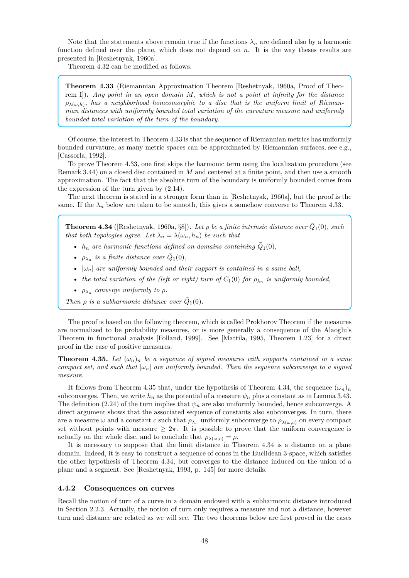Note that the statements above remain true if the functions  $\lambda_n$  are defined also by a harmonic function defined over the plane, which does not depend on *n*. It is the way theses results are presented in [Reshetnyak, 1960a].

Theorem 4.32 can be modified as follows.

**Theorem 4.33** (Riemannian Approximation Theorem [Reshetnyak, 1960a, Proof of Theorem I])**.** *Any point in an open domain M, which is not a point at infinity for the distance*  $\rho_{\lambda(\omega,h)}$ , has a neighborhood homeomorphic to a disc that is the uniform limit of Rieman*nian distances with uniformly bounded total variation of the curvature measure and uniformly bounded total variation of the turn of the boundary.*

Of course, the interest in Theorem 4.33 is that the sequence of Riemannian metrics has uniformly bounded curvature, as many metric spaces can be approximated by Riemannian surfaces, see e.g., [Cassorla, 1992].

To prove Theorem 4.33, one first skips the harmonic term using the localization procedure (see Remark 3.44) on a closed disc contained in *M* and centered at a finite point, and then use a smooth approximation. The fact that the absolute turn of the boundary is uniformly bounded comes from the expression of the turn given by (2.14).

The next theorem is stated in a stronger form than in [Reshetnyak, 1960a], but the proof is the same. If the  $\lambda_n$  below are taken to be smooth, this gives a somehow converse to Theorem 4.33.

**Theorem 4.34** ([Reshetnyak, 1960a, §8]). Let  $\rho$  be a finite intrinsic distance over  $\bar{Q}_1(0)$ , such *that both topologies agree. Let*  $\lambda_n = \lambda(\omega_n, h_n)$  *be such that* 

- $h_n$  are harmonic functions defined on domains containing  $\overline{Q}_1(0)$ ,
- $\rho_{\lambda_n}$  *is a finite distance over*  $\bar{Q}_1(0)$ *,*
- $|\omega_n|$  are uniformly bounded and their support is contained in a same ball,
- *the total variation of the (left or right) turn of*  $C_1(0)$  *for*  $\rho_{\lambda_n}$  *is uniformly bounded,*
- $\rho_{\lambda_n}$  converge uniformly to  $\rho$ .

*Then*  $\rho$  *is a subharmonic distance over*  $\overline{Q}_1(0)$ *.* 

The proof is based on the following theorem, which is called Prokhorov Theorem if the measures are normalized to be probability measures, or is more generally a consequence of the Alaoglu's Theorem in functional analysis [Folland, 1999]. See [Mattila, 1995, Theorem 1.23] for a direct proof in the case of positive measures.

**Theorem 4.35.** Let  $(\omega_n)_n$  be a sequence of signed measures with supports contained in a same *compact set, and such that*  $|\omega_n|$  *are uniformly bounded. Then the sequence subconverge to a signed measure.*

It follows from Theorem 4.35 that, under the hypothesis of Theorem 4.34, the sequence  $(\omega_n)_n$ subconverges. Then, we write  $h_n$  as the potential of a measure  $\psi_n$  plus a constant as in Lemma 3.43. The definition (2.24) of the turn implies that  $\psi_n$  are also uniformly bounded, hence subconverge. A direct argument shows that the associated sequence of constants also subconverges. In turn, there are a measure  $\omega$  and a constant *c* such that  $\rho_{\lambda_n}$  uniformly subconverge to  $\rho_{\lambda(\omega,c)}$  on every compact set without points with measure  $\geq 2\pi$ . It is possible to prove that the uniform convergence is actually on the whole disc, and to conclude that  $\rho_{\lambda(\omega,c)} = \rho$ .

It is necessary to suppose that the limit distance in Theorem 4.34 is a distance on a plane domain. Indeed, it is easy to construct a sequence of cones in the Euclidean 3-space, which satisfies the other hypothesis of Theorem 4.34, but converges to the distance induced on the union of a plane and a segment. See [Reshetnyak, 1993, p. 145] for more details.

#### **4.4.2 Consequences on curves**

Recall the notion of turn of a curve in a domain endowed with a subharmonic distance introduced in Section 2.2.3. Actually, the notion of turn only requires a measure and not a distance, however turn and distance are related as we will see. The two theorems below are first proved in the cases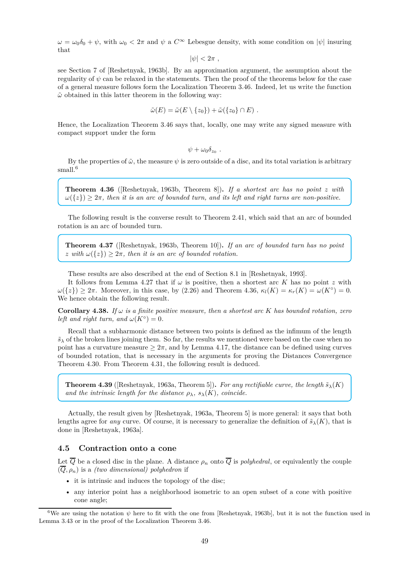$\omega = \omega_0 \delta_0 + \psi$ , with  $\omega_0 < 2\pi$  and  $\psi$  a  $C^{\infty}$  Lebesgue density, with some condition on  $|\psi|$  insuring that

$$
|\psi|<2\pi ,
$$

see Section 7 of [Reshetnyak, 1963b]. By an approximation argument, the assumption about the regularity of *ψ* can be relaxed in the statements. Then the proof of the theorems below for the case of a general measure follows form the Localization Theorem 3.46. Indeed, let us write the function  $\tilde{\omega}$  obtained in this latter theorem in the following way:

$$
\tilde{\omega}(E) = \tilde{\omega}(E \setminus \{z_0\}) + \tilde{\omega}(\{z_0\} \cap E) .
$$

Hence, the Localization Theorem 3.46 says that, locally, one may write any signed measure with compact support under the form

 $\psi + \omega_0 \delta_{z_0}$ .

By the properties of  $\tilde{\omega}$ , the measure  $\psi$  is zero outside of a disc, and its total variation is arbitrary small.<sup>6</sup>

**Theorem 4.36** ([Reshetnyak, 1963b, Theorem 8])**.** *If a shortest arc has no point z with*  $\omega({z}) \geq 2\pi$ , then it is an arc of bounded turn, and its left and right turns are non-positive.

The following result is the converse result to Theorem 2.41, which said that an arc of bounded rotation is an arc of bounded turn.

**Theorem 4.37** ([Reshetnyak, 1963b, Theorem 10])**.** *If an arc of bounded turn has no point z* with  $\omega({z}) \geq 2\pi$ , then it is an arc of bounded rotation.

These results are also described at the end of Section 8.1 in [Reshetnyak, 1993].

It follows from Lemma 4.27 that if *ω* is positive, then a shortest arc *K* has no point *z* with  $ω({z}) ≥ 2π$ . Moreover, in this case, by (2.26) and Theorem 4.36,  $κ_l(K) = κ_r(K) = ω(K<sup>o</sup>) = 0$ . We hence obtain the following result.

**Corollary 4.38.** *If*  $\omega$  *is a finite positive measure, then a shortest arc K has bounded rotation, zero left and right turn, and*  $\omega(K^{\circ}) = 0$ *.* 

Recall that a subharmonic distance between two points is defined as the infimum of the length  $\tilde{s}_{\lambda}$  of the broken lines joining them. So far, the results we mentioned were based on the case when no point has a curvature measure  $\geq 2\pi$ , and by Lemma 4.17, the distance can be defined using curves of bounded rotation, that is necessary in the arguments for proving the Distances Convergence Theorem 4.30. From Theorem 4.31, the following result is deduced.

**Theorem 4.39** ([Reshetnyak, 1963a, Theorem 5]). *For any rectifiable curve, the length*  $\tilde{s}_{\lambda}(K)$ *and the intrinsic length for the distance*  $\rho_{\lambda}$ *, s*<sub> $\lambda$ </sub>(*K*)*, coincide.* 

Actually, the result given by [Reshetnyak, 1963a, Theorem 5] is more general: it says that both lengths agree for *any* curve. Of course, it is necessary to generalize the definition of  $\tilde{s}_{\lambda}(K)$ , that is done in [Reshetnyak, 1963a].

### **4.5 Contraction onto a cone**

Let  $\overline{Q}$  be a closed disc in the plane. A distance  $\rho_n$  onto  $\overline{Q}$  is *polyhedral*, or equivalently the couple (*Q, ρn*) is a *(two dimensional) polyhedron* if

- it is intrinsic and induces the topology of the disc;
- any interior point has a neighborhood isometric to an open subset of a cone with positive cone angle;

<sup>&</sup>lt;sup>6</sup>We are using the notation  $\psi$  here to fit with the one from [Reshetnyak, 1963b], but it is not the function used in Lemma 3.43 or in the proof of the Localization Theorem 3.46.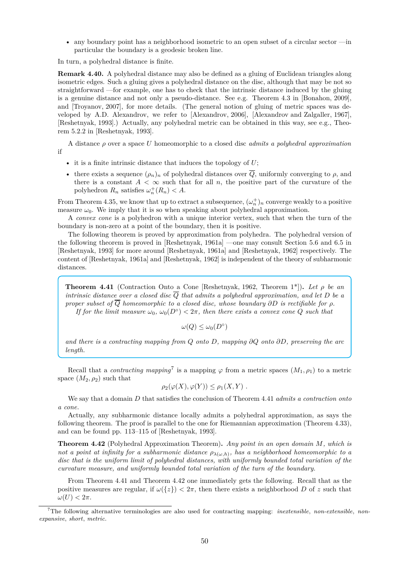• any boundary point has a neighborhood isometric to an open subset of a circular sector  $\frac{m}{n}$ particular the boundary is a geodesic broken line.

In turn, a polyhedral distance is finite.

**Remark 4.40.** A polyhedral distance may also be defined as a gluing of Euclidean triangles along isometric edges. Such a gluing gives a polyhedral distance on the disc, although that may be not so straightforward —for example, one has to check that the intrinsic distance induced by the gluing is a genuine distance and not only a pseudo-distance. See e.g. Theorem 4.3 in [Bonahon, 2009], and [Troyanov, 2007], for more details. (The general notion of gluing of metric spaces was developed by A.D. Alexandrov, we refer to [Alexandrov, 2006], [Alexandrov and Zalgaller, 1967], [Reshetnyak, 1993].) Actually, any polyhedral metric can be obtained in this way, see e.g., Theorem 5.2.2 in [Reshetnyak, 1993].

A distance *ρ* over a space *U* homeomorphic to a closed disc *admits a polyhedral approximation* if

- it is a finite intrinsic distance that induces the topology of *U*;
- there exists a sequence  $(\rho_n)_n$  of polyhedral distances over  $\overline{Q}$ , uniformly converging to  $\rho$ , and there is a constant  $A < \infty$  such that for all *n*, the positive part of the curvature of the polyhedron  $R_n$  satisfies  $\omega_n^+(R_n) < A$ .

From Theorem 4.35, we know that up to extract a subsequence,  $(\omega_n^+)_n$  converge weakly to a positive measure  $\omega_0$ . We imply that it is so when speaking about polyhedral approximation.

A *convex cone* is a polyhedron with a unique interior vertex, such that when the turn of the boundary is non-zero at a point of the boundary, then it is positive.

The following theorem is proved by approximation from polyhedra. The polyhedral version of the following theorem is proved in [Reshetnyak, 1961a] —one may consult Section 5.6 and 6.5 in [Reshetnyak, 1993] for more around [Reshetnyak, 1961a] and [Reshetnyak, 1962] respectively. The content of [Reshetnyak, 1961a] and [Reshetnyak, 1962] is independent of the theory of subharmonic distances.

**Theorem 4.41** (Contraction Onto a Cone [Reshetnyak, 1962, Theorem 1\*])**.** *Let ρ be an intrinsic distance over a closed disc*  $\overline{Q}$  *that admits a polyhedral approximation, and let*  $D$  *be a proper subset of*  $\overline{Q}$  *homeomorphic to a closed disc, whose boundary*  $\partial D$  *is rectifiable for*  $\rho$ *. If for the limit measure*  $\omega_0$ ,  $\omega_0(D^{\circ}) < 2\pi$ , then there exists a convex cone Q such that

$$
\omega(Q)\leq \omega_0(D^\circ)
$$

*and there is a contracting mapping from Q onto D, mapping ∂Q onto ∂D, preserving the arc length.*

Recall that a *contracting mapping*<sup>7</sup> is a mapping  $\varphi$  from a metric spaces  $(M_1, \rho_1)$  to a metric space  $(M_2, \rho_2)$  such that

$$
\rho_2(\varphi(X), \varphi(Y)) \leq \rho_1(X, Y) .
$$

We say that a domain *D* that satisfies the conclusion of Theorem 4.41 *admits a contraction onto a cone*.

Actually, any subharmonic distance locally admits a polyhedral approximation, as says the following theorem. The proof is parallel to the one for Riemannian approximation (Theorem 4.33), and can be found pp. 113–115 of [Reshetnyak, 1993].

**Theorem 4.42** (Polyhedral Approximation Theorem)**.** *Any point in an open domain M, which is not a point at infinity for a subharmonic distance ρλ*(*ω,h*) *, has a neighborhood homeomorphic to a disc that is the uniform limit of polyhedral distances, with uniformly bounded total variation of the curvature measure, and uniformly bounded total variation of the turn of the boundary.*

From Theorem 4.41 and Theorem 4.42 one immediately gets the following. Recall that as the positive measures are regular, if  $\omega({z}) < 2\pi$ , then there exists a neighborhood *D* of *z* such that  $\omega(U) < 2\pi$ .

<sup>7</sup>The following alternative terminologies are also used for contracting mapping: *inextensible*, *non-extensible*, *nonexpansive*, *short*, *metric*.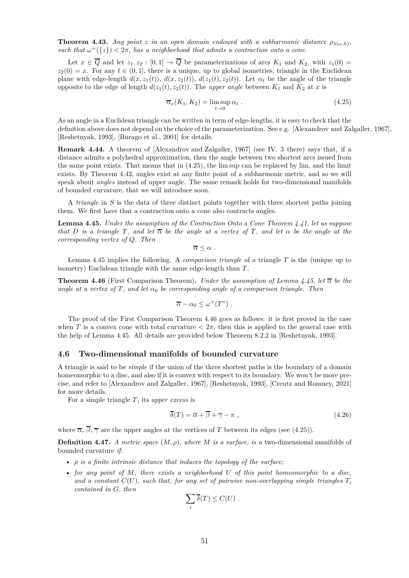**Theorem 4.43.** *Any point z in an open domain endowed with a subharmonic distance*  $\rho_{\lambda(\omega,h)}$ , *such that*  $\omega^+(\{z\}) < 2\pi$ , has a neighborhood that admits a contraction onto a cone.

Let  $x \in \overline{Q}$  and let  $z_1, z_2 : [0,1] \to \overline{Q}$  be parameterizations of arcs  $K_1$  and  $K_2$ , with  $z_1(0) =$  $z_2(0) = x$ . For any  $t \in (0,1]$ , there is a unique, up to global isometries, triangle in the Euclidean plane with edge-length  $d(x, z_1(t))$ ,  $d(x, z_2(t))$ ,  $d(z_1(t), z_2(t))$ . Let  $\alpha_t$  be the angle of the triangle opposite to the edge of length  $d(z_1(t), z_2(t))$ . The *upper angle* between  $K_1$  and  $K_2$  at *x* is

$$
\overline{\alpha}_x(K_1, K_2) = \limsup_{t \to 0} \alpha_t . \tag{4.25}
$$

As an angle in a Euclidean triangle can be written in term of edge-lengths, it is easy to check that the definition above does not depend on the choice of the parameterization. See e.g. [Alexandrov and Zalgaller, 1967], [Reshetnyak, 1993], [Burago et al., 2001] for details.

**Remark 4.44.** A theorem of [Alexandrov and Zalgaller, 1967] (see IV. 3 there) says that, if a distance admits a polyhedral approximation, then the angle between two shortest arcs issued from the same point exists. That means that in (4.25), the lim sup can be replaced by lim, and the limit exists. By Theorem 4.42, angles exist at any finite point of a subharmonic metric, and so we will speak about *angles* instead of upper angle. The same remark holds for two-dimensional manifolds of bounded curvature, that we will introduce soon.

A *triangle* in *S* is the data of three distinct points together with three shortest paths joining them. We first have that a contraction onto a cone also contracts angles.

**Lemma 4.45.** *Under the assumption of the Contraction Onto a Cone Theorem 4.41, let us suppose that D is a triangle T*, and let  $\overline{\alpha}$  *be the angle at a vertex of T*, and let  $\alpha$  *be the angle at the corresponding vertex of Q. Then*

 $\overline{\alpha}$  <  $\alpha$  .

Lemma 4.45 implies the following. A *comparison triangle* of a triangle *T* is the (unique up to isometry) Euclidean triangle with the same edge-length than *T* .

**Theorem 4.46** (First Comparison Theorem). *Under the assumption of Lemma 4.45, let*  $\bar{\alpha}$  *be the angle at a vertex of*  $T$ , and let  $\alpha_0$  be corresponding angle of a comparison triangle. Then

$$
\overline{\alpha} - \alpha_0 \leq \omega^+(T^\circ) \; .
$$

The proof of the First Comparison Theorem 4.46 goes as follows: it is first proved in the case when *T* is a convex cone with total curvature  $\langle 2\pi$ , then this is applied to the general case with the help of Lemma 4.45. All details are provided below Theorem 8.2.2 in [Reshetnyak, 1993].

### **4.6 Two-dimensional manifolds of bounded curvature**

A triangle is said to be *simple* if the union of the three shortest paths is the boundary of a domain homeomorphic to a disc, and also if it is convex with respect to its boundary. We won't be more precise, and refer to [Alexandrov and Zalgaller, 1967], [Reshetnyak, 1993], [Creutz and Romney, 2021] for more details.

For a simple triangle *T* , its *upper excess* is

$$
\overline{\delta}(T) = \overline{\alpha} + \overline{\beta} + \overline{\gamma} - \pi , \qquad (4.26)
$$

where  $\overline{\alpha}$ ,  $\overline{\beta}$ ,  $\overline{\gamma}$  are the upper angles at the vertices of *T* between its edges (see (4.25)).

**Definition 4.47.** *A metric space*  $(M, \rho)$ *, where M is a surface, is a* two-dimensional manifolds of bounded curvature *if:*

- *ρ is a finite intrinsic distance that induces the topology of the surface;*
- *for any point of M, there exists a neighborhood U of this point homeomorphic to a disc,* and a constant  $C(U)$ , such that, for any set of pairwise non-overlapping simple triangles  $T_i$ *contained in G, then*

$$
\sum_i \overline{\delta}(T) \leq C(U) .
$$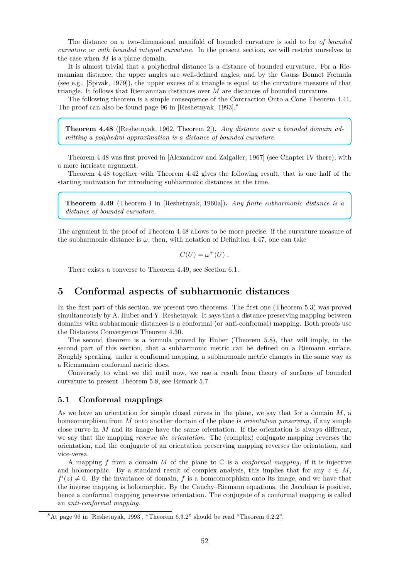The distance on a two-dimensional manifold of bounded curvature is said to be *of bounded curvature* or *with bounded integral curvature*. In the present section, we will restrict ourselves to the case when *M* is a plane domain.

It is almost trivial that a polyhedral distance is a distance of bounded curvature. For a Riemannian distance, the upper angles are well-defined angles, and by the Gauss–Bonnet Formula (see e.g., [Spivak, 1979]), the upper excess of a triangle is equal to the curvature measure of that triangle. It follows that Riemannian distances over *M* are distances of bounded curvature.

The following theorem is a simple consequence of the Contraction Onto a Cone Theorem 4.41. The proof can also be found page 96 in [Reshetnyak, 1993].<sup>8</sup>

**Theorem 4.48** ([Reshetnyak, 1962, Theorem 2])**.** *Any distance over a bounded domain admitting a polyhedral approximation is a distance of bounded curvature.*

Theorem 4.48 was first proved in [Alexandrov and Zalgaller, 1967] (see Chapter IV there), with a more intricate argument.

Theorem 4.48 together with Theorem 4.42 gives the following result, that is one half of the starting motivation for introducing subharmonic distances at the time.

**Theorem 4.49** (Theorem I in [Reshetnyak, 1960a])**.** *Any finite subharmonic distance is a distance of bounded curvature.*

The argument in the proof of Theorem 4.48 allows to be more precise: if the curvature measure of the subharmonic distance is  $\omega$ , then, with notation of Definition 4.47, one can take

$$
C(U) = \omega^+(U) \ .
$$

There exists a converse to Theorem 4.49, see Section 6.1.

# **5 Conformal aspects of subharmonic distances**

In the first part of this section, we present two theorems. The first one (Theorem 5.3) was proved simultaneously by A. Huber and Y. Reshetnyak. It says that a distance preserving mapping between domains with subharmonic distances is a conformal (or anti-conformal) mapping. Both proofs use the Distances Convergence Theorem 4.30.

The second theorem is a formula proved by Huber (Theorem 5.8), that will imply, in the second part of this section, that a subharmonic metric can be defined on a Riemann surface. Roughly speaking, under a conformal mapping, a subharmonic metric changes in the same way as a Riemannian conformal metric does.

Conversely to what we did until now, we use a result from theory of surfaces of bounded curvature to present Theorem 5.8, see Remark 5.7.

# **5.1 Conformal mappings**

As we have an orientation for simple closed curves in the plane, we say that for a domain *M*, a homeomorphism from *M* onto another domain of the plane is *orientation preserving*, if any simple close curve in *M* and its image have the same orientation. If the orientation is always different, we say that the mapping *reverse the orientation*. The (complex) conjugate mapping reverses the orientation, and the conjugate of an orientation preserving mapping reverses the orientation, and vice-versa.

A mapping *f* from a domain *M* of the plane to C is a *conformal mapping*, if it is injective and holomorphic. By a standard result of complex analysis, this implies that for any  $z \in M$ .  $f'(z) \neq 0$ . By the invariance of domain, f is a homeomorphism onto its image, and we have that the inverse mapping is holomorphic. By the Cauchy–Riemann equations, the Jacobian is positive, hence a conformal mapping preserves orientation. The conjugate of a conformal mapping is called an *anti-conformal mapping*.

<sup>8</sup>At page 96 in [Reshetnyak, 1993], "Theorem 6.3.2" should be read "Theorem 6.2.2".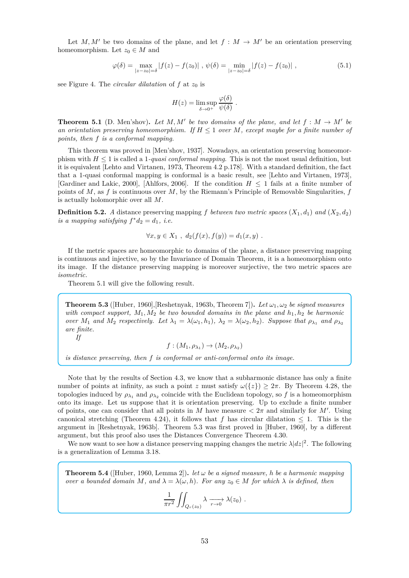Let  $M, M'$  be two domains of the plane, and let  $f : M \to M'$  be an orientation preserving homeomorphism. Let  $z_0 \in M$  and

$$
\varphi(\delta) = \max_{|z - z_0| = \delta} |f(z) - f(z_0)|, \ \psi(\delta) = \min_{|z - z_0| = \delta} |f(z) - f(z_0)|,
$$
\n(5.1)

see Figure 4. The *circular dilatation* of  $f$  at  $z_0$  is

$$
H(z) = \limsup_{\delta \to 0^+} \frac{\varphi(\delta)}{\psi(\delta)}.
$$

**Theorem 5.1** (D. Men'shov). Let  $M, M'$  be two domains of the plane, and let  $f : M \to M'$  be *an orientation preserving homeomorphism. If*  $H \leq 1$  *over*  $M$ *, except maybe for a finite number of points, then f is a conformal mapping.*

This theorem was proved in [Men'shov, 1937]. Nowadays, an orientation preserving homeomorphism with  $H \leq 1$  is called a 1*-quasi conformal mapping*. This is not the most usual definition, but it is equivalent [Lehto and Virtanen, 1973, Theorem 4.2 p.178]. With a standard definition, the fact that a 1-quasi conformal mapping is conformal is a basic result, see [Lehto and Virtanen, 1973], [Gardiner and Lakic, 2000], [Ahlfors, 2006]. If the condition  $H \leq 1$  fails at a finite number of points of *M*, as *f* is continuous over *M*, by the Riemann's Principle of Removable Singularities, *f* is actually holomorphic over all *M*.

**Definition 5.2.** *A* distance preserving mapping *f between two metric spaces*  $(X_1, d_1)$  *and*  $(X_2, d_2)$ *is a mapping satisfying*  $f^*d_2 = d_1$ *, i.e.* 

$$
\forall x, y \in X_1 \ ,\ d_2(f(x), f(y)) = d_1(x, y) \ .
$$

If the metric spaces are homeomorphic to domains of the plane, a distance preserving mapping is continuous and injective, so by the Invariance of Domain Theorem, it is a homeomorphism onto its image. If the distance preserving mapping is moreover surjective, the two metric spaces are *isometric*.

Theorem 5.1 will give the following result.

**Theorem 5.3** (Huber, 1960], Reshetnyak, 1963b, Theorem 7). Let  $\omega_1, \omega_2$  be signed measures *with compact support,*  $M_1, M_2$  *be two bounded domains in the plane and*  $h_1, h_2$  *be harmonic* over  $M_1$  and  $M_2$  respectively. Let  $\lambda_1 = \lambda(\omega_1, h_1)$ ,  $\lambda_2 = \lambda(\omega_2, h_2)$ . Suppose that  $\rho_{\lambda_1}$  and  $\rho_{\lambda_2}$ *are finite.*

*If*

$$
f:(M_1,\rho_{\lambda_1})\to (M_2,\rho_{\lambda_2})
$$

*is distance preserving, then f is conformal or anti-conformal onto its image.*

Note that by the results of Section 4.3, we know that a subharmonic distance has only a finite number of points at infinity, as such a point *z* must satisfy  $\omega({z}) \geq 2\pi$ . By Theorem 4.28, the topologies induced by  $\rho_{\lambda_1}$  and  $\rho_{\lambda_2}$  coincide with the Euclidean topology, so f is a homeomorphism onto its image. Let us suppose that it is orientation preserving. Up to exclude a finite number of points, one can consider that all points in *M* have measure  $\lt 2\pi$  and similarly for *M'*. Using canonical stretching (Theorem 4.24), it follows that *f* has circular dilatation  $\leq 1$ . This is the argument in [Reshetnyak, 1963b]. Theorem 5.3 was first proved in [Huber, 1960], by a different argument, but this proof also uses the Distances Convergence Theorem 4.30.

We now want to see how a distance preserving mapping changes the metric  $\lambda |dz|^2$ . The following is a generalization of Lemma 3.18.

**Theorem 5.4** ([Huber, 1960, Lemma 2]). *let*  $\omega$  *be a signed measure, h be a harmonic mapping over a bounded domain*  $M$ *, and*  $\lambda = \lambda(\omega, h)$ *. For any*  $z_0 \in M$  *for which*  $\lambda$  *is defined, then* 

$$
\frac{1}{\pi r^2} \iint_{Q_r(z_0)} \lambda \xrightarrow[r \to 0]{} \lambda(z_0) .
$$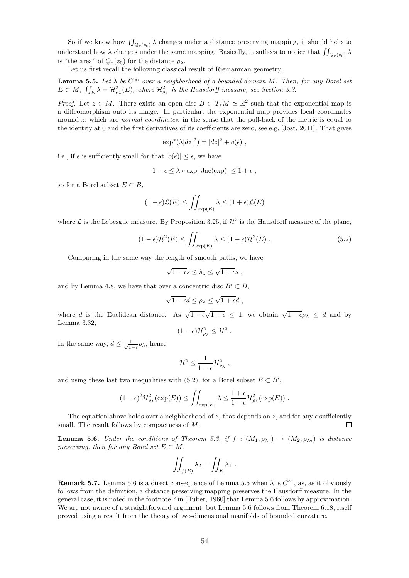So if we know how  $\iint_{Q_r(z_0)} \lambda$  changes under a distance preserving mapping, it should help to understand how  $\lambda$  changes under the same mapping. Basically, it suffices to notice that  $\iint_{Q_r(z_0)} \lambda$ is "the area" of  $Q_r(z_0)$  for the distance  $\rho_\lambda$ .

Let us first recall the following classical result of Riemannian geometry.

**Lemma 5.5.** Let  $\lambda$  be  $C^{\infty}$  over a neighborhood of a bounded domain M. Then, for any Borel set  $E \subset M$ ,  $\iint_E \lambda = \mathcal{H}_{\rho_{\lambda}}^2(E)$ , where  $\mathcal{H}_{\rho_{\lambda}}^2$  is the Hausdorff measure, see Section 3.3.

*Proof.* Let  $z \in M$ . There exists an open disc  $B \subset T_zM \simeq \mathbb{R}^2$  such that the exponential map is a diffeomorphism onto its image. In particular, the exponential map provides local coordinates around *z*, which are *normal coordinates*, in the sense that the pull-back of the metric is equal to the identity at 0 and the first derivatives of its coefficients are zero, see e.g, [Jost, 2011]. That gives

$$
\exp^*(\lambda |dz|^2) = |dz|^2 + o(\epsilon) ,
$$

i.e., if  $\epsilon$  is sufficiently small for that  $|o(\epsilon)| \leq \epsilon$ , we have

$$
1 - \epsilon \leq \lambda \circ \exp |Jac(\exp)| \leq 1 + \epsilon ,
$$

so for a Borel subset  $E \subset B$ ,

$$
(1 - \epsilon)\mathcal{L}(E) \le \iint_{\exp(E)} \lambda \le (1 + \epsilon)\mathcal{L}(E)
$$

where  $\mathcal L$  is the Lebesgue measure. By Proposition 3.25, if  $\mathcal H^2$  is the Hausdorff measure of the plane,

$$
(1 - \epsilon)\mathcal{H}^2(E) \le \iint_{\exp(E)} \lambda \le (1 + \epsilon)\mathcal{H}^2(E) . \tag{5.2}
$$

Comparing in the same way the length of smooth paths, we have

$$
\sqrt{1-\epsilon}s \leq \tilde{s}_{\lambda} \leq \sqrt{1+\epsilon}s ,
$$

and by Lemma 4.8, we have that over a concentric disc  $B' \subset B$ ,

$$
\sqrt{1-\epsilon}d\leq \rho_\lambda\leq \sqrt{1+\epsilon}d\;,
$$

where *d* is the Euclidean distance. As  $\sqrt{1-\epsilon}\sqrt{1+\epsilon} \leq 1$ , we obtain  $\sqrt{1-\epsilon}\rho_{\lambda} \leq d$  and by Lemma 3.32,

$$
(1-\epsilon)\mathcal{H}_{\rho_{\lambda}}^2 \leq \mathcal{H}^2.
$$

In the same way,  $d \leq \frac{1}{\sqrt{1}}$  $\frac{1}{1-\epsilon}\rho_{\lambda}$ , hence

$$
\mathcal{H}^2 \leq \frac{1}{1-\epsilon} \mathcal{H}_{\rho_\lambda}^2,
$$

and using these last two inequalities with (5.2), for a Borel subset  $E \subset B'$ ,

$$
(1-\epsilon)^2 \mathcal{H}^2_{\rho_\lambda}(\exp(E)) \le \iint_{\exp(E)} \lambda \le \frac{1+\epsilon}{1-\epsilon} \mathcal{H}^2_{\rho_\lambda}(\exp(E)) \; .
$$

The equation above holds over a neighborhood of  $z$ , that depends on  $z$ , and for any  $\epsilon$  sufficiently small. The result follows by compactness of  $\overline{M}$ . П

**Lemma 5.6.** *Under the conditions of Theorem 5.3, if*  $f : (M_1, \rho_{\lambda_1}) \to (M_2, \rho_{\lambda_2})$  *is distance preserving, then for any Borel set*  $E \subset M$ *,* 

$$
\iint_{f(E)} \lambda_2 = \iint_E \lambda_1 .
$$

**Remark 5.7.** Lemma 5.6 is a direct consequence of Lemma 5.5 when  $\lambda$  is  $C^{\infty}$ , as, as it obviously follows from the definition, a distance preserving mapping preserves the Hausdorff measure. In the general case, it is noted in the footnote 7 in [Huber, 1960] that Lemma 5.6 follows by approximation. We are not aware of a straightforward argument, but Lemma 5.6 follows from Theorem 6.18, itself proved using a result from the theory of two-dimensional manifolds of bounded curvature.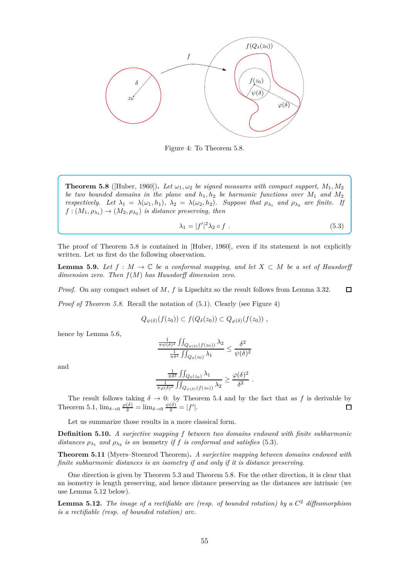

Figure 4: To Theorem 5.8.

**Theorem 5.8** ([Huber, 1960]). Let  $\omega_1, \omega_2$  be signed measures with compact support,  $M_1, M_2$ *be two bounded domains in the plane and*  $h_1, h_2$  *be harmonic functions over*  $M_1$  *and*  $M_2$ *respectively.* Let  $\lambda_1 = \lambda(\omega_1, h_1)$ ,  $\lambda_2 = \lambda(\omega_2, h_2)$ *. Suppose that*  $\rho_{\lambda_1}$  *and*  $\rho_{\lambda_2}$  *are finite. If*  $f:(M_1, \rho_{\lambda_1}) \to (M_2, \rho_{\lambda_2})$  *is distance preserving, then* 

$$
\lambda_1 = |f'|^2 \lambda_2 \circ f \tag{5.3}
$$

The proof of Theorem 5.8 is contained in [Huber, 1960], even if its statement is not explicitly written. Let us first do the following observation.

**Lemma 5.9.** Let  $f : M \to \mathbb{C}$  be a conformal mapping, and let  $X \subset M$  be a set of Hausdorff *dimension zero. Then f*(*M*) *has Hausdorff dimension zero.*

*Proof.* On any compact subset of *M*, *f* is Lipschitz so the result follows from Lemma 3.32.  $\Box$ 

*Proof of Theorem 5.8.* Recall the notation of  $(5.1)$ . Clearly (see Figure 4)

$$
Q_{\psi(\delta)}(f(z_0)) \subset f(Q_{\delta}(z_0)) \subset Q_{\varphi(\delta)}(f(z_0)),
$$

hence by Lemma 5.6,

$$
\frac{\frac{1}{\pi\psi(\delta)^2} \iint_{Q_{\psi(\delta)}(f(z_0))} \lambda_2}{\frac{1}{\pi\delta^2} \iint_{Q_{\delta}(z_0)} \lambda_1} \le \frac{\delta^2}{\psi(\delta)^2}
$$

and

$$
\frac{\frac{1}{\pi \delta^2} \iint_{Q_\delta(z_0)} \lambda_1}{\frac{1}{\pi \varphi(\delta)^2} \iint_{Q_{\psi(\delta)}(f(z_0))} \lambda_2} \ge \frac{\varphi(\delta)^2}{\delta^2}.
$$

The result follows taking  $\delta \to 0$ : by Theorem 5.4 and by the fact that as f is derivable by Theorem 5.1,  $\lim_{\delta \to 0} \frac{\varphi(\delta)}{\delta} = \lim_{\delta \to 0} \frac{\psi(\delta)}{\delta} = |f'|$ .

Let us summarize those results in a more classical form.

**Definition 5.10.** *A surjective mapping f between two domains endowed with finite subharmonic* distances  $\rho_{\lambda_1}$  and  $\rho_{\lambda_2}$  is an isometry *if f is conformal and satisfies* (5.3).

**Theorem 5.11** (Myers–Steenrod Theorem)**.** *A surjective mapping between domains endowed with finite subharmonic distances is an isometry if and only if it is distance preserving.*

One direction is given by Theorem 5.3 and Theorem 5.8. For the other direction, it is clear that an isometry is length preserving, and hence distance preserving as the distances are intrinsic (we use Lemma 5.12 below).

**Lemma 5.12.** *The image of a rectifiable arc (resp. of bounded rotation) by a C* <sup>2</sup> *diffeomorphism is a rectifiable (resp. of bounded rotation) arc.*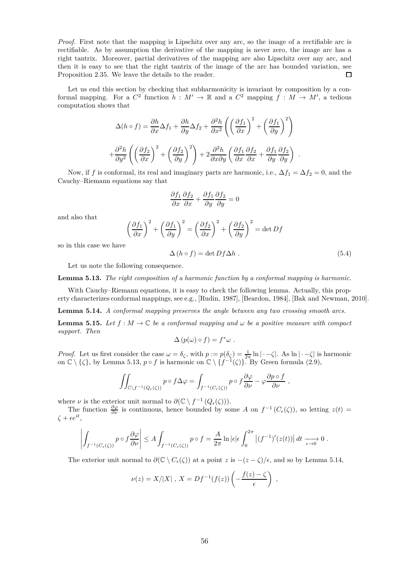*Proof.* First note that the mapping is Lipschitz over any arc, so the image of a rectifiable arc is rectifiable. As by assumption the derivative of the mapping is never zero, the image arc has a right tantrix. Moreover, partial derivatives of the mapping are also Lipschitz over any arc, and then it is easy to see that the right tantrix of the image of the arc has bounded variation, see Proposition 2.35. We leave the details to the reader.  $\Box$ 

Let us end this section by checking that subharmonicity is invariant by composition by a conformal mapping. For a  $C^2$  function  $h : M' \to \mathbb{R}$  and a  $C^2$  mapping  $f : M \to M'$ , a tedious computation shows that

$$
\Delta(h \circ f) = \frac{\partial h}{\partial x} \Delta f_1 + \frac{\partial h}{\partial y} \Delta f_2 + \frac{\partial^2 h}{\partial x^2} \left( \left( \frac{\partial f_1}{\partial x} \right)^2 + \left( \frac{\partial f_1}{\partial y} \right)^2 \right)
$$

$$
+ \frac{\partial^2 h}{\partial y^2} \left( \left( \frac{\partial f_2}{\partial x} \right)^2 + \left( \frac{\partial f_2}{\partial y} \right)^2 \right) + 2 \frac{\partial^2 h}{\partial x \partial y} \left( \frac{\partial f_1}{\partial x} \frac{\partial f_2}{\partial x} + \frac{\partial f_1}{\partial y} \frac{\partial f_2}{\partial y} \right) .
$$

Now, if *f* is conformal, its real and imaginary parts are harmonic, i.e.,  $\Delta f_1 = \Delta f_2 = 0$ , and the Cauchy–Riemann equations say that

$$
\frac{\partial f_1}{\partial x}\frac{\partial f_2}{\partial x} + \frac{\partial f_1}{\partial y}\frac{\partial f_2}{\partial y} = 0
$$

and also that

$$
\left(\frac{\partial f_1}{\partial x}\right)^2 + \left(\frac{\partial f_1}{\partial y}\right)^2 = \left(\frac{\partial f_2}{\partial x}\right)^2 + \left(\frac{\partial f_2}{\partial y}\right)^2 = \det Df
$$

so in this case we have

$$
\Delta(h \circ f) = \det Df \Delta h . \qquad (5.4)
$$

Let us note the following consequence.

**Lemma 5.13.** *The right composition of a harmonic function by a conformal mapping is harmonic.*

With Cauchy–Riemann equations, it is easy to check the following lemma. Actually, this property characterizes conformal mappings, see e.g., [Rudin, 1987], [Beardon, 1984], [Bak and Newman, 2010].

**Lemma 5.14.** *A conformal mapping preserves the angle between any two crossing smooth arcs.*

**Lemma 5.15.** Let  $f : M \to \mathbb{C}$  be a conformal mapping and  $\omega$  be a positive measure with compact *support. Then*

$$
\Delta (p(\omega) \circ f) = f^* \omega .
$$

*Proof.* Let us first consider the case  $\omega = \delta_{\zeta}$ , with  $p := p(\delta_{\zeta}) = \frac{1}{2\pi} \ln |\cdot - \zeta|$ . As  $\ln |\cdot - \zeta|$  is harmonic on  $\mathbb{C} \setminus \{\zeta\}$ , by Lemma 5.13,  $p \circ f$  is harmonic on  $\mathbb{C} \setminus \{f^{-1}(\zeta)\}$ . By Green formula (2.9),

$$
\iint_{\mathbb{C}\setminus f^{-1}(Q_{\epsilon}(\zeta))} p \circ f \Delta \varphi = \int_{f^{-1}(C_{\epsilon}(\zeta))} p \circ f \frac{\partial \varphi}{\partial \nu} - \varphi \frac{\partial p \circ f}{\partial \nu} ,
$$

where *ν* is the exterior unit normal to  $\partial(\mathbb{C} \setminus f^{-1}(Q_{\epsilon}(\zeta)))$ .

The function  $\frac{\partial \varphi}{\partial \nu}$  is continuous, hence bounded by some *A* on  $f^{-1}(C_{\epsilon}(\zeta))$ , so letting  $z(t)$  =  $\zeta + \epsilon e^{it}$ 

$$
\left| \int_{f^{-1}(C_{\epsilon}(\zeta))} p \circ f \frac{\partial \varphi}{\partial \nu} \right| \leq A \int_{f^{-1}(C_{\epsilon}(\zeta))} p \circ f = \frac{A}{2\pi} \ln |\epsilon| \epsilon \int_0^{2\pi} \left| (f^{-1})'(z(t)) \right| dt \xrightarrow[\epsilon \to 0]{} 0.
$$

The exterior unit normal to  $\partial(\mathbb{C} \setminus C_{\epsilon}(\zeta))$  at a point *z* is  $-(z - \zeta)/\epsilon$ , and so by Lemma 5.14,

$$
\nu(z) = X/|X|, X = Df^{-1}(f(z))\left(-\frac{f(z) - \zeta}{\epsilon}\right),
$$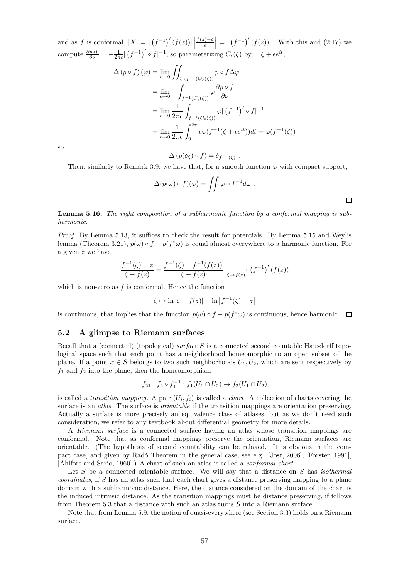and as *f* is conformal,  $|X| = |(f^{-1})'(f(z))| \left| \frac{f(z) - \zeta}{\epsilon} \right| = |(f^{-1})'(f(z))|$ . With this and (2.17) we compute  $\frac{\partial p \circ f}{\partial \nu} = -\frac{1}{2\pi\epsilon} \left| \left( f^{-1} \right)' \circ f \right|^{-1}$ , so parameterizing  $C_{\epsilon}(\zeta)$  by  $= \zeta + \epsilon e^{it}$ ,

$$
\Delta (p \circ f) (\varphi) = \lim_{\epsilon \to 0} \iint_{\mathbb{C} \setminus f^{-1}(Q_{\epsilon}(\zeta))} p \circ f \Delta \varphi
$$
  
\n
$$
= \lim_{\epsilon \to 0} - \int_{f^{-1}(C_{\epsilon}(\zeta))} \varphi \frac{\partial p \circ f}{\partial \nu}
$$
  
\n
$$
= \lim_{\epsilon \to 0} \frac{1}{2\pi \epsilon} \int_{f^{-1}(C_{\epsilon}(\zeta))} \varphi | (f^{-1})' \circ f|^{-1}
$$
  
\n
$$
= \lim_{\epsilon \to 0} \frac{1}{2\pi \epsilon} \int_{0}^{2\pi} \epsilon \varphi (f^{-1}(\zeta + \epsilon e^{it})) dt = \varphi (f^{-1}(\zeta))
$$

so

$$
\Delta (p(\delta_{\zeta}) \circ f) = \delta_{f^{-1}(\zeta)}
$$

Then, similarly to Remark 3.9, we have that, for a smooth function  $\varphi$  with compact support,

*.*

 $\Box$ 

$$
\Delta(p(\omega) \circ f)(\varphi) = \iint \varphi \circ f^{-1} d\omega .
$$

**Lemma 5.16.** *The right composition of a subharmonic function by a conformal mapping is subharmonic.*

*Proof.* By Lemma 5.13, it suffices to check the result for potentials. By Lemma 5.15 and Weyl's lemma (Theorem 3.21),  $p(\omega) \circ f - p(f^*\omega)$  is equal almost everywhere to a harmonic function. For a given *z* we have

$$
\frac{f^{-1}(\zeta) - z}{\zeta - f(z)} = \frac{f^{-1}(\zeta) - f^{-1}(f(z))}{\zeta - f(z)} \xrightarrow[\zeta \to f(z)]{} (f^{-1})'(f(z))
$$

which is non-zero as  $f$  is conformal. Hence the function

$$
\zeta \mapsto \ln|\zeta - f(z)| - \ln|f^{-1}(\zeta) - z|
$$

is continuous, that implies that the function  $p(\omega) \circ f - p(f^*\omega)$  is continuous, hence harmonic.

### **5.2 A glimpse to Riemann surfaces**

Recall that a (connected) (topological) *surface S* is a connected second countable Hausdorff topological space such that each point has a neighborhood homeomorphic to an open subset of the plane. If a point  $x \in S$  belongs to two such neighborhoods  $U_1, U_2$ , which are sent respectively by  $f_1$  and  $f_2$  into the plane, then the homeomorphism

$$
f_{21}: f_2 \circ f_1^{-1}: f_1(U_1 \cap U_2) \to f_2(U_1 \cap U_2)
$$

is called a *transition mapping*. A pair  $(U_i, f_i)$  is called a *chart*. A collection of charts covering the surface is an *atlas*. The surface is *orientable* if the transition mappings are orientation preserving. Actually a surface is more precisely an equivalence class of atlases, but as we don't need such consideration, we refer to any textbook about differential geometry for more details.

A *Riemann surface* is a connected surface having an atlas whose transition mappings are conformal. Note that as conformal mappings preserve the orientation, Riemann surfaces are orientable. (The hypothesis of second countability can be relaxed. It is obvious in the compact case, and given by Radó Theorem in the general case, see e.g. [Jost, 2006], [Forster, 1991], [Ahlfors and Sario, 1960].) A chart of such an atlas is called a *conformal chart*.

Let *S* be a connected orientable surface. We will say that a distance on *S* has *isothermal coordinates*, if *S* has an atlas such that each chart gives a distance preserving mapping to a plane domain with a subharmonic distance. Here, the distance considered on the domain of the chart is the induced intrinsic distance. As the transition mappings must be distance preserving, if follows from Theorem 5.3 that a distance with such an atlas turns *S* into a Riemann surface.

Note that from Lemma 5.9, the notion of quasi-everywhere (see Section 3.3) holds on a Riemann surface.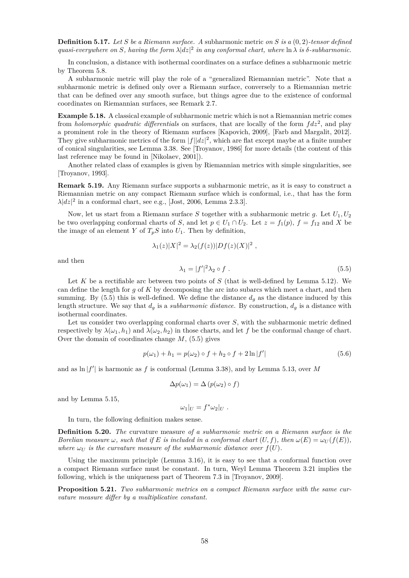**Definition 5.17.** *Let S be a Riemann surface. A* subharmonic metric *on S is a* (0*,* 2)*-tensor defined*  $quasi-everywhere on S, having the form  $\lambda |dz|^2$  in any conformal chart, where  $\ln \lambda$  is  $\delta$ -subharmonic.$ 

In conclusion, a distance with isothermal coordinates on a surface defines a subharmonic metric by Theorem 5.8.

A subharmonic metric will play the role of a "generalized Riemannian metric". Note that a subharmonic metric is defined only over a Riemann surface, conversely to a Riemannian metric that can be defined over any smooth surface, but things agree due to the existence of conformal coordinates on Riemannian surfaces, see Remark 2.7.

**Example 5.18.** A classical example of subharmonic metric which is not a Riemannian metric comes from *holomorphic quadratic differentials* on surfaces, that are locally of the form *fdz*<sup>2</sup> , and play a prominent role in the theory of Riemann surfaces [Kapovich, 2009], [Farb and Margalit, 2012]. They give subharmonic metrics of the form  $|f||dz|^2$ , which are flat except maybe at a finite number of conical singularities, see Lemma 3.38. See [Troyanov, 1986] for more details (the content of this last reference may be found in [Nikolaev, 2001]).

Another related class of examples is given by Riemannian metrics with simple singularities, see [Troyanov, 1993].

**Remark 5.19.** Any Riemann surface supports a subharmonic metric, as it is easy to construct a Riemannian metric on any compact Riemann surface which is conformal, i.e., that has the form  $\lambda |dz|^2$  in a conformal chart, see e.g., [Jost, 2006, Lemma 2.3.3].

Now, let us start from a Riemann surface *S* together with a subharmonic metric *g*. Let *U*1*, U*<sup>2</sup> be two overlapping conformal charts of *S*, and let  $p \in U_1 \cap U_2$ . Let  $z = f_1(p)$ ,  $f = f_{12}$  and *X* be the image of an element *Y* of  $T_pS$  into  $U_1$ . Then by definition,

$$
\lambda_1(z)|X|^2 = \lambda_2(f(z))|Df(z)(X)|^2
$$
,

and then

$$
\lambda_1 = |f'|^2 \lambda_2 \circ f \tag{5.5}
$$

Let *K* be a rectifiable arc between two points of *S* (that is well-defined by Lemma 5.12). We can define the length for *g* of *K* by decomposing the arc into subarcs which meet a chart, and then summing. By  $(5.5)$  this is well-defined. We define the distance  $d<sub>g</sub>$  as the distance induced by this length structure. We say that  $d_g$  is a *subharmonic distance*. By construction,  $d_g$  is a distance with isothermal coordinates.

Let us consider two overlapping conformal charts over *S*, with the subharmonic metric defined respectively by  $\lambda(\omega_1, h_1)$  and  $\lambda(\omega_2, h_2)$  in those charts, and let *f* be the conformal change of chart. Over the domain of coordinates change *M*, (5.5) gives

$$
p(\omega_1) + h_1 = p(\omega_2) \circ f + h_2 \circ f + 2 \ln |f'| \tag{5.6}
$$

and as ln |*f* ′ | is harmonic as *f* is conformal (Lemma 3.38), and by Lemma 5.13, over *M*

$$
\Delta p(\omega_1) = \Delta (p(\omega_2) \circ f)
$$

and by Lemma 5.15,

$$
\omega_1|_U = f^*\omega_2|_U.
$$

In turn, the following definition makes sense.

**Definition 5.20.** *The* curvature measure *of a subharmonic metric on a Riemann surface is the Borelian measure*  $\omega$ *, such that if E is included in a conformal chart*  $(U, f)$ *, then*  $\omega(E) = \omega_U(f(E))$ *, where*  $\omega_U$  *is the curvature measure of the subharmonic distance over*  $f(U)$ *.* 

Using the maximum principle (Lemma 3.16), it is easy to see that a conformal function over a compact Riemann surface must be constant. In turn, Weyl Lemma Theorem 3.21 implies the following, which is the uniqueness part of Theorem 7.3 in [Troyanov, 2009].

**Proposition 5.21.** *Two subharmonic metrics on a compact Riemann surface with the same curvature measure differ by a multiplicative constant.*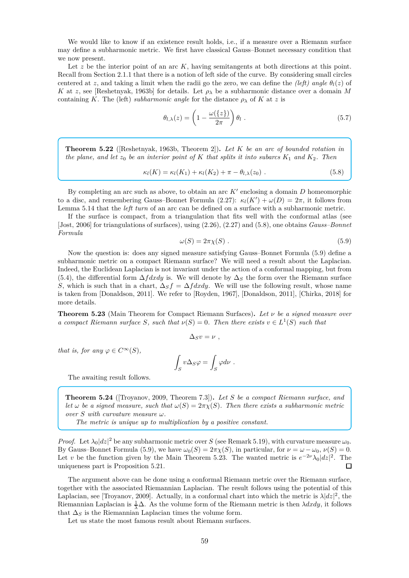We would like to know if an existence result holds, i.e., if a measure over a Riemann surface may define a subharmonic metric. We first have classical Gauss–Bonnet necessary condition that we now present.

Let z be the interior point of an arc K, having semitangents at both directions at this point. Recall from Section 2.1.1 that there is a notion of left side of the curve. By considering small circles centered at *z*, and taking a limit when the radii go the zero, we can define the *(left)* angle  $\theta_l(z)$  of *K* at *z*, see [Reshetnyak, 1963b] for details. Let  $\rho_{\lambda}$  be a subharmonic distance over a domain *M* containing *K*. The (left) *subharmonic angle* for the distance  $\rho_{\lambda}$  of *K* at *z* is

$$
\theta_{l,\lambda}(z) = \left(1 - \frac{\omega(\{z\})}{2\pi}\right)\theta_l \tag{5.7}
$$

**Theorem 5.22** ([Reshetnyak, 1963b, Theorem 2])**.** *Let K be an arc of bounded rotation in the plane, and let*  $z_0$  *be an interior point of*  $K$  *that splits it into subarcs*  $K_1$  *and*  $K_2$ *. Then* 

$$
\kappa_l(K) = \kappa_l(K_1) + \kappa_l(K_2) + \pi - \theta_{l,\lambda}(z_0) \tag{5.8}
$$

By completing an arc such as above, to obtain an arc *K*′ enclosing a domain *D* homeomorphic to a disc, and remembering Gauss–Bonnet Formula  $(2.27)$ :  $\kappa_l(K') + \omega(D) = 2\pi$ , it follows from Lemma 5.14 that the *left turn* of an arc can be defined on a surface with a subharmonic metric.

If the surface is compact, from a triangulation that fits well with the conformal atlas (see [Jost, 2006] for triangulations of surfaces), using (2.26), (2.27) and (5.8), one obtains *Gauss–Bonnet Formula*

$$
\omega(S) = 2\pi \chi(S) \tag{5.9}
$$

Now the question is: does any signed measure satisfying Gauss–Bonnet Formula (5.9) define a subharmonic metric on a compact Riemann surface? We will need a result about the Laplacian. Indeed, the Euclidean Laplacian is not invariant under the action of a conformal mapping, but from (5.4), the differential form  $\Delta f dx dy$  is. We will denote by  $\Delta_S$  the form over the Riemann surface *S*, which is such that in a chart,  $\Delta_S f = \Delta f dx dy$ . We will use the following result, whose name is taken from [Donaldson, 2011]. We refer to [Royden, 1967], [Donaldson, 2011], [Chirka, 2018] for more details.

**Theorem 5.23** (Main Theorem for Compact Riemann Surfaces)**.** *Let ν be a signed measure over a* compact Riemann surface *S*, such that  $\nu(S) = 0$ . Then there exists  $v \in L^1(S)$  such that

 $\Delta_S v = \nu$ ,

*that is, for any*  $\varphi \in C^{\infty}(S)$ *,* 

$$
\int_S v \Delta_S \varphi = \int_S \varphi d\nu .
$$

The awaiting result follows.

**Theorem 5.24** ([Troyanov, 2009, Theorem 7.3])**.** *Let S be a compact Riemann surface, and let*  $\omega$  *be a signed measure, such that*  $\omega(S) = 2\pi \chi(S)$ *. Then there exists a subharmonic metric over S with curvature measure ω.*

*The metric is unique up to multiplication by a positive constant.*

*Proof.* Let  $\lambda_0 |dz|^2$  be any subharmonic metric over *S* (see Remark 5.19), with curvature measure  $\omega_0$ . By Gauss–Bonnet Formula (5.9), we have  $\omega_0(S) = 2\pi \chi(S)$ , in particular, for  $\nu = \omega - \omega_0$ ,  $\nu(S) = 0$ . Let *v* be the function given by the Main Theorem 5.23. The wanted metric is  $e^{-2\nu}\lambda_0|dz|^2$ . The uniqueness part is Proposition 5.21.  $\Box$ 

The argument above can be done using a conformal Riemann metric over the Riemann surface, together with the associated Riemannian Laplacian. The result follows using the potential of this Laplacian, see [Troyanov, 2009]. Actually, in a conformal chart into which the metric is  $\lambda |dz|^2$ , the Riemannian Laplacian is  $\frac{1}{\lambda}\Delta$ . As the volume form of the Riemann metric is then  $\lambda dx dy$ , it follows that  $\Delta_S$  is the Riemannian Laplacian times the volume form.

Let us state the most famous result about Riemann surfaces.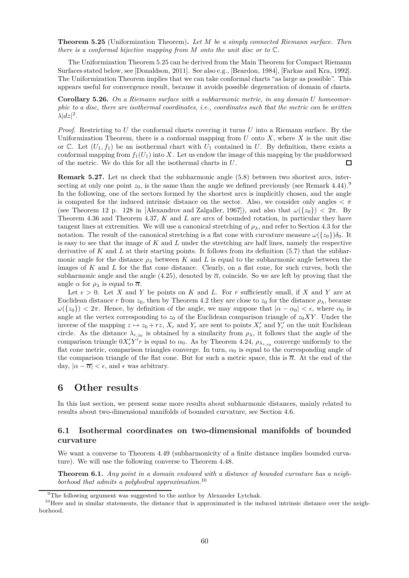**Theorem 5.25** (Uniformization Theorem)**.** *Let M be a simply connected Riemann surface. Then there is a conformal bijective mapping from M onto the unit disc or to* C*.*

The Uniformization Theorem 5.25 can be derived from the Main Theorem for Compact Riemann Surfaces stated below, see [Donaldson, 2011]. See also e.g., [Beardon, 1984], [Farkas and Kra, 1992]. The Uniformization Theorem implies that we can take conformal charts "as large as possible". This appears useful for convergence result, because it avoids possible degeneration of domain of charts.

**Corollary 5.26.** *On a Riemann surface with a subharmonic metric, in any domain U homeomorphic to a disc, there are isothermal coordinates, i.e., coordinates such that the metric can be written*  $\lambda |dz|^2$ .

*Proof.* Restricting to *U* the conformal charts covering it turns *U* into a Riemann surface. By the Uniformization Theorem, there is a conformal mapping from  $U$  onto  $X$ , where  $X$  is the unit disc or C. Let  $(U_1, f_1)$  be an isothermal chart with  $U_1$  contained in *U*. By definition, there exists a conformal mapping from  $f_1(U_1)$  into X. Let us endow the image of this mapping by the pushforward of the metric. We do this for all the isothermal charts in *U*.  $\Box$ 

**Remark 5.27.** Let us check that the subharmonic angle (5.8) between two shortest arcs, intersecting at only one point  $z_0$ , is the same than the angle we defined previously (see Remark 4.44).<sup>9</sup> In the following, one of the sectors formed by the shortest arcs is implicitly chosen, and the angle is computed for the induced intrinsic distance on the sector. Also, we consider only angles *< π* (see Theorem 12 p. 128 in [Alexandrov and Zalgaller, 1967]), and also that  $\omega({z_0}) < 2\pi$ . By Theorem 4.36 and Theorem 4.37, *K* and *L* are arcs of bounded rotation, in particular they have tangent lines at extremities. We will use a canonical stretching of  $\rho_{\lambda}$ , and refer to Section 4.3 for the notation. The result of the canonical stretching is a flat cone with curvature measure  $\omega({z_0})\delta_0$ . It is easy to see that the image of *K* and *L* under the stretching are half lines, namely the respective derivative of *K* and *L* at their starting points. It follows from its definition (5.7) that the subharmonic angle for the distance  $\rho_{\lambda}$  between *K* and *L* is equal to the subharmonic angle between the images of *K* and *L* for the flat cone distance. Clearly, on a flat cone, for such curves, both the subharmonic angle and the angle (4.25), denoted by  $\overline{\alpha}$ , coincide. So we are left by proving that the angle  $\alpha$  for  $\rho_{\lambda}$  is equal to  $\overline{\alpha}$ .

Let  $\epsilon > 0$ . Let *X* and *Y* be points on *K* and *L*. For *r* sufficiently small, if *X* and *Y* are at Euclidean distance *r* from  $z_0$ , then by Theorem 4.2 they are close to  $z_0$  for the distance  $\rho_{\lambda}$ , because  $ω({z_0}) < 2π$ . Hence, by definition of the angle, we may suppose that  $|α − α_0| < ε$ , where  $α_0$  is angle at the vertex corresponding to  $z_0$  of the Euclidean comparison triangle of  $z_0 XY$ . Under the inverse of the mapping  $z \mapsto z_0 + rz$ ,  $X_r$  and  $Y_r$  are sent to points  $X'_r$  and  $Y'_r$  on the unit Euclidean circle. As the distance  $\lambda_{r,z_0}$  is obtained by a similarity from  $\rho_\lambda$ , it follows that the angle of the comparison triangle  $0X'_rY'r$  is equal to  $\alpha_0$ . As by Theorem 4.24,  $\rho_{\lambda_{r,z_0}}$  converge uniformly to the flat cone metric, comparison triangles converge. In turn,  $\alpha_0$  is equal to the corresponding angle of the comparison triangle of the flat cone. But for such a metric space, this is  $\overline{\alpha}$ . At the end of the day,  $|\alpha - \overline{\alpha}| < \epsilon$ , and  $\epsilon$  was arbitrary.

# **6 Other results**

In this last section, we present some more results about subharmonic distances, mainly related to results about two-dimensional manifolds of bounded curvature, see Section 4.6.

# **6.1 Isothermal coordinates on two-dimensional manifolds of bounded curvature**

We want a converse to Theorem 4.49 (subharmonicity of a finite distance implies bounded curvature). We will use the following converse to Theorem 4.48.

**Theorem 6.1.** *Any point in a domain endowed with a distance of bounded curvature has a neighborhood that admits a polyhedral approximation.*<sup>10</sup>

<sup>&</sup>lt;sup>9</sup>The following argument was suggested to the author by Alexander Lytchak.

 $10$  Here and in similar statements, the distance that is approximated is the induced intrinsic distance over the neighborhood.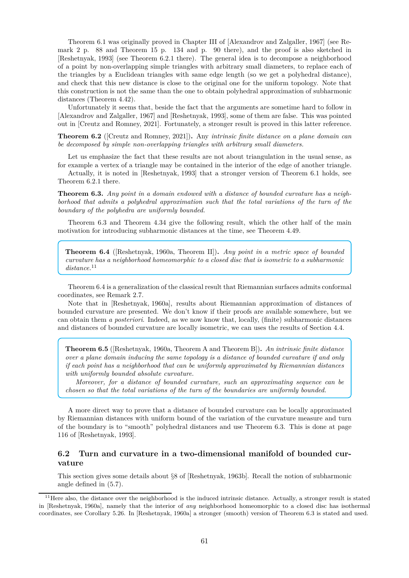Theorem 6.1 was originally proved in Chapter III of [Alexandrov and Zalgaller, 1967] (see Remark 2 p. 88 and Theorem 15 p. 134 and p. 90 there), and the proof is also sketched in [Reshetnyak, 1993] (see Theorem 6.2.1 there). The general idea is to decompose a neighborhood of a point by non-overlapping simple triangles with arbitrary small diameters, to replace each of the triangles by a Euclidean triangles with same edge length (so we get a polyhedral distance), and check that this new distance is close to the original one for the uniform topology. Note that this construction is not the same than the one to obtain polyhedral approximation of subharmonic distances (Theorem 4.42).

Unfortunately it seems that, beside the fact that the arguments are sometime hard to follow in [Alexandrov and Zalgaller, 1967] and [Reshetnyak, 1993], some of them are false. This was pointed out in [Creutz and Romney, 2021]. Fortunately, a stronger result is proved in this latter reference.

**Theorem 6.2** ([Creutz and Romney, 2021])**.** Any *intrinsic finite distance on a plane domain can be decomposed by simple non-overlapping triangles with arbitrary small diameters.*

Let us emphasize the fact that these results are not about triangulation in the usual sense, as for example a vertex of a triangle may be contained in the interior of the edge of another triangle.

Actually, it is noted in [Reshetnyak, 1993] that a stronger version of Theorem 6.1 holds, see Theorem 6.2.1 there.

**Theorem 6.3.** *Any point in a domain endowed with a distance of bounded curvature has a neighborhood that admits a polyhedral approximation such that the total variations of the turn of the boundary of the polyhedra are uniformly bounded.*

Theorem 6.3 and Theorem 4.34 give the following result, which the other half of the main motivation for introducing subharmonic distances at the time, see Theorem 4.49.

**Theorem 6.4** ([Reshetnyak, 1960a, Theorem II])**.** *Any point in a metric space of bounded curvature has a neighborhood homeomorphic to a closed disc that is isometric to a subharmonic distance.*<sup>11</sup>

Theorem 6.4 is a generalization of the classical result that Riemannian surfaces admits conformal coordinates, see Remark 2.7.

Note that in [Reshetnyak, 1960a], results about Riemannian approximation of distances of bounded curvature are presented. We don't know if their proofs are available somewhere, but we can obtain them *a posteriori*. Indeed, as we now know that, locally, (finite) subharmonic distances and distances of bounded curvature are locally isometric, we can uses the results of Section 4.4.

**Theorem 6.5** ([Reshetnyak, 1960a, Theorem A and Theorem B])**.** *An intrinsic finite distance over a plane domain inducing the same topology is a distance of bounded curvature if and only if each point has a neighborhood that can be uniformly approximated by Riemannian distances with uniformly bounded absolute curvature.*

*Moreover, for a distance of bounded curvature, such an approximating sequence can be chosen so that the total variations of the turn of the boundaries are uniformly bounded.*

A more direct way to prove that a distance of bounded curvature can be locally approximated by Riemannian distances with uniform bound of the variation of the curvature measure and turn of the boundary is to "smooth" polyhedral distances and use Theorem 6.3. This is done at page 116 of [Reshetnyak, 1993].

# **6.2 Turn and curvature in a two-dimensional manifold of bounded curvature**

This section gives some details about §8 of [Reshetnyak, 1963b]. Recall the notion of subharmonic angle defined in (5.7).

 $11$ Here also, the distance over the neighborhood is the induced intrinsic distance. Actually, a stronger result is stated in [Reshetnyak, 1960a], namely that the interior of *any* neighborhood homeomorphic to a closed disc has isothermal coordinates, see Corollary 5.26. In [Reshetnyak, 1960a] a stronger (smooth) version of Theorem 6.3 is stated and used.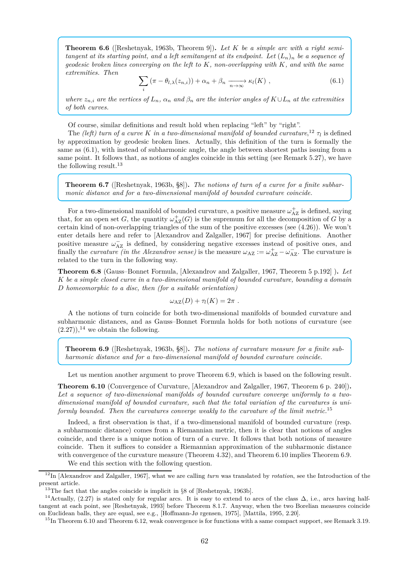**Theorem 6.6** ([Reshetnyak, 1963b, Theorem 9])**.** *Let K be a simple arc with a right semitangent at its starting point, and a left semitangent at its endpoint. Let*  $(L_n)_n$  *be a sequence of geodesic broken lines converging on the left to K, non-overlapping with K, and with the same extremities. Then*

$$
\sum_{i} \left( \pi - \theta_{l,\lambda}(z_{n,i}) \right) + \alpha_n + \beta_n \xrightarrow[n \to \infty]{} \kappa_l(K) , \qquad (6.1)
$$

*where*  $z_{n,i}$  *are the vertices of*  $L_n$ *,*  $\alpha_n$  *and*  $\beta_n$  *are the interior angles of*  $K \cup L_n$  *at the extremities of both curves.*

Of course, similar definitions and result hold when replacing "left" by "right".

The *(left)* turn of a curve K in a two-dimensional manifold of bounded curvature,<sup>12</sup>  $\tau_l$  is defined by approximation by geodesic broken lines. Actually, this definition of the turn is formally the same as (6.1), with instead of subharmonic angle, the angle between shortest paths issuing from a same point. It follows that, as notions of angles coincide in this setting (see Remark 5.27), we have the following result.<sup>13</sup>

**Theorem 6.7** ([Reshetnyak, 1963b, §8])**.** *The notions of turn of a curve for a finite subharmonic distance and for a two-dimensional manifold of bounded curvature coincide.*

For a two-dimensional manifold of bounded curvature, a positive measure  $\omega_{AZ}^+$  is defined, saying that, for an open set *G*, the quantity  $\omega_{AZ}^+(G)$  is the supremum for all the decomposition of *G* by a certain kind of non-overlapping triangles of the sum of the positive excesses (see  $(4.26)$ ). We won't enter details here and refer to [Alexandrov and Zalgaller, 1967] for precise definitions. Another positive measure  $\omega_{AZ}^-$  is defined, by considering negative excesses instead of positive ones, and finally the *curvature (in the Alexandrov sense)* is the measure  $\omega_{AZ} := \omega_{AZ}^+ - \omega_{AZ}^-$ . The curvature is related to the turn in the following way.

**Theorem 6.8** (Gauss–Bonnet Formula, [Alexandrov and Zalgaller, 1967, Theorem 5 p.192] )**.** *Let K be a simple closed curve in a two-dimensional manifold of bounded curvature, bounding a domain D homeomorphic to a disc, then (for a suitable orientation)*

$$
\omega_{\rm AZ}(D) + \tau_l(K) = 2\pi.
$$

A the notions of turn coincide for both two-dimensional manifolds of bounded curvature and subharmonic distances, and as Gauss–Bonnet Formula holds for both notions of curvature (see  $(2.27)$ ,<sup>14</sup> we obtain the following.

**Theorem 6.9** ([Reshetnyak, 1963b, §8])**.** *The notions of curvature measure for a finite subharmonic distance and for a two-dimensional manifold of bounded curvature coincide.*

Let us mention another argument to prove Theorem 6.9, which is based on the following result.

**Theorem 6.10** (Convergence of Curvature, [Alexandrov and Zalgaller, 1967, Theorem 6 p. 240])**.** *Let a sequence of two-dimensional manifolds of bounded curvature converge uniformly to a twodimensional manifold of bounded curvature, such that the total variation of the curvatures is uniformly bounded. Then the curvatures converge weakly to the curvature of the limit metric.*<sup>15</sup>

Indeed, a first observation is that, if a two-dimensional manifold of bounded curvature (resp. a subharmonic distance) comes from a Riemannian metric, then it is clear that notions of angles coincide, and there is a unique notion of turn of a curve. It follows that both notions of measure coincide. Then it suffices to consider a Riemannian approximation of the subharmonic distance with convergence of the curvature measure (Theorem 4.32), and Theorem 6.10 implies Theorem 6.9. We end this section with the following question.

<sup>12</sup>In [Alexandrov and Zalgaller, 1967], what we are calling *turn* was translated by *rotation*, see the Introduction of the present article.

<sup>&</sup>lt;sup>13</sup>The fact that the angles coincide is implicit in  $\S 8$  of [Reshetnyak, 1963b].

<sup>&</sup>lt;sup>14</sup>Actually, (2.27) is stated only for regular arcs. It is easy to extend to arcs of the class  $\Delta$ , i.e., arcs having halftangent at each point, see [Reshetnyak, 1993] before Theorem 8.1.7. Anyway, when the two Borelian measures coincide on Euclidean balls, they are equal, see e.g., [Hoffmann-Jø rgensen, 1975], [Mattila, 1995, 2.20].

 $15$ In Theorem 6.10 and Theorem 6.12, weak convergence is for functions with a same compact support, see Remark 3.19.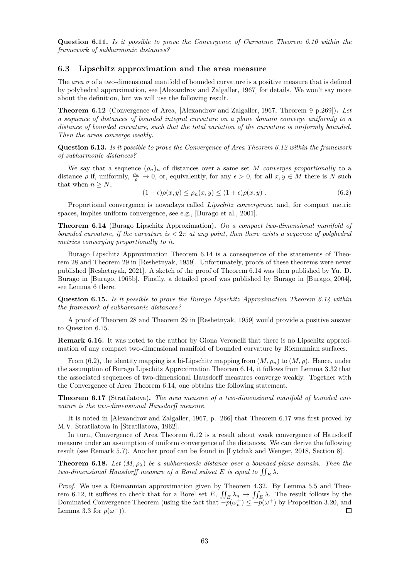**Question 6.11.** *Is it possible to prove the Convergence of Curvature Theorem 6.10 within the framework of subharmonic distances?*

# **6.3 Lipschitz approximation and the area measure**

The *area*  $\sigma$  of a two-dimensional manifold of bounded curvature is a positive measure that is defined by polyhedral approximation, see [Alexandrov and Zalgaller, 1967] for details. We won't say more about the definition, but we will use the following result.

**Theorem 6.12** (Convergence of Area, [Alexandrov and Zalgaller, 1967, Theorem 9 p.269])**.** *Let a sequence of distances of bounded integral curvature on a plane domain converge uniformly to a distance of bounded curvature, such that the total variation of the curvature is uniformly bounded. Then the areas converge weakly.*

**Question 6.13.** *Is it possible to prove the Convergence of Area Theorem 6.12 within the framework of subharmonic distances?*

We say that a sequence  $(\rho_n)_n$  of distances over a same set *M converges proportionally* to a distance  $\rho$  if, uniformly,  $\frac{\rho_n}{\rho} \to 0$ , or, equivalently, for any  $\epsilon > 0$ , for all  $x, y \in M$  there is  $N$  such that when  $n \geq N$ ,

$$
(1 - \epsilon)\rho(x, y) \le \rho_n(x, y) \le (1 + \epsilon)\rho(x, y) . \tag{6.2}
$$

Proportional convergence is nowadays called *Lipschitz convergence*, and, for compact metric spaces, implies uniform convergence, see e.g., [Burago et al., 2001].

**Theorem 6.14** (Burago Lipschitz Approximation)**.** *On a compact two-dimensional manifold of bounded curvature, if the curvature is <* 2*π at any point, then there exists a sequence of polyhedral metrics converging proportionally to it.*

Burago Lipschitz Approximation Theorem 6.14 is a consequence of the statements of Theorem 28 and Theorem 29 in [Reshetnyak, 1959]. Unfortunately, proofs of these theorems were never published [Reshetnyak, 2021]. A sketch of the proof of Theorem 6.14 was then published by Yu. D. Burago in [Burago, 1965b]. Finally, a detailed proof was published by Burago in [Burago, 2004], see Lemma 6 there.

**Question 6.15.** *Is it possible to prove the Burago Lipschitz Approximation Theorem 6.14 within the framework of subharmonic distances?*

A proof of Theorem 28 and Theorem 29 in [Reshetnyak, 1959] would provide a positive answer to Question 6.15.

**Remark 6.16.** It was noted to the author by Giona Veronelli that there is no Lipschitz approximation of any compact two-dimensional manifold of bounded curvature by Riemannian surfaces.

From (6.2), the identity mapping is a bi-Lipschitz mapping from  $(M, \rho_n)$  to  $(M, \rho)$ . Hence, under the assumption of Burago Lipschitz Approximation Theorem 6.14, it follows from Lemma 3.32 that the associated sequences of two-dimensional Hausdorff measures converge weakly. Together with the Convergence of Area Theorem 6.14, one obtains the following statement.

**Theorem 6.17** (Stratilatova)**.** *The area measure of a two-dimensional manifold of bounded curvature is the two-dimensional Hausdorff measure.*

It is noted in [Alexandrov and Zalgaller, 1967, p. 266] that Theorem 6.17 was first proved by M.V. Stratilatova in [Stratilatova, 1962].

In turn, Convergence of Area Theorem 6.12 is a result about weak convergence of Hausdorff measure under an assumption of uniform convergence of the distances. We can derive the following result (see Remark 5.7). Another proof can be found in [Lytchak and Wenger, 2018, Section 8].

**Theorem 6.18.** Let  $(M, \rho_\lambda)$  be a subharmonic distance over a bounded plane domain. Then the *two-dimensional Hausdorff measure of a Borel subset*  $E$  *is equal to*  $\iint_E \lambda$ *.* 

*Proof.* We use a Riemannian approximation given by Theorem 4.32. By Lemma 5.5 and Theorem 6.12, it suffices to check that for a Borel set *E*,  $\iint_E \lambda_n \to \iint_E \lambda$ . The result follows by the Dominated Convergence Theorem (using the fact that  $-p(\omega_n^+) \le -p(\omega^+)$  by Proposition 3.20, and  $\Box$ Lemma 3.3 for  $p(\omega^-)$ ).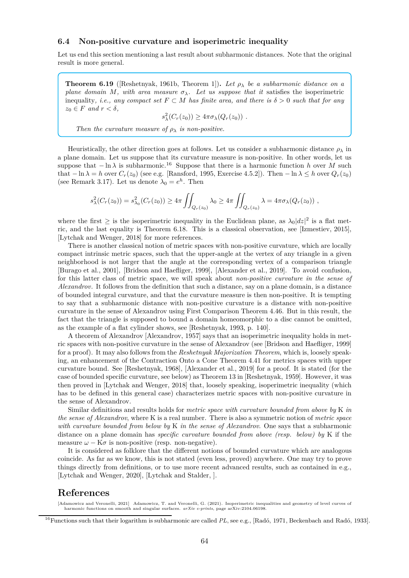# **6.4 Non-positive curvature and isoperimetric inequality**

Let us end this section mentioning a last result about subharmonic distances. Note that the original result is more general.

**Theorem 6.19** ([Reshetnyak, 1961b, Theorem 1])**.** *Let ρ<sup>λ</sup> be a subharmonic distance on a plane domain M, with area measure*  $\sigma_{\lambda}$ *. Let us suppose that it* satisfies the isoperimetric inequality, *i.e., any compact set*  $F \subset M$  *has finite area, and there is*  $\delta > 0$  *such that for any*  $z_0 \in F$  *and*  $r < \delta$ *,* 

$$
s_{\lambda}^{2}(C_{r}(z_{0})) \geq 4\pi\sigma_{\lambda}(Q_{r}(z_{0})) .
$$

*Then the curvature measure of*  $\rho_{\lambda}$  *is non-positive.* 

Heuristically, the other direction goes at follows. Let us consider a subharmonic distance  $\rho_{\lambda}$  in a plane domain. Let us suppose that its curvature measure is non-positive. In other words, let us suppose that  $-\ln \lambda$  is subharmonic.<sup>16</sup> Suppose that there is a harmonic function *h* over *M* such that  $-\ln \lambda = h$  over  $C_r(z_0)$  (see e.g. [Ransford, 1995, Exercise 4.5.2]). Then  $-\ln \lambda \leq h$  over  $Q_r(z_0)$ (see Remark 3.17). Let us denote  $\lambda_0 = e^h$ . Then

$$
s_{\lambda}^{2}(C_{r}(z_{0})) = s_{\lambda_{0}}^{2}(C_{r}(z_{0})) \geq 4\pi \iint_{Q_{r}(z_{0})} \lambda_{0} \geq 4\pi \iint_{Q_{r}(z_{0})} \lambda = 4\pi \sigma_{\lambda}(Q_{r}(z_{0})) ,
$$

where the first  $\geq$  is the isoperimetric inequality in the Euclidean plane, as  $\lambda_0 |dz|^2$  is a flat metric, and the last equality is Theorem 6.18. This is a classical observation, see [Izmestiev, 2015], [Lytchak and Wenger, 2018] for more references.

There is another classical notion of metric spaces with non-positive curvature, which are locally compact intrinsic metric spaces, such that the upper-angle at the vertex of any triangle in a given neighborhood is not larger that the angle at the corresponding vertex of a comparison triangle [Burago et al., 2001], [Bridson and Haefliger, 1999], [Alexander et al., 2019]. To avoid confusion, for this latter class of metric space, we will speak about *non-positive curvature in the sense of Alexandrov*. It follows from the definition that such a distance, say on a plane domain, is a distance of bounded integral curvature, and that the curvature measure is then non-positive. It is tempting to say that a subharmonic distance with non-positive curvature is a distance with non-positive curvature in the sense of Alexandrov using First Comparison Theorem 4.46. But in this result, the fact that the triangle is supposed to bound a domain homeomorphic to a disc cannot be omitted, as the example of a flat cylinder shows, see [Reshetnyak, 1993, p. 140].

A theorem of Alexandrov [Alexandrov, 1957] says that an isoperimetric inequality holds in metric spaces with non-positive curvature in the sense of Alexandrov (see [Bridson and Haefliger, 1999] for a proof). It may also follows from the *Reshetnyak Majorization Theorem*, which is, loosely speaking, an enhancement of the Contraction Onto a Cone Theorem 4.41 for metrics spaces with upper curvature bound. See [Reshetnyak, 1968], [Alexander et al., 2019] for a proof. It is stated (for the case of bounded specific curvature, see below) as Theorem 13 in [Reshetnyak, 1959]. However, it was then proved in [Lytchak and Wenger, 2018] that, loosely speaking, isoperimetric inequality (which has to be defined in this general case) characterizes metric spaces with non-positive curvature in the sense of Alexandrov.

Similar definitions and results holds for *metric space with curvature bounded from above by* K *in the sense of Alexandrov*, where K is a real number. There is also a symmetric notion of *metric space with curvature bounded from below by* K *in the sense of Alexandrov*. One says that a subharmonic distance on a plane domain has *specific curvature bounded from above (resp. below) by* K if the measure  $\omega - K\sigma$  is non-positive (resp. non-negative).

It is considered as folklore that the different notions of bounded curvature which are analogous coincide. As far as we know, this is not stated (even less, proved) anywhere. One may try to prove things directly from definitions, or to use more recent advanced results, such as contained in e.g., [Lytchak and Wenger, 2020], [Lytchak and Stalder, ].

# **References**

<sup>[</sup>Adamowicz and Veronelli, 2021] Adamowicz, T. and Veronelli, G. (2021). Isoperimetric inequalities and geometry of level curves of harmonic functions on smooth and singular surfaces. *arXiv e-prints*, page arXiv:2104.06198

<sup>16</sup>Functions such that their logarithm is subharmonic are called *PL*, see e.g., [Radó, 1971, Beckenbach and Radó, 1933].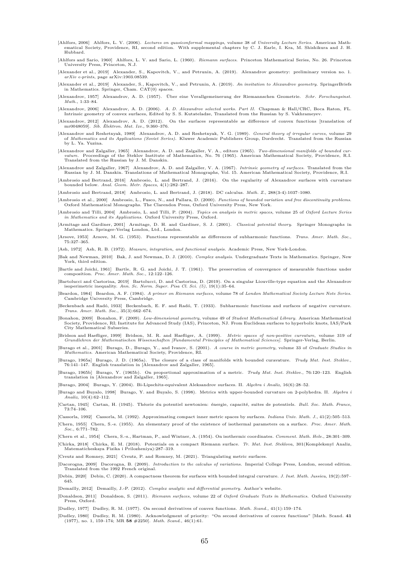- [Ahlfors, 2006] Ahlfors, L. V. (2006). *Lectures on quasiconformal mappings*, volume 38 of *University Lecture Series*. American Mathematical Society, Providence, RI, second edition. With supplemental chapters by C. J. Earle, I. Kra, M. Shishikura and J. H. Hubbard.
- [Ahlfors and Sario, 1960] Ahlfors, L. V. and Sario, L. (1960). *Riemann surfaces*. Princeton Mathematical Series, No. 26. Princeton University Press, Princeton, N.J.
- [Alexander et al., 2019] Alexander, S., Kapovitch, V., and Petrunin, A. (2019). Alexandrov geometry: preliminary version no. 1. *arXiv e-prints*, page arXiv:1903.08539.
- [Alexander et al., 2019] Alexander, S., Kapovitch, V., and Petrunin, A. (2019). *An invitation to Alexandrov geometry*. SpringerBriefs in Mathematics. Springer, Cham. CAT(0) spaces.
- [Alexandrov, 1957] Alexandrov, A. D. (1957). Über eine Verallgemeinerung der Riemannschen Geometrie. *Schr. Forschungsinst. Math.*, 1:33–84.
- [Alexandrov, 2006] Alexandrov, A. D. (2006). A. D. Alexandrov selected works. Part II. Chapman & Hall/CRC, Boca Raton, FL.<br>Intrinsic geometry of convex surfaces, Edited by S. S. Kutateladze, Translated from the Russian by
- [Alexandrov, 2012] Alexandrov, A. D. (2012). On the surfaces representable as difference of convex functions [translation of mr0048059]. *Sib. Èlektron. Mat. Izv.*, 9:360–376.
- [Alexandrov and Reshetnyak, 1989] Alexandrov, A. D. and Reshetnyak, Y. G. (1989). *General theory of irregular curves*, volume 29<br>of Mathematics and its Applications (Soviet Series). Kluwer Academic Publishers Group, Dordr by L. Ya. Yuzina.
- [Alexandrov and Zalgaller, 1965] Alexandrov, A. D. and Zalgaller, V. A., editors (1965). Two-dimensional manifolds of bounded curvature. Proceedings of the Steklov Institute of Mathematics, No. 76 (1965). American Mathemat
- [Alexandrov and Zalgaller, 1967] Alexandrov, A. D. and Zalgaller, V. A. (1967). *Intrinsic geometry of surfaces*. Translated from the Russian by J. M. Danskin. Translations of Mathematical Monographs, Vol. 15. American Mat
- [Ambrosio and Bertrand, 2016] Ambrosio, L. and Bertrand, J. (2016). On the regularity of Alexandrov surfaces with curvature bounded below. *Anal. Geom. Metr. Spaces*, 4(1):282–287.

[Ambrosio and Bertrand, 2018] Ambrosio, L. and Bertrand, J. (2018). DC calculus. *Math. Z.*, 288(3-4):1037–1080.

- [Ambrosio et al., 2000] Ambrosio, L., Fusco, N., and Pallara, D. (2000). *Functions of bounded variation and free discontinuity problems*. Oxford Mathematical Monographs. The Clarendon Press, Oxford University Press, New York.
- [Ambrosio and Tilli, 2004] Ambrosio, L. and Tilli, P. (2004). *Topics on analysis in metric spaces*, volume 25 of *Oxford Lecture Series in Mathematics and its Applications*. Oxford University Press, Oxford.
- [Armitage and Gardiner, 2001] Armitage, D. H. and Gardiner, S. J. (2001). *Classical potential theory*. Springer Monographs in Mathematics. Springer-Verlag London, Ltd., London.
- [Arsove, 1953] Arsove, M. G. (1953). Functions representable as differences of subharmonic functions. *Trans. Amer. Math. Soc.*, 75:327–365.

[Ash, 1972] Ash, R. B. (1972). *Measure, integration, and functional analysis*. Academic Press, New York-London.

[Bak and Newman, 2010] Bak, J. and Newman, D. J. (2010). *Complex analysis*. Undergraduate Texts in Mathematics. Springer, New York, third edition.

[Bartle and Joichi, 1961] Bartle, R. G. and Joichi, J. T. (1961). The preservation of convergence of measurable functions under composition. *Proc. Amer. Math. Soc.*, 12:122–126.

- [Bartolucci and Castorina, 2019] Bartolucci, D. and Castorina, D. (2019). On a singular Liouville-type equation and the Alexandrov isoperimetric inequality. *Ann. Sc. Norm. Super. Pisa Cl. Sci. (5)*, 19(1):35–64.
- [Beardon, 1984] Beardon, A. F. (1984). *A primer on Riemann surfaces*, volume 78 of *London Mathematical Society Lecture Note Series*. Cambridge University Press, Cambridge.
- [Beckenbach and Radó, 1933] Beckenbach, E. F. and Radó, T. (1933). Subharmonic functions and surfaces of negative curvature. *Trans. Amer. Math. Soc.*, 35(3):662–674.
- [Bonahon, 2009] Bonahon, F. (2009). *Low-dimensional geometry*, volume 49 of *Student Mathematical Library*. American Mathematical Society, Providence, RI; Institute for Advanced Study (IAS), Princeton, NJ. From Euclidean surfaces to hyperbolic knots, IAS/Park City Mathematical Subseries.
- [Bridson and Haefliger, 1999] Bridson, M. R. and Haefliger, A. (1999). *Metric spaces of non-positive curvature*, volume 319 of *Grundlehren der Mathematischen Wissenschaften [Fundamental Principles of Mathematical Sciences]*. Springer-Verlag, Berlin.
- [Burago et al., 2001] Burago, D., Burago, Y., and Ivanov, S. (2001). *A course in metric geometry*, volume 33 of *Graduate Studies in Mathematics*. American Mathematical Society, Providence, RI. [Burago, 1965a] Burago, J. D. (1965a). The closure of a class of manifolds with bounded curavature. *Trudy Mat. Inst. Steklov.*,
- 76:141–147. English translation in [Alexandrov and Zalgaller, 1965].
- [Burago, 1965b] Burago, Y. (1965b). On proportional approximation of a metric. *Trudy Mat. Inst. Steklov.*, 76:120–123. English translation in [Alexandrov and Zalgaller, 1965].
- [Burago, 2004] Burago, Y. (2004). Bi-Lipschitz-equivalent Aleksandrov surfaces. II. *Algebra i Analiz*, 16(6):28–52.
- [Burago and Buyalo, 1998] Burago, Y. and Buyalo, S. (1998). Metrics with upper-bounded curvature on 2-polyhedra. II. *Algebra i Analiz*, 10(4):62–112.
- [Cartan, 1945] Cartan, H. (1945). Théorie du potentiel newtonien: énergie, capacité, suites de potentiels. *Bull. Soc. Math. France*, 73:74–106.
- [Cassorla, 1992] Cassorla, M. (1992). Approximating compact inner metric spaces by surfaces. *Indiana Univ. Math. J.*, 41(2):505–513.
- [Chern, 1955] Chern, S.-s. (1955). An elementary proof of the existence of isothermal parameters on a surface. *Proc. Amer. Math. Soc.*, 6:771–782. [Chern et al., 1954] Chern, S.-s., Hartman, P., and Wintner, A. (1954). On isothermic coordinates. *Comment. Math. Helv.*, 28:301–309.
- [Chirka, 2018] Chirka, E. M. (2018). Potentials on a compact Riemann surface. *Tr. Mat. Inst. Steklova*, 301(Kompleksny˘ı Analiz, Matematicheskaya Fizika i Prilozheniya):287–319.

[Creutz and Romney, 2021] Creutz, P. and Romney, M. (2021). Triangulating metric surfaces.

- [Dacorogna, 2009] Dacorogna, B. (2009). *Introduction to the calculus of variations*. Imperial College Press, London, second edition. Translated from the 1992 French original.
- [Debin, 2020] Debin, C. (2020). A compactness theorem for surfaces with bounded integral curvature. *J. Inst. Math. Jussieu*, 19(2):597– 645.

[Demailly, 2012] Demailly, J.-P. (2012). *Complex analytic and differential geometry*. Author's website.

[Donaldson, 2011] Donaldson, S. (2011). *Riemann surfaces*, volume 22 of *Oxford Graduate Texts in Mathematics*. Oxford University Press, Oxford.

[Dudley, 1977] Dudley, R. M. (1977). On second derivatives of convex functions. *Math. Scand.*, 41(1):159–174.

[Dudley, 1980] Dudley, R. M. (1980). Acknowledgment of priority: "On second derivatives of convex functions" [Math. Scand. **41** (1977), no. 1, 159–174; MR **58** #2250]. *Math. Scand.*, 46(1):61.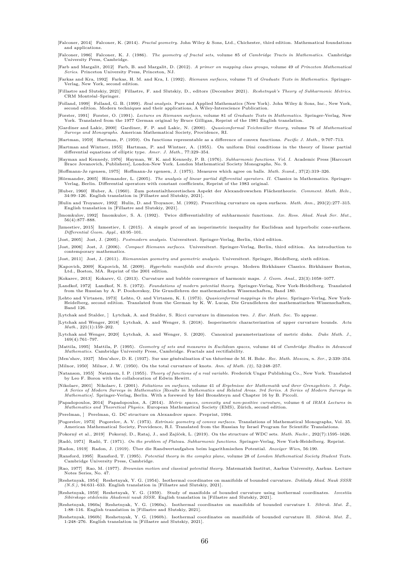[Falconer, 2014] Falconer, K. (2014). *Fractal geometry*. John Wiley & Sons, Ltd., Chichester, third edition. Mathematical foundations and applications.

[Falconer, 1986] Falconer, K. J. (1986). *The geometry of fractal sets*, volume 85 of *Cambridge Tracts in Mathematics*. Cambridge University Press, Cambridge.

[Farb and Margalit, 2012] Farb, B. and Margalit, D. (2012). *A primer on mapping class groups*, volume 49 of *Princeton Mathematical Series*. Princeton University Press, Princeton, NJ.

[Farkas and Kra, 1992] Farkas, H. M. and Kra, I. (1992). *Riemann surfaces*, volume 71 of *Graduate Texts in Mathematics*. Springer-Verlag, New York, second edition.

[Fillastre and Slutskiy, 2021] Fillastre, F. and Slutskiy, D., editors (December 2021). *Reshetnyak's Theory of Subharmonic Metrics*. CRM Montréal–Springer.

[Folland, 1999] Folland, G. B. (1999). Real analysis. Pure and Applied Mathematics (New York). John Wiley & Sons, Inc., New York, second edition. Modern techniques and their applications, A Wiley-Interscience Publication.

[Forster, 1991] Forster, O. (1991). *Lectures on Riemann surfaces*, volume 81 of *Graduate Texts in Mathematics*. Springer-Verlag, New York. Translated from the 1977 German original by Bruce Gilligan, Reprint of the 1981 English translation.

[Gardiner and Lakic, 2000] Gardiner, F. P. and Lakic, N. (2000). *Quasiconformal Teichmüller theory*, volume 76 of *Mathematical Surveys and Monographs*. American Mathematical Society, Providence, RI.

[Hartman, 1959] Hartman, P. (1959). On functions representable as a difference of convex functions. *Pacific J. Math.*, 9:707–713.

[Hartman and Wintner, 1955] Hartman, P. and Wintner, A. (1955). On uniform Dini conditions in the theory of linear partial differential equations of elliptic type. *Amer. J. Math.*, 77:329–354.

[Hayman and Kennedy, 1976] Hayman, W. K. and Kennedy, P. B. (1976). *Subharmonic functions. Vol. I*. Academic Press [Harcourt Brace Jovanovich, Publishers], London-New York. London Mathematical Society Monographs, No. 9.

[Hoffmann-Jø rgensen, 1975] Hoffmann-Jø rgensen, J. (1975). Measures which agree on balls. *Math. Scand.*, 37(2):319–326.

[Hörmander, 2005] Hörmander, L. (2005). *The analysis of linear partial differential operators. II*. Classics in Mathematics. Springer-Verlag, Berlin. Differential operators with constant coefficients, Reprint of the 1983 original.

[Huber, 1960] Huber, A. (1960). Zum potentialtheoretischen Aspekt der Alexandrowschen Flächentheorie. *Comment. Math. Helv.*, 34:99–126. English translation in [Fillastre and Slutskiy, 2021].

[Hulin and Troyanov, 1992] Hulin, D. and Troyanov, M. (1992). Prescribing curvature on open surfaces. *Math. Ann.*, 293(2):277–315. English translation in [Fillastre and Slutskiy, 2021].

[Imomkulov, 1992] Imomkulov, S. A. (1992). Twice differentiability of subharmonic functions. *Izv. Ross. Akad. Nauk Ser. Mat.*, 56(4):877–888.

[Izmestiev, 2015] Izmestiev, I. (2015). A simple proof of an isoperimetric inequality for Euclidean and hyperbolic cone-surfaces. *Differential Geom. Appl.*, 43:95–101.

[Jost, 2005] Jost, J. (2005). *Postmodern analysis*. Universitext. Springer-Verlag, Berlin, third edition.

[Jost, 2006] Jost, J. (2006). *Compact Riemann surfaces*. Universitext. Springer-Verlag, Berlin, third edition. An introduction to contemporary mathematics.

[Jost, 2011] Jost, J. (2011). *Riemannian geometry and geometric analysis*. Universitext. Springer, Heidelberg, sixth edition.

[Kapovich, 2009] Kapovich, M. (2009). *Hyperbolic manifolds and discrete groups*. Modern Birkhäuser Classics. Birkhäuser Boston, Ltd., Boston, MA. Reprint of the 2001 edition.

[Kokarev, 2013] Kokarev, G. (2013). Curvature and bubble convergence of harmonic maps. *J. Geom. Anal.*, 23(3):1058–1077.

[Landkof, 1972] Landkof, N. S. (1972). *Foundations of modern potential theory*. Springer-Verlag, New York-Heidelberg. Translated from the Russian by A. P. Doohovskoy, Die Grundlehren der mathematischen Wissenschaften, Band 180.

[Lehto and Virtanen, 1973] Lehto, O. and Virtanen, K. I. (1973). Quasiconformal mappings in the plane. Springer-Verlag, New York-<br>Heidelberg, second edition. Translated from the German by K. W. Lucas, Die Grundlehren der m Band 126.

[Lytchak and Stalder, ] Lytchak, A. and Stalder, S. Ricci curvature in dimension two. *J. Eur. Math. Soc.* To appear.

[Lytchak and Wenger, 2018] Lytchak, A. and Wenger, S. (2018). Isoperimetric characterization of upper curvature bounds. *Acta Math.*, 221(1):159–202.

[Lytchak and Wenger, 2020] Lytchak, A. and Wenger, S. (2020). Canonical parameterizations of metric disks. *Duke Math. J.*, 169(4):761–797.

[Mattila, 1995] Mattila, P. (1995). *Geometry of sets and measures in Euclidean spaces*, volume 44 of *Cambridge Studies in Advanced*<br>Mathematics. Cambridge University Press, Cambridge. Fractals and rectifiability.

[Men'shov, 1937] Men'shov, D. E. (1937). Sur une généralisation d'un théorème de M. H. Bohr. *Rec. Math. Moscou, n. Ser.*, 2:339–354. [Milnor, 1950] Milnor, J. W. (1950). On the total curvature of knots. *Ann. of Math. (2)*, 52:248–257.

[Natanson, 1955] Natanson, I. P. (1955). *Theory of functions of a real variable*. Frederick Ungar Publishing Co., New York. Translated by Leo F. Boron with the collaboration of Edwin Hewitt.

[Nikolaev, 2001] Nikolaev, I. (2001). Foliations on surfaces, volume 41 of Ergebnisse der Mathematik und ihrer Grenzgebiete. 3. Folge.<br>A Series of Modern Surveys in Mathematics [Results in Mathematics and Related Areas. 3r *Mathematics]*. Springer-Verlag, Berlin. With a foreword by Idel Bronshteyn and Chapter 16 by B. Piccoli.

[Papadopoulos, 2014] Papadopoulos, A. (2014). Metric spaces, convexity and non-positive curvature, volume 6 of IRMA Lectures in<br>Mathematics and Theoretical Physics. European Mathematical Society (EMS), Zürich, second editi

[Perelman, ] Perelman, G. DC structure on Alexandrov space. Preprint, 1994.

[Pogorelov, 1973] Pogorelov, A. V. (1973). Extrinsic geometry of convex surfaces. Translations of Mathematical Monographs, Vol. 35.<br>American Mathematical Society, Providence, R.I. Translated from the Russian by Israel Prog

[Pokorný et al., 2019] Pokorný, D., Rataj, J., and Zajíček, L. (2019). On the structure of WDC sets. *Math. Nachr.*, 292(7):1595–1626.

[Radó, 1971] Radó, T. (1971). *On the problem of Plateau. Subharmonic functions*. Springer-Verlag, New York-Heidelberg. Reprint.

[Radon, 1919] Radon, J. (1919). Über die Randwertaufgaben beim logarithmischen Potential. *Anzeiger Wien*, 56:190.

[Ransford, 1995] Ransford, T. (1995). *Potential theory in the complex plane*, volume 28 of *London Mathematical Society Student Texts*. Cambridge University Press, Cambridge.

[Rao, 1977] Rao, M. (1977). *Brownian motion and classical potential theory*. Matematisk Institut, Aarhus University, Aarhus. Lecture Notes Series, No. 47.

[Reshetnyak, 1954] Reshetnyak, Y. G. (1954). Isothermal coordinates on manifolds of bounded curvature. *Doklady Akad. Nauk SSSR (N.S.)*, 94:631–633. English translation in [Fillastre and Slutskiy, 2021].

[Reshetnyak, 1959] Reshetnyak, Y. G. (1959). Study of manifolds of bounded curvature using isothermal coordinates. Izvestiia<br>Sibirskogo otdeleniia Akademii nauk SSSR. English translation in [Fillastre and Slutskiy, 2021].

[Reshetnyak, 1960a] Reshetnyak, Y. G. (1960a). Isothermal coordinates on manifolds of bounded curvature I. *Sibirsk. Mat. Ž.*, 1:88–116. English translation in [Fillastre and Slutskiy, 2021].

[Reshetnyak, 1960b] Reshetnyak, Y. G. (1960b). Isothermal coordinates on manifolds of bounded curvature II. *Sibirsk. Mat. Ž.*, 1:248–276. English translation in [Fillastre and Slutskiy, 2021].